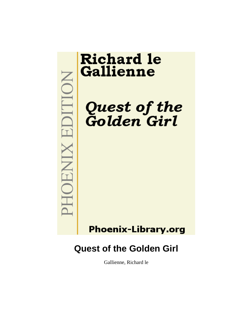**MOHNIX EDITION** 

# **Richard le** Gallienne

Quest of the<br>Golden Girl

## **Phoenix-Library.org**

## **Quest of the Golden Girl**

Gallienne, Richard le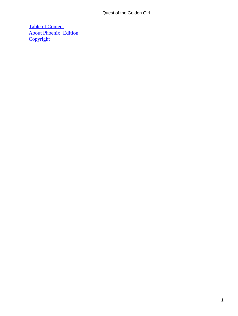[Table of Content](#page-138-0) [About Phoenix−Edition](#page-141-0) **[Copyright](#page-142-0)**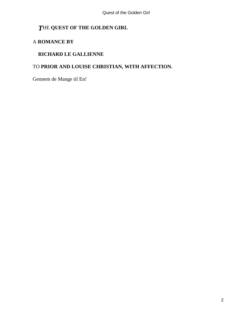## *T*HE **QUEST OF THE GOLDEN GIRL**

### A **ROMANCE BY**

#### **RICHARD LE GALLIENNE**

### TO **PRIOR AND LOUISE CHRISTIAN, WITH AFFECTION.**

Gennem de Mange til En!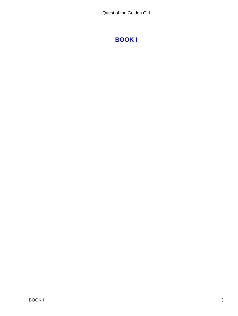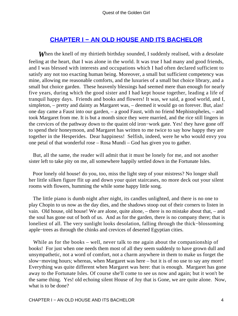## **[CHAPTER I − AN OLD HOUSE AND ITS BACHELOR](#page-138-0)**

**When the knell of my thirtieth birthday sounded, I suddenly realised, with a desolate** feeling at the heart, that I was alone in the world. It was true I had many and good friends, and I was blessed with interests and occupations which I had often declared sufficient to satisfy any not too exacting human being. Moreover, a small but sufficient competency was mine, allowing me reasonable comforts, and the luxuries of a small but choice library, and a small but choice garden. These heavenly blessings had seemed mere than enough for nearly five years, during which the good sister and I had kept house together, leading a life of tranquil happy days. Friends and books and flowers! It was, we said, a good world, and I, simpleton, – pretty and dainty as Margaret was, – deemed it would go on forever. But, alas! one day came a Faust into our garden, – a good Faust, with no friend Mephistopheles, – and took Margaret from me. It is but a month since they were married, and the rice still lingers in the crevices of the pathway down to the quaint old iron−work gate. Yes! they have gone off to spend their honeymoon, and Margaret has written to me twice to say how happy they are together in the Hesperides. Dear happiness! Selfish, indeed, were he who would envy you one petal of that wonderful rose – Rosa Mundi – God has given you to gather.

 But, all the same, the reader will admit that it must be lonely for me, and not another sister left to take pity on me, all somewhere happily settled down in the Fortunate Isles.

 Poor lonely old house! do you, too, miss the light step of your mistress? No longer shall her little silken figure flit up and down your quiet staircases, no more deck out your silent rooms with flowers, humming the while some happy little song.

 The little piano is dumb night after night, its candles unlighted, and there is no one to play Chopin to us now as the day dies, and the shadows stoop out of their corners to listen in vain. Old house, old house! We are alone, quite alone, – there is no mistake about that, – and the soul has gone out of both of us. And as for the garden, there is no company there; that is loneliest of all. The very sunlight looks desolation, falling through the thick−blossoming apple−trees as through the chinks and crevices of deserted Egyptian cities.

While as for the books – well, never talk to me again about the companionship of books! For just when one needs them most of all they seem suddenly to have grown dull and unsympathetic, not a word of comfort, not a charm anywhere in them to make us forget the slow−moving hours; whereas, when Margaret was here – but it is of no use to say any more! Everything was quite different when Margaret was here: that is enough. Margaret has gone away to the Fortunate Isles. Of course she'll come to see us now and again; but it won't be the same thing. Yes! old echoing silent House of Joy that is Gone, we are quite alone. Now, what is to be done?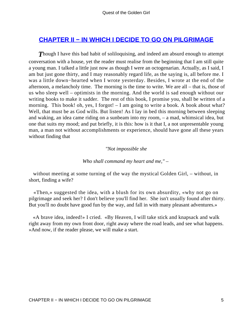## **[CHAPTER II − IN WHICH I DECIDE TO GO ON PILGRIMAGE](#page-138-0)**

**Though I have this bad habit of soliloquising, and indeed am absurd enough to attempt** conversation with a house, yet the reader must realise from the beginning that I am still quite a young man. I talked a little just now as though I were an octogenarian. Actually, as I said, I am but just gone thirty, and I may reasonably regard life, as the saying is, all before me. I was a little down−hearted when I wrote yesterday. Besides, I wrote at the end of the afternoon, a melancholy time. The morning is the time to write. We are all – that is, those of us who sleep well – optimists in the morning. And the world is sad enough without our writing books to make it sadder. The rest of this book, I promise you, shall be written of a morning. This book! oh, yes, I forgot! – I am going to write a book. A book about what? Well, that must be as God wills. But listen! As I lay in bed this morning between sleeping and waking, an idea came riding on a sunbeam into my room, – a mad, whimsical idea, but one that suits my mood; and put briefly, it is this: how is it that I, a not unpresentable young man, a man not without accomplishments or experience, should have gone all these years without finding that

#### *"Not impossible she*

#### *Who shall command my heart and me," –*

 without meeting at some turning of the way the mystical Golden Girl, – without, in short, finding a wife?

 «Then,» suggested the idea, with a blush for its own absurdity, «why not go on pilgrimage and seek her? I don't believe you'll find her. She isn't usually found after thirty. But you'll no doubt have good fun by the way, and fall in with many pleasant adventures.»

 «A brave idea, indeed!» I cried. «By Heaven, I will take stick and knapsack and walk right away from my own front door, right away where the road leads, and see what happens. »And now, if the reader please, we will make a start.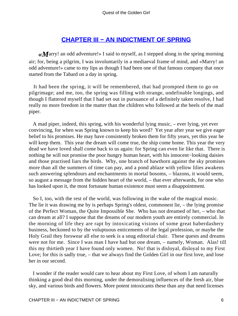## **[CHAPTER III − AN INDICTMENT OF SPRING](#page-138-0)**

*«M*arry! an odd adventure!» I said to myself, as I stepped along in the spring morning air; for, being a pilgrim, I was involuntarily in a mediaeval frame of mind, and «Marry! an odd adventure!» came to my lips as though I had been one of that famous company that once started from the Tabard on a day in spring.

 It had been the spring, it will be remembered, that had prompted them to go on pilgrimage; and me, too, the spring was filling with strange, undefinable longings, and though I flattered myself that I had set out in pursuance of a definitely taken resolve, I had really no more freedom in the matter than the children who followed at the heels of the mad piper.

 A mad piper, indeed, this spring, with his wonderful lying music, – ever lying, yet ever convincing, for when was Spring known to keep his word? Yet year after year we give eager belief to his promises. He may have consistently broken them for fifty years, yet this year he will keep them. This year the dream will come true, the ship come home. This year the very dead we have loved shall come back to us again: for Spring can even lie like that. There is nothing he will not promise the poor hungry human heart, with his innocent–looking daisies and those practised liars the birds. Why, one branch of hawthorn against the sky promises more than all the summers of time can pay, and a pond ablaze with yellow lilies awakens such answering splendours and enchantments in mortal bosoms, – blazons, it would seem, so august a message from the hidden heart of the world, – that ever afterwards, for one who has looked upon it, the most fortunate human existence must seem a disappointment.

 So I, too, with the rest of the world, was following in the wake of the magical music. The lie it was drawing me by is perhaps Spring's oldest, commonest lie, – the lying promise of the Perfect Woman, the Quite Impossible She. Who has not dreamed of her, – who that can dream at all? I suppose that the dreams of our modern youth are entirely commercial. In the morning of life they are rapt by intoxicating visions of some great haberdashery business, beckoned to by the voluptuous enticements of the legal profession, or maybe the Holy Grail they forswear all else to seek is a snug editorial chair. These quests and dreams were not for me. Since I was man I have had but one dream, – namely, Woman. Alas! till this my thirtieth year I have found only women. No! that is disloyal, disloyal to my First Love; for this is sadly true, – that we always find the Golden Girl in our first love, and lose her in our second.

 I wonder if the reader would care to hear about my First Love, of whom I am naturally thinking a good deal this morning, under the demoralising influences of the fresh air, blue sky, and various birds and flowers. More potent intoxicants these than any that need licenses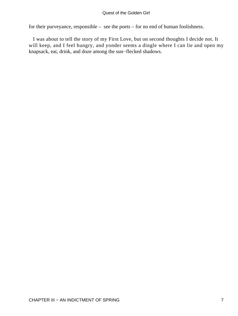for their purveyance, responsible – see the poets – for no end of human foolishness.

 I was about to tell the story of my First Love, but on second thoughts I decide not. It will keep, and I feel hungry, and yonder seems a dingle where I can lie and open my knapsack, eat, drink, and doze among the sun−flecked shadows.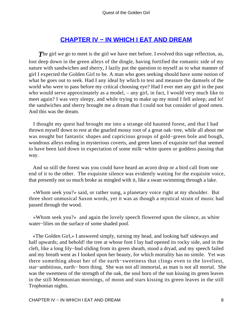## **[CHAPTER IV − IN WHICH I EAT AND DREAM](#page-138-0)**

**The girl we go to meet is the girl we have met before. I evolved this sage reflection, as,** lost deep down in the green alleys of the dingle, having fortified the romantic side of my nature with sandwiches and sherry, I lazily put the question to myself as to what manner of girl I expected the Golden Girl to be. A man who goes seeking should have some notion of what he goes out to seek. Had I any ideal by which to test and measure the damsels of the world who were to pass before my critical choosing eye? Had I ever met any girl in the past who would serve approximately as a model, – any girl, in fact, I would very much like to meet again? I was very sleepy, and while trying to make up my mind I fell asleep; and lo! the sandwiches and sherry brought me a dream that I could not but consider of good omen. And this was the dream.

 I thought my quest had brought me into a strange old haunted forest, and that I had thrown myself down to rest at the gnarled mossy root of a great oak−tree, while all about me was nought but fantastic shapes and capricious groups of gold−green bole and bough, wondrous alleys ending in mysterious coverts, and green lanes of exquisite turf that seemed to have been laid down in expectation of some milk−white queen or goddess passing that way.

 And so still the forest was you could have heard an acorn drop or a bird call from one end of it to the other. The exquisite silence was evidently waiting for the exquisite voice, that presently not so much broke as mingled with it, like a swan swimming through a lake.

 «Whom seek you?» said, or rather sung, a planetary voice right at my shoulder. But three short unmusical Saxon words, yet it was as though a mystical strain of music had passed through the wood.

 «Whom seek you?» and again the lovely speech flowered upon the silence, as white water−lilies on the surface of some shaded pool.

 «The Golden Girl,» I answered simply, turning my head, and looking half sideways and half upwards; and behold! the tree at whose foot I lay had opened its rocky side, and in the cleft, like a long lily−bud sliding from its green sheath, stood a dryad, and my speech failed and my breath went as I looked upon her beauty, for which mortality has no simile. Yet was there something about her of the earth−sweetness that clings even to the loveliest, star−ambitious, earth− born thing. She was not all immortal, as man is not all mortal. She was the sweetness of the strength of the oak, the soul born of the sun kissing its green leaves in the still Memnonian mornings, of moon and stars kissing its green leaves in the still Trophonian nights.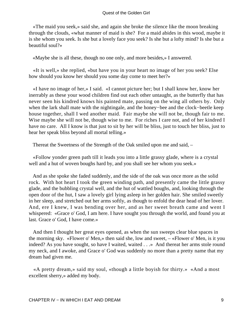«The maid you seek,» said she, and again she broke the silence like the moon breaking through the clouds, «what manner of maid is she? For a maid abides in this wood, maybe it is she whom you seek. Is she but a lovely face you seek? Is she but a lofty mind? Is she but a beautiful soul?»

«Maybe she is all these, though no one only, and more besides,» I answered.

 «It is well,» she replied, «but have you in your heart no image of her you seek? Else how should you know her should you some day come to meet her?»

 «I have no image of her,» I said. «I cannot picture her; but I shall know her, know her inerrably as these your wood children find out each other untaught, as the butterfly that has never seen his kindred knows his painted mate, passing on the wing all others by. Only when the lark shall mate with the nightingale, and the honey−bee and the clock−beetle keep house together, shall I wed another maid. Fair maybe she will not be, though fair to me. Wise maybe she will not be, though wise to me. For riches I care not, and of her kindred I have no care. All I know is that just to sit by her will be bliss, just to touch her bliss, just to hear her speak bliss beyond all mortal telling.»

Thereat the Sweetness of the Strength of the Oak smiled upon me and said, –

 «Follow yonder green path till it leads you into a little grassy glade, where is a crystal well and a hut of woven boughs hard by, and you shall see her whom you seek.»

 And as she spoke she faded suddenly, and the side of the oak was once more as the solid rock. With hot heart I took the green winding path, and presently came the little grassy glade, and the bubbling crystal well, and the hut of wattled boughs, and, looking through the open door of the hut, I saw a lovely girl lying asleep in her golden hair. She smiled sweetly in her sleep, and stretched out her arms softly, as though to enfold the dear head of her lover. And, ere I knew, I was bending over her, and as her sweet breath came and went I whispered: «Grace o' God, I am here. I have sought you through the world, and found you at last. Grace o' God, I have come.»

 And then I thought her great eyes opened, as when the sun sweeps clear blue spaces in the morning sky. «Flower o' Men,» then said she, low and sweet, – «Flower o' Men, is it you indeed? As you have sought, so have I waited, waited . . .» And thereat her arms stole round my neck, and I awoke, and Grace o' God was suddenly no more than a pretty name that my dream had given me.

 «A pretty dream,» said my soul, «though a little boyish for thirty.» «And a most excellent sherry,» added my body.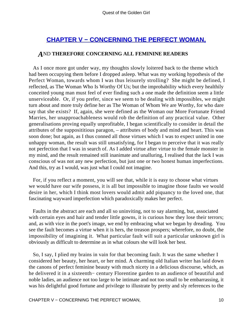## **[CHAPTER V − CONCERNING THE PERFECT WOMAN,](#page-138-0)**

#### *A*ND **THEREFORE CONCERNING ALL FEMININE READERS**

 As I once more got under way, my thoughts slowly loitered back to the theme which had been occupying them before I dropped asleep. What was my working hypothesis of the Perfect Woman, towards whom I was thus leisurely strolling? She might be defined, I reflected, as The Woman Who Is Worthy Of Us; but the improbability which every healthily conceited young man must feel of ever finding such a one made the definition seem a little unserviceable. Or, if you prefer, since we seem to be dealing with impossibles, we might turn about and more truly define her as The Woman of Whom We are Worthy, for who dare say that she exists? If, again, she were defined as the Woman our More Fortunate Friend Marries, her unapproachableness would rob the definition of any practical value. Other generalisations proving equally unprofitable, I began scientifically to consider in detail the attributes of the supposititious paragon, – attributes of body and mind and heart. This was soon done; but again, as I thus conned all those virtues which I was to expect united in one unhappy woman, the result was still unsatisfying, for I began to perceive that it was really not perfection that I was in search of. As I added virtue after virtue to the female monster in my mind, and the result remained still inanimate and unalluring, I realised that the lack I was conscious of was not any new perfection, but just one or two honest human imperfections. And this, try as I would, was just what I could not imagine.

 For, if you reflect a moment, you will see that, while it is easy to choose what virtues we would have our wife possess, it is all but impossible to imagine those faults we would desire in her, which I think most lovers would admit add piquancy to the loved one, that fascinating wayward imperfection which paradoxically makes her perfect.

 Faults in the abstract are each and all so uninviting, not to say alarming, but, associated with certain eyes and hair and tender little gowns, it is curious how they lose their terrors; and, as with vice in the poet's image, we end by embracing what we began by dreading. You see the fault becomes a virtue when it is hers, the treason prospers; wherefore, no doubt, the impossibility of imagining it. What particular fault will suit a particular unknown girl is obviously as difficult to determine as in what colours she will look her best.

 So, I say, I plied my brains in vain for that becoming fault. It was the same whether I considered her beauty, her heart, or her mind. A charming old Italian writer has laid down the canons of perfect feminine beauty with much nicety in a delicious discourse, which, as he delivered it in a sixteenth− century Florentine garden to an audience of beautiful and noble ladies, an audience not too large to be intimate and not too small to be embarrassing, it was his delightful good fortune and privilege to illustrate by pretty and sly references to the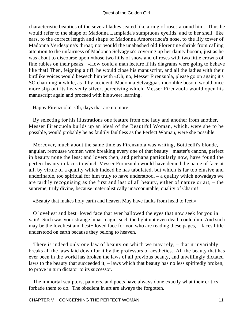characteristic beauties of the several ladies seated like a ring of roses around him. Thus he would refer to the shape of Madonna Lampiada's sumptuous eyelids, and to her shell−like ears, to the correct length and shape of Madonna Amororrisca's nose, to the lily tower of Madonna Verdespina's throat; nor would the unabashed old Florentine shrink from calling attention to the unfairness of Madonna Selvaggia's covering up her dainty bosom, just as he was about to discourse upon «those two hills of snow and of roses with two little crowns of fine rubies on their peaks. »How could a man lecture if his diagrams were going to behave like that! Then, feigning a tiff, he would close his manuscript, and all the ladies with their birdlike voices would beseech him with «Oh, no, Messer Firenzuola, please go on again; it's SO charming!» while, as if by accident, Madonna Selvaggia's moonlike bosom would once more slip out its heavenly silver, perceiving which, Messer Firenzuola would open his manuscript again and proceed with his sweet learning.

Happy Firenzuola! Oh, days that are no more!

 By selecting for his illustrations one feature from one lady and another from another, Messer Firenzuola builds up an ideal of the Beautiful Woman, which, were she to be possible, would probably be as faultily faultless as the Perfect Woman, were she possible.

 Moreover, much about the same time as Firenzuola was writing, Botticelli's blonde, angular, retrousse women were breaking every one of that beauty− master's canons, perfect in beauty none the less; and lovers then, and perhaps particularly now, have found the perfect beauty in faces to which Messer Firenzuola would have denied the name of face at all, by virtue of a quality which indeed he has tabulated, but which is far too elusive and undefinable, too spiritual for him truly to have understood, – a quality which nowadays we are tardily recognising as the first and last of all beauty, either of nature or art, – the supreme, truly divine, because materialistically unaccountable, quality of Charm!

«Beauty that makes holy earth and heaven May have faults from head to feet.»

 O loveliest and best−loved face that ever hallowed the eyes that now seek for you in vain! Such was your strange lunar magic, such the light not even death could dim. And such may be the loveliest and best− loved face for you who are reading these pages, – faces little understood on earth because they belong to heaven.

 There is indeed only one law of beauty on which we may rely, – that it invariably breaks all the laws laid down for it by the professors of aesthetics. All the beauty that has ever been in the world has broken the laws of all previous beauty, and unwillingly dictated laws to the beauty that succeeded it, – laws which that beauty has no less spiritedly broken, to prove in turn dictator to its successor.

 The immortal sculptors, painters, and poets have always done exactly what their critics forbade them to do. The obedient in art are always the forgotten.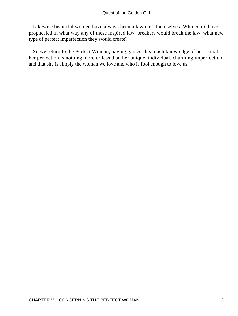Likewise beautiful women have always been a law unto themselves. Who could have prophesied in what way any of these inspired law−breakers would break the law, what new type of perfect imperfection they would create?

 So we return to the Perfect Woman, having gained this much knowledge of her, – that her perfection is nothing more or less than her unique, individual, charming imperfection, and that she is simply the woman we love and who is fool enough to love us.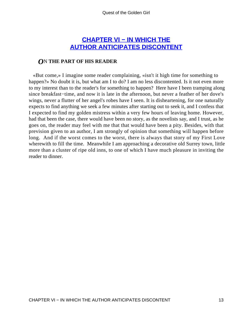## **[CHAPTER VI − IN WHICH THE](#page-138-0) [AUTHOR ANTICIPATES DISCONTENT](#page-138-0)**

#### *O*N **THE PART OF HIS READER**

 «But come,» I imagine some reader complaining, «isn't it high time for something to happen?» No doubt it is, but what am I to do? I am no less discontented. Is it not even more to my interest than to the reader's for something to happen? Here have I been tramping along since breakfast−time, and now it is late in the afternoon, but never a feather of her dove's wings, never a flutter of her angel's robes have I seen. It is disheartening, for one naturally expects to find anything we seek a few minutes after starting out to seek it, and I confess that I expected to find my golden mistress within a very few hours of leaving home. However, had that been the case, there would have been no story, as the novelists say, and I trust, as he goes on, the reader may feel with me that that would have been a pity. Besides, with that prevision given to an author, I am strongly of opinion that something will happen before long. And if the worst comes to the worst, there is always that story of my First Love wherewith to fill the time. Meanwhile I am approaching a decorative old Surrey town, little more than a cluster of ripe old inns, to one of which I have much pleasure in inviting the reader to dinner.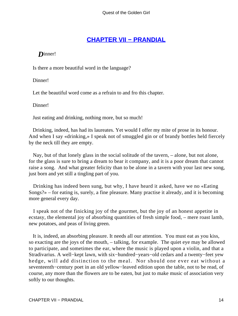## **[CHAPTER VII − PRANDIAL](#page-138-0)**

*D*inner!

Is there a more beautiful word in the language?

Dinner!

Let the beautiful word come as a refrain to and fro this chapter.

Dinner!

Just eating and drinking, nothing more, but so much!

 Drinking, indeed, has had its laureates. Yet would I offer my mite of prose in its honour. And when I say «drinking,» I speak not of smuggled gin or of brandy bottles held fiercely by the neck till they are empty.

 Nay, but of that lonely glass in the social solitude of the tavern, – alone, but not alone, for the glass is sure to bring a dream to bear it company, and it is a poor dream that cannot raise a song. And what greater felicity than to be alone in a tavern with your last new song, just born and yet still a tingling part of you.

 Drinking has indeed been sung, but why, I have heard it asked, have we no «Eating Songs?» – for eating is, surely, a fine pleasure. Many practise it already, and it is becoming more general every day.

 I speak not of the finicking joy of the gourmet, but the joy of an honest appetite in ecstasy, the elemental joy of absorbing quantities of fresh simple food, – mere roast lamb, new potatoes, and peas of living green.

 It is, indeed, an absorbing pleasure. It needs all our attention. You must eat as you kiss, so exacting are the joys of the mouth, – talking, for example. The quiet eye may be allowed to participate, and sometimes the ear, where the music is played upon a violin, and that a Stradivarius. A well−kept lawn, with six−hundred−years−old cedars and a twenty−feet yew hedge, will add distinction to the meal. Nor should one ever eat without a seventeenth−century poet in an old yellow−leaved edition upon the table, not to be read, of course, any more than the flowers are to be eaten, but just to make music of association very softly to our thoughts.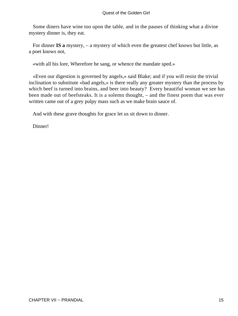Some diners have wine too upon the table, and in the pauses of thinking what a divine mystery dinner is, they eat.

 For dinner **IS a** mystery, – a mystery of which even the greatest chef knows but little, as a poet knows not,

«with all his lore, Wherefore he sang, or whence the mandate sped.»

 «Even our digestion is governed by angels,» said Blake; and if you will resist the trivial inclination to substitute «bad angels,» is there really any greater mystery than the process by which beef is turned into brains, and beer into beauty? Every beautiful woman we see has been made out of beefsteaks. It is a solemn thought, – and the finest poem that was ever written came out of a grey pulpy mass such as we make brain sauce of.

And with these grave thoughts for grace let us sit down to dinner.

Dinner!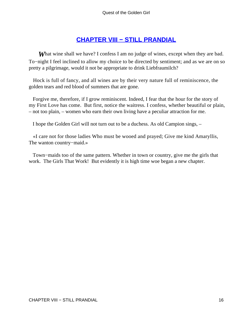## **[CHAPTER VIII − STILL PRANDIAL](#page-138-0)**

**What wine shall we have?** I confess I am no judge of wines, except when they are bad. To−night I feel inclined to allow my choice to be directed by sentiment; and as we are on so pretty a pilgrimage, would it not be appropriate to drink Liebfraumilch?

 Hock is full of fancy, and all wines are by their very nature full of reminiscence, the golden tears and red blood of summers that are gone.

 Forgive me, therefore, if I grow reminiscent. Indeed, I fear that the hour for the story of my First Love has come. But first, notice the waitress. I confess, whether beautiful or plain, – not too plain, – women who earn their own living have a peculiar attraction for me.

I hope the Golden Girl will not turn out to be a duchess. As old Campion sings, –

 «I care not for those ladies Who must be wooed and prayed; Give me kind Amaryllis, The wanton country−maid.»

 Town−maids too of the same pattern. Whether in town or country, give me the girls that work. The Girls That Work! But evidently it is high time woe began a new chapter.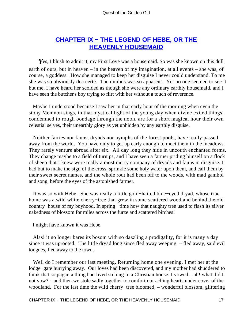## **[CHAPTER IX − THE LEGEND OF HEBE, OR THE](#page-138-0) [HEAVENLY HOUSEMAID](#page-138-0)**

**Y**es, I blush to admit it, my First Love was a housemaid. So was she known on this dull earth of ours, but in heaven – in the heaven of my imagination, at all events – she was, of course, a goddess. How she managed to keep her disguise I never could understand. To me she was so obviously dea certe. The nimbus was so apparent. Yet no one seemed to see it but me. I have heard her scolded as though she were any ordinary earthly housemaid, and I have seen the butcher's boy trying to flirt with her without a touch of reverence.

 Maybe I understood because I saw her in that early hour of the morning when even the stony Memnon sings, in that mystical light of the young day when divine exiled things, condemned to rough bondage through the noon, are for a short magical hour their own celestial selves, their unearthly glory as yet unhidden by any earthly disguise.

 Neither fairies nor fauns, dryads nor nymphs of the forest pools, have really passed away from the world. You have only to get up early enough to meet them in the meadows. They rarely venture abroad after six. All day long they hide in uncouth enchanted forms. They change maybe to a field of turnips, and I have seen a farmer priding himself on a flock of sheep that I knew were really a most merry company of dryads and fauns in disguise. I had but to make the sign of the cross, sprinkle some holy water upon them, and call them by their sweet secret names, and the whole rout had been off to the woods, with mad gambol and song, before the eyes of the astonished farmer.

 It was so with Hebe. She was really a little gold−haired blue−eyed dryad, whose true home was a wild white cherry−tree that grew in some scattered woodland behind the old country−house of my boyhood. In spring− time how that naughty tree used to flash its silver nakedness of blossom for miles across the furze and scattered birches!

I might have known it was Hebe.

 Alas! it no longer bares its bosom with so dazzling a prodigality, for it is many a day since it was uprooted. The little dryad long since fled away weeping, – fled away, said evil tongues, fled away to the town.

 Well do I remember our last meeting. Returning home one evening, I met her at the lodge−gate hurrying away. Our loves had been discovered, and my mother had shuddered to think that so pagan a thing had lived so long in a Christian house. I vowed – ah! what did I not vow? – and then we stole sadly together to comfort our aching hearts under cover of the woodland. For the last time the wild cherry−tree bloomed, – wonderful blossom, glittering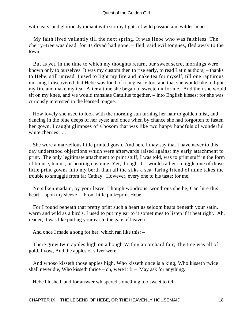with tears, and gloriously radiant with stormy lights of wild passion and wilder hopes.

 My faith lived valiantly till the next spring. It was Hebe who was faithless. The cherry−tree was dead, for its dryad had gone, – fled, said evil tongues, fled away to the town!

 But as yet, in the time to which my thoughts return, our sweet secret mornings were known only to ourselves. It was my custom then to rise early, to read Latin authors, – thanks to Hebe, still unread. I used to light my fire and make tea for myself, till one rapturous morning I discovered that Hebe was fond of rising early too, and that she would like to light my fire and make my tea. After a time she began to sweeten it for me. And then she would sit on my knee, and we would translate Catullus together, – into English kisses; for she was curiously interested in the learned tongue.

 How lovely she used to look with the morning sun turning her hair to golden mist, and dancing in the blue deeps of her eyes; and once when by chance she had forgotten to fasten her gown, I caught glimpses of a bosom that was like two happy handfuls of wonderful white cherries . . .

 She wore a marvellous little printed gown. And here I may say that I have never to this day understood objections which were afterwards raised against my early attachment to print. The only legitimate attachment to print stuff, I was told, was to print stuff in the form of blouse, tennis, or boating costume. Yet, thought I, I would rather smuggle one of those little print gowns into my berth than all the silks a sea−faring friend of mine takes the trouble to smuggle from far Cathay. However, every one to his taste; for me,

 No silken madam, by your leave, Though wondrous, wondrous she be, Can lure this heart – upon my sleeve – From little pink−print Hebe.

 For I found beneath that pretty print such a heart as seldom beats beneath your satin, warm and wild as a bird's. I used to put my ear to it sometimes to listen if it beat right. Ah, reader, it was like putting your ear to the gate of heaven.

And once I made a song for her, which ran like this: –

 There grew twin apples high on a bough Within an orchard fair; The tree was all of gold, I vow, And the apples of silver were.

 And whoso kisseth those apples high, Who kisseth once is a king, Who kisseth twice shall never die, Who kisseth thrice – oh, were it  $I!$  – May ask for anything.

Hebe blushed, and for answer whispered something too sweet to tell.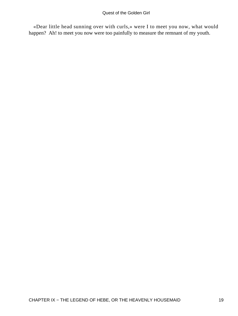«Dear little head sunning over with curls,» were I to meet you now, what would happen? Ah! to meet you now were too painfully to measure the remnant of my youth.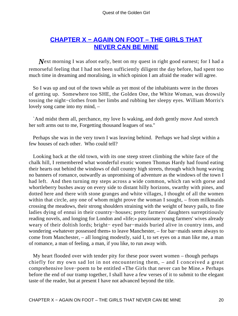## **[CHAPTER X − AGAIN ON FOOT – THE GIRLS THAT](#page-138-0) [NEVER CAN BE MINE](#page-138-0)**

*Next* morning I was afoot early, bent on my quest in right good earnest; for I had a remorseful feeling that I had not been sufficiently diligent the day before, had spent too much time in dreaming and moralising, in which opinion I am afraid the reader will agree.

 So I was up and out of the town while as yet most of the inhabitants were in the throes of getting up. Somewhere too SHE, the Golden One, the White Woman, was drowsily tossing the night−clothes from her limbs and rubbing her sleepy eyes. William Morris's lovely song came into my mind, –

 `And midst them all, perchance, my love Is waking, and doth gently move And stretch her soft arms out to me, Forgetting thousand leagues of sea."

 Perhaps she was in the very town I was leaving behind. Perhaps we had slept within a few houses of each other. Who could tell?

 Looking back at the old town, with its one steep street climbing the white face of the chalk hill, I remembered what wonderful exotic women Thomas Hardy had found eating their hearts out behind the windows of dull country high streets, through which hung waving no banners of romance, outwardly as unpromising of adventure as the windows of the town I had left. And then turning my steps across a wide common, which ran with gorse and whortleberry bushes away on every side to distant hilly horizons, swarthy with pines, and dotted here and there with stone granges and white villages, I thought of all the women within that circle, any one of whom might prove the woman I sought, – from milkmaids crossing the meadows, their strong shoulders straining with the weight of heavy pails, to fine ladies dying of ennui in their country−houses; pretty farmers' daughters surreptitiously reading novels, and longing for London and «life;» passionate young farmers' wives already weary of their doltish lords; bright− eyed bar−maids buried alive in country inns, and wondering «whatever possessed them» to leave Manchester, – for bar−maids seem always to come from Manchester, – all longing modestly, said I, to set eyes on a man like me, a man of romance, a man of feeling, a man, if you like, to run away with.

 My heart flooded over with tender pity for these poor sweet women – though perhaps chiefly for my own sad lot in not encountering them, – and I conceived a great comprehensive love−poem to be entitled «The Girls that never can be Mine.» Perhaps before the end of our tramp together, I shall have a few verses of it to submit to the elegant taste of the reader, but at present I have not advanced beyond the title.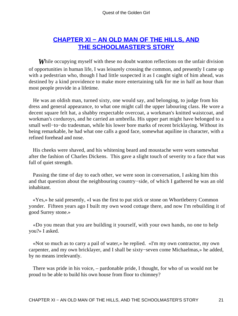## **[CHAPTER XI − AN OLD MAN OF THE HILLS, AND](#page-138-0) [THE SCHOOLMASTER'S STORY](#page-138-0)**

*While occupying myself with these no doubt wanton reflections on the unfair division* of opportunities in human life, I was leisurely crossing the common, and presently I came up with a pedestrian who, though I had little suspected it as I caught sight of him ahead, was destined by a kind providence to make more entertaining talk for me in half an hour than most people provide in a lifetime.

 He was an oldish man, turned sixty, one would say, and belonging, to judge from his dress and general appearance, to what one might call the upper labouring class. He wore a decent square felt hat, a shabby respectable overcoat, a workman's knitted waistcoat, and workman's corduroys, and he carried an umbrella. His upper part might have belonged to a small well–to–do tradesman, while his lower bore marks of recent bricklaying. Without its being remarkable, he had what one calls a good face, somewhat aquiline in character, with a refined forehead and nose.

 His cheeks were shaved, and his whitening beard and moustache were worn somewhat after the fashion of Charles Dickens. This gave a slight touch of severity to a face that was full of quiet strength.

 Passing the time of day to each other, we were soon in conversation, I asking him this and that question about the neighbouring country−side, of which I gathered he was an old inhabitant.

 «Yes,» he said presently, «I was the first to put stick or stone on Whortleberry Common yonder. Fifteen years ago I built my own wood cottage there, and now I'm rebuilding it of good Surrey stone.»

 «Do you mean that you are building it yourself, with your own hands, no one to help you?» I asked.

 «Not so much as to carry a pail of water,» he replied. «I'm my own contractor, my own carpenter, and my own bricklayer, and I shall be sixty−seven come Michaelmas,» he added, by no means irrelevantly.

 There was pride in his voice, – pardonable pride, I thought, for who of us would not be proud to be able to build his own house from floor to chimney?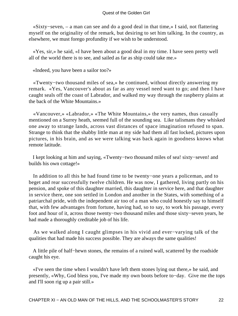«Sixty−seven, – a man can see and do a good deal in that time,» I said, not flattering myself on the originality of the remark, but desiring to set him talking. In the country, as elsewhere, we must forego profundity if we wish to be understood.

 «Yes, sir,» he said, «I have been about a good deal in my time. I have seen pretty well all of the world there is to see, and sailed as far as ship could take me.»

«Indeed, you have been a sailor too?»

 «Twenty−two thousand miles of sea,» he continued, without directly answering my remark. «Yes, Vancouver's about as far as any vessel need want to go; and then I have caught seals off the coast of Labrador, and walked my way through the raspberry plains at the back of the White Mountains.»

 «Vancouver,» «Labrador,» «The White Mountains,» the very names, thus casually mentioned on a Surrey heath, seemed full of the sounding sea. Like talismans they whisked one away to strange lands, across vast distances of space imagination refused to span. Strange to think that the shabby little man at my side had them all fast locked, pictures upon pictures, in his brain, and as we were talking was back again in goodness knows what remote latitude.

 I kept looking at him and saying, «Twenty−two thousand miles of sea! sixty−seven! and builds his own cottage!»

 In addition to all this he had found time to be twenty−one years a policeman, and to beget and rear successfully twelve children. He was now, I gathered, living partly on his pension, and spoke of this daughter married, this daughter in service here, and that daughter in service there, one son settled in London and another in the States, with something of a patriarchal pride, with the independent air too of a man who could honestly say to himself that, with few advantages from fortune, having had, so to say, to work his passage, every foot and hour of it, across those twenty−two thousand miles and those sixty−seven years, he had made a thoroughly creditable job of his life.

 As we walked along I caught glimpses in his vivid and ever−varying talk of the qualities that had made his success possible. They are always the same qualities!

 A little pile of half−hewn stones, the remains of a ruined wall, scattered by the roadside caught his eye.

 «I've seen the time when I wouldn't have left them stones lying out there,» he said, and presently, «Why, God bless you, I've made my own boots before to−day. Give me the tops and I'll soon rig up a pair still.»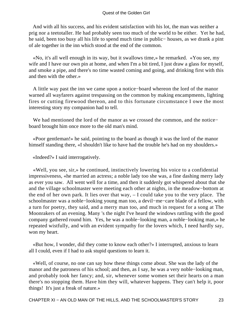#### Quest of the Golden Girl

 And with all his success, and his evident satisfaction with his lot, the man was neither a prig nor a teetotaller. He had probably seen too much of the world to be either. Yet he had, he said, been too busy all his life to spend much time in public− houses, as we drank a pint of ale together in the inn which stood at the end of the common.

 «No, it's all well enough in its way, but it swallows time,» he remarked. «You see, my wife and I have our own pin at home, and when I'm a bit tired, I just draw a glass for myself, and smoke a pipe, and there's no time wasted coming and going, and drinking first with this and then with the other.»

 A little way past the inn we came upon a notice−board whereon the lord of the manor warned all wayfarers against trespassing on the common by making encampments, lighting fires or cutting firewood thereon, and to this fortunate circumstance I owe the most interesting story my companion had to tell.

 We had mentioned the lord of the manor as we crossed the common, and the notice− board brought him once more to the old man's mind.

 «Poor gentleman!» he said, pointing to the board as though it was the lord of the manor himself standing there, «I shouldn't like to have had the trouble he's had on my shoulders.»

«Indeed?» I said interrogatively.

 «Well, you see, sir,» he continued, instinctively lowering his voice to a confidential impressiveness, «he married an actress; a noble lady too she was, a fine dashing merry lady as ever you saw. All went well for a time, and then it suddenly got whispered about that she and the village schoolmaster were meeting each other at nights, in the meadow−bottom at the end of her own park. It lies over that way, – I could take you to the very place. The schoolmaster was a noble−looking young man too, a devil−me−care blade of a fellow, with a turn for poetry, they said, and a merry man too, and much in request for a song at The Moonrakers of an evening. Many 's the night I've heard the windows rattling with the good company gathered round him. Yes, he was a noble−looking man, a noble−looking man,» he repeated wistfully, and with an evident sympathy for the lovers which, I need hardly say, won my heart.

 «But how, I wonder, did they come to know each other?» I interrupted, anxious to learn all I could, even if I had to ask stupid questions to learn it.

 «Well, of course, no one can say how these things come about. She was the lady of the manor and the patroness of his school; and then, as I say, he was a very noble−looking man, and probably took her fancy; and, sir, whenever some women set their hearts on a man there's no stopping them. Have him they will, whatever happens. They can't help it, poor things! It's just a freak of nature.»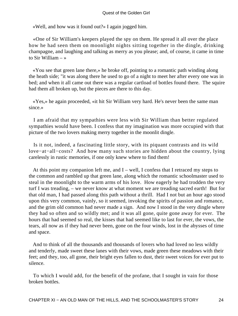«Well, and how was it found out?» I again jogged him.

 «One of Sir William's keepers played the spy on them. He spread it all over the place how he had seen them on moonlight nights sitting together in the dingle, drinking champagne, and laughing and talking as merry as you please; and, of course, it came in time to Sir William – »

 «You see that green lane there,» he broke off, pointing to a romantic path winding along the heath side; "it was along there he used to go of a night to meet her after every one was in bed; and when it all came out there was a regular cartload of bottles found there. The squire had them all broken up, but the pieces are there to this day.

 «Yes,» he again proceeded, «it hit Sir William very hard. He's never been the same man since.»

 I am afraid that my sympathies were less with Sir William than better regulated sympathies would have been. I confess that my imagination was more occupied with that picture of the two lovers making merry together in the moonlit dingle.

 Is it not, indeed, a fascinating little story, with its piquant contrasts and its wild love−at−all−costs? And how many such stories are hidden about the country, lying carelessly in rustic memories, if one only knew where to find them!

At this point my companion left me, and  $I$  – well, I confess that I retraced my steps to the common and rambled up that green lane, along which the romantic schoolmaster used to steal in the moonlight to the warm arms of his love. How eagerly he had trodden the very turf I was treading, – we never know at what moment we are treading sacred earth! But for that old man, I had passed along this path without a thrill. Had I not but an hour ago stood upon this very common, vainly, so it seemed, invoking the spirits of passion and romance, and the grim old common had never made a sign. And now I stood in the very dingle where they had so often and so wildly met; and it was all gone, quite gone away for ever. The hours that had seemed so real, the kisses that had seemed like to last for ever, the vows, the tears, all now as if they had never been, gone on the four winds, lost in the abysses of time and space.

 And to think of all the thousands and thousands of lovers who had loved no less wildly and tenderly, made sweet these lanes with their vows, made green these meadows with their feet; and they, too, all gone, their bright eyes fallen to dust, their sweet voices for ever put to silence.

 To which I would add, for the benefit of the profane, that I sought in vain for those broken bottles.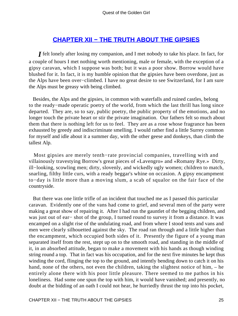## **[CHAPTER XII − THE TRUTH ABOUT THE GIPSIES](#page-138-0)**

*I* felt lonely after losing my companion, and I met nobody to take his place. In fact, for a couple of hours I met nothing worth mentioning, male or female, with the exception of a gipsy caravan, which I suppose was both; but it was a poor show. Borrow would have blushed for it. In fact, it is my humble opinion that the gipsies have been overdone, just as the Alps have been over−climbed. I have no great desire to see Switzerland, for I am sure the Alps must be greasy with being climbed.

 Besides, the Alps and the gipsies, in common with waterfalls and ruined castles, belong to the ready−made operatic poetry of the world, from which the last thrill has long since departed. They are, so to say, public poetry, the public property of the emotions, and no longer touch the private heart or stir the private imagination. Our fathers felt so much about them that there is nothing left for us to feel. They are as a rose whose fragrance has been exhausted by greedy and indiscriminate smelling. I would rather find a little Surrey common for myself and idle about it a summer day, with the other geese and donkeys, than climb the tallest Alp.

 Most gipsies are merely tenth−rate provincial companies, travelling with and villainously travestying Borrow's great pieces of «Lavengro» and «Romany Rye.» Dirty, ill−looking, scowling men; dirty, slovenly, and wickedly ugly women; children to match, snarling, filthy little curs, with a ready beggar's whine on occasion. A gipsy encampment to−day is little more than a moving slum, a scab of squalor on the fair face of the countryside.

 But there was one little trifle of an incident that touched me as I passed this particular caravan. Evidently one of the vans had come to grief, and several men of the party were making a great show of repairing it. After I had run the gauntlet of the begging children, and was just out of ear− shot of the group, I turned round to survey it from a distance. It was encamped on a slight rise of the undulating road, and from where I stood tents and vans and men were clearly silhouetted against the sky. The road ran through and a little higher than the encampment, which occupied both sides of it. Presently the figure of a young man separated itself from the rest, stept up on to the smooth road, and standing in the middle of it, in an absorbed attitude, began to make a movement with his hands as though winding string round a top. That in fact was his occupation, and for the next five minutes he kept thus winding the cord, flinging the top to the ground, and intently bending down to catch it on his hand, none of the others, not even the children, taking the slightest notice of him, – he entirely alone there with his poor little pleasure. There seemed to me pathos in his loneliness. Had some one spun the top with him, it would have vanished; and presently, no doubt at the bidding of an oath I could not hear, he hurriedly thrust the top into his pocket,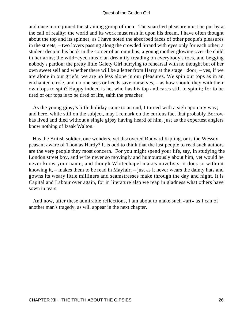and once more joined the straining group of men. The snatched pleasure must be put by at the call of reality; the world and its work must rush in upon his dream. I have often thought about the top and its spinner, as I have noted the absorbed faces of other people's pleasures in the streets, – two lovers passing along the crowded Strand with eyes only for each other; a student deep in his book in the corner of an omnibus; a young mother glowing over the child in her arms; the wild−eyed musician dreamily treading on everybody's toes, and begging nobody's pardon; the pretty little Gaiety Girl hurrying to rehearsal with no thought but of her own sweet self and whether there will be a letter from Harry at the stage− door, – yes, if we are alone in our griefs, we are no less alone in our pleasures. We spin our tops as in an enchanted circle, and no one sees or heeds save ourselves, – as how should they with their own tops to spin? Happy indeed is he, who has his top and cares still to spin it; for to be tired of our tops is to be tired of life, saith the preacher.

 As the young gipsy's little holiday came to an end, I turned with a sigh upon my way; and here, while still on the subject, may I remark on the curious fact that probably Borrow has lived and died without a single gipsy having heard of him, just as the expertest anglers know nothing of Izaak Walton.

 Has the British soldier, one wonders, yet discovered Rudyard Kipling, or is the Wessex peasant aware of Thomas Hardy? It is odd to think that the last people to read such authors are the very people they most concern. For you might spend your life, say, in studying the London street boy, and write never so movingly and humourously about him, yet would he never know your name; and though Whitechapel makes novelists, it does so without knowing it, – makes them to be read in Mayfair, – just as it never wears the dainty hats and gowns its weary little milliners and seamstresses make through the day and night. It is Capital and Labour over again, for in literature also we reap in gladness what others have sown in tears.

 And now, after these admirable reflections, I am about to make such «art» as I can of another man's tragedy, as will appear in the next chapter.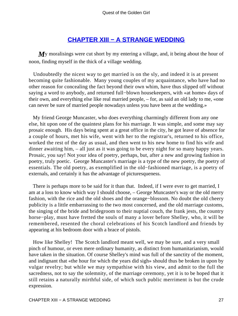## **[CHAPTER XIII − A STRANGE WEDDING](#page-138-0)**

My moralisings were cut short by my entering a village, and, it being about the hour of noon, finding myself in the thick of a village wedding.

 Undoubtedly the nicest way to get married is on the sly, and indeed it is at present becoming quite fashionable. Many young couples of my acquaintance, who have had no other reason for concealing the fact beyond their own whim, have thus slipped off without saying a word to anybody, and returned full−blown housekeepers, with «at home» days of their own, and everything else like real married people, – for, as said an old lady to me, «one can never be sure of married people nowadays unless you have been at the wedding.»

 My friend George Muncaster, who does everything charmingly different from any one else, hit upon one of the quaintest plans for his marriage. It was simple, and some may say prosaic enough. His days being spent at a great office in the city, he got leave of absence for a couple of hours, met his wife, went with her to the registrar's, returned to his office, worked the rest of the day as usual, and then went to his new home to find his wife and dinner awaiting him, – all just as it was going to be every night for so many happy years. Prosaic, you say! Not your idea of poetry, perhaps, but, after a new and growing fashion in poetry, truly poetic. George Muncaster's marriage is a type of the new poetry, the poetry of essentials. The old poetry, as exemplified in the old−fashioned marriage, is a poetry of externals, and certainly it has the advantage of picturesqueness.

 There is perhaps more to be said for it than that. Indeed, if I were ever to get married, I am at a loss to know which way I should choose, – George Muncaster's way or the old merry fashion, with the rice and the old shoes and the orange−blossom. No doubt the old cheery publicity is a little embarrassing to the two most concerned, and the old marriage customs, the singing of the bride and bridegroom to their nuptial couch, the frank jests, the country horse−play, must have fretted the souls of many a lover before Shelley, who, it will be remembered, resented the choral celebrations of his Scotch landlord and friends by appearing at his bedroom door with a brace of pistols.

 How like Shelley! The Scotch landlord meant well, we may be sure, and a very small pinch of humour, or even mere ordinary humanity, as distinct from humanitarianism, would have taken in the situation. Of course Shelley's mind was full of the sanctity of the moment, and indignant that «the hour for which the years did sigh» should thus be broken in upon by vulgar revelry; but while we may sympathise with his view, and admit to the full the sacredness, not to say the solemnity, of the marriage ceremony, yet it is to be hoped that it still retains a naturally mirthful side, of which such public merriment is but the crude expression.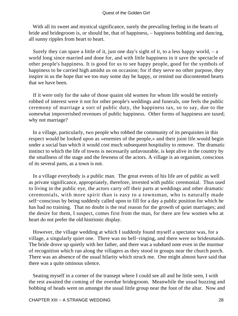With all its sweet and mystical significance, surely the prevailing feeling in the hearts of bride and bridegroom is, or should be, that of happiness, – happiness bubbling and dancing, all sunny ripples from heart to heart.

Surely they can spare a little of it, just one day's sight of it, to a less happy world,  $-$  a world long since married and done for, and with little happiness in it save the spectacle of other people's happiness. It is good for us to see happy people, good for the symbols of happiness to be carried high amidst us on occasion; for if they serve no other purpose, they inspire in us the hope that we too may some day be happy, or remind our discontented hearts that we have been.

 If it were only for the sake of those quaint old women for whom life would be entirely robbed of interest were it not for other people's weddings and funerals, one feels the public ceremony of marriage a sort of public duty, the happiness tax, so to say, due to the somewhat impoverished revenues of public happiness. Other forms of happiness are taxed; why not marriage?

 In a village, particularly, two people who robbed the community of its perquisites in this respect would be looked upon as «enemies of the people,» and their joint life would begin under a social ban which it would cost much subsequent hospitality to remove. The dramatic instinct to which the life of towns is necessarily unfavourable, is kept alive in the country by the smallness of the stage and the fewness of the actors. A village is an organism, conscious of its several parts, as a town is not.

 In a village everybody is a public man. The great events of his life are of public as well as private significance, appropriately, therefore, invested with public ceremonial. Thus used to living in the public eye, the actors carry off their parts at weddings and other dramatic ceremonials, with more spirit than is easy to a townsman, who is naturally made self−conscious by being suddenly called upon to fill for a day a public position for which he has had no training. That no doubt is the real reason for the growth of quiet marriages; and the desire for them, I suspect, comes first from the man, for there are few women who at heart do not prefer the old histrionic display.

 However, the village wedding at which I suddenly found myself a spectator was, for a village, a singularly quiet one. There was no bell−ringing, and there were no bridesmaids. The bride drove up quietly with her father, and there was a subdued note even in the murmur of recognition which ran along the villagers as they stood in groups near the church porch. There was an absence of the usual hilarity which struck me. One might almost have said that there was a quite ominous silence.

 Seating myself in a corner of the transept where I could see all and be little seen, I with the rest awaited the coming of the overdue bridegroom. Meanwhile the usual buzzing and bobbing of heads went on amongst the usual little group near the foot of the altar. Now and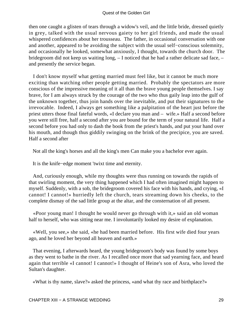then one caught a glisten of tears through a widow's veil, and the little bride, dressed quietly in grey, talked with the usual nervous gaiety to her girl friends, and made the usual whispered confidences about her trousseau. The father, in occasional conversation with one and another, appeared to be avoiding the subject with the usual self−conscious solemnity, and occasionally he looked, somewhat anxiously, I thought, towards the church door. The bridegroom did not keep us waiting long, – I noticed that he had a rather delicate sad face, – and presently the service began.

 I don't know myself what getting married must feel like, but it cannot be much more exciting than watching other people getting married. Probably the spectators are more conscious of the impressive meaning of it all than the brave young people themselves. I say brave, for I am always struck by the courage of the two who thus gaily leap into the gulf of the unknown together, thus join hands over the inevitable, and put their signatures to the irrevocable. Indeed, I always get something like a palpitation of the heart just before the priest utters those final fateful words, «I declare you man and – wife.» Half a second before you were still free, half a second after you are bound for the term of your natural life. Half a second before you had only to dash the book from the priest's hands, and put your hand over his mouth, and though thus giddily swinging on the brink of the precipice, you are saved. Half a second after

Not all the king's horses and all the king's men Can make you a bachelor ever again.

It is the knife−edge moment 'twixt time and eternity.

 And, curiously enough, while my thoughts were thus running on towards the rapids of that swirling moment, the very thing happened which I had often imagined might happen to myself. Suddenly, with a sob, the bridegroom covered his face with his hands, and crying, «I cannot! I cannot!» hurriedly left the church, tears streaming down his cheeks, to the complete dismay of the sad little group at the altar, and the consternation of all present.

 «Poor young man! I thought he would never go through with it,» said an old woman half to herself, who was sitting near me. I involuntarily looked my desire of explanation.

 «Well, you see,» she said, «he had been married before. His first wife died four years ago, and he loved her beyond all heaven and earth.»

 That evening, I afterwards heard, the young bridegroom's body was found by some boys as they went to bathe in the river. As I recalled once more that sad yearning face, and heard again that terrible «I cannot! I cannot!» I thought of Heine's son of Asra, who loved the Sultan's daughter.

«What is thy name, slave?» asked the princess, «and what thy race and birthplace?»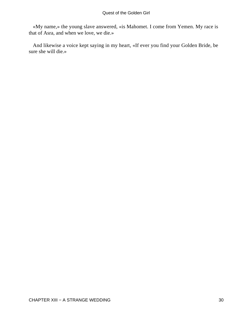«My name,» the young slave answered, «is Mahomet. I come from Yemen. My race is that of Asra, and when we love, we die.»

 And likewise a voice kept saying in my heart, «If ever you find your Golden Bride, be sure she will die.»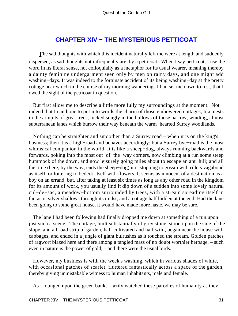## **[CHAPTER XIV − THE MYSTERIOUS PETTICOAT](#page-138-0)**

**The sad thoughts with which this incident naturally left me were at length and suddenly** dispersed, as sad thoughts not infrequently are, by a petticoat. When I say petticoat, I use the word in its literal sense, not colloquially as a metaphor for its usual wearer, meaning thereby a dainty feminine undergarment seen only by men on rainy days, and one might add washing−days. It was indeed to the fortunate accident of its being washing−day at the pretty cottage near which in the course of my morning wanderings I had set me down to rest, that I owed the sight of the petticoat in question.

 But first allow me to describe a little more fully my surroundings at the moment. Not indeed that I can hope to put into words the charm of those embowered cottages, like nests in the armpits of great trees, tucked snugly in the hollows of those narrow, winding, almost subterranean lanes which burrow their way beneath the warm−hearted Surrey woodlands.

 Nothing can be straighter and smoother than a Surrey road – when it is on the king's business; then it is a high−road and behaves accordingly: but a Surrey bye−road is the most whimsical companion in the world. It is like a sheep−dog, always running backwards and forwards, poking into the most out−of−the−way corners, now climbing at a run some steep hummock of the down, and now leisurely going miles about to escape an ant−hill; and all the time (here, by the way, ends the sheep−dog) it is stopping to gossip with rillets vagabond as itself, or loitering to bedeck itself with flowers. It seems as innocent of a destination as a boy on an errand; but, after taking at least six times as long as any other road in the kingdom for its amount of work, you usually find it dip down of a sudden into some lovely natural cul−de−sac, a meadow−bottom surrounded by trees, with a stream spreading itself in fantastic silver shallows through its midst, and a cottage half hidden at the end. Had the lane been going to some great house, it would have made more haste, we may be sure.

 The lane I had been following had finally dropped me down at something of a run upon just such a scene. The cottage, built substantially of grey stone, stood upon the side of the slope, and a broad strip of garden, half cultivated and half wild, began near the house with cabbages, and ended in a jungle of giant bulrushes as it touched the stream. Golden patches of ragwort blazed here and there among a tangled mass of no doubt worthier herbage, – such even in nature is the power of gold, – and there were the usual birds.

 However, my business is with the week's washing, which in various shades of white, with occasional patches of scarlet, fluttered fantastically across a space of the garden, thereby giving unmistakable witness to human inhabitants, male and female.

As I lounged upon the green bank, I lazily watched these parodies of humanity as they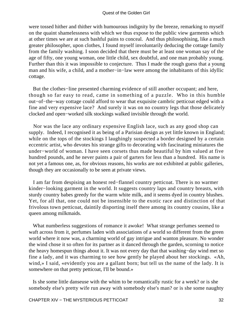were tossed hither and thither with humourous indignity by the breeze, remarking to myself on the quaint shamelessness with which we thus expose to the public view garments which at other times we are at such bashful pains to conceal. And thus philosophising, like a much greater philosopher, upon clothes, I found myself involuntarily deducing the cottage family from the family washing. I soon decided that there must be at least one woman say of the age of fifty, one young woman, one little child, sex doubtful, and one man probably young. Further than this it was impossible to conjecture. Thus I made the rough guess that a young man and his wife, a child, and a mother−in−law were among the inhabitants of this idyllic cottage.

 But the clothes−line presented charming evidence of still another occupant; and here, though so far easy to read, came in something of a puzzle. Who in this humble out−of−the−way cottage could afford to wear that exquisite cambric petticoat edged with a fine and very expensive lace? And surely it was on no country legs that those delicately clocked and open−worked silk stockings walked invisible through the world.

 Nor was the lace any ordinary expensive English lace, such as any good shop can supply. Indeed, I recognised it as being of a Parisian design as yet little known in England; while on the tops of the stockings I laughingly suspected a border designed by a certain eccentric artist, who devotes his strange gifts to decorating with fascinating miniatures the under−world of woman. I have seen corsets thus made beautiful by him valued at five hundred pounds, and he never paints a pair of garters for less than a hundred. His name is not yet a famous one, as, for obvious reasons, his works are not exhibited at public galleries, though they are occasionally to be seen at private views.

 I am far from despising an honest red−flannel country petticoat. There is no warmer kinder−looking garment in the world. It suggests country laps and country breasts, with sturdy country babes greedy for the warm white milk, and it seems dyed in country blushes. Yet, for all that, one could not be insensible to the exotic race and distinction of that frivolous town petticoat, daintily disporting itself there among its country cousins, like a queen among milkmaids.

 What numberless suggestions of romance it awoke! What strange perfumes seemed to waft across from it, perfumes laden with associations of a world so different from the green world where it now was, a charming world of gay intrigue and wanton pleasure. No wonder the wind chose it so often for its partner as it danced through the garden, scorning to notice the heavy homespun things about it. It was not every day that that washing−day wind met so fine a lady, and it was charming to see how gently he played about her stockings. «Ah, wind,» I said, «evidently you are a gallant born; but tell us the name of the lady. It is somewhere on that pretty petticoat, I'll be bound.»

 Is she some little danseuse with the whim to be romantically rustic for a week? or is she somebody else's pretty wife run away with somebody else's man? or is she some naughty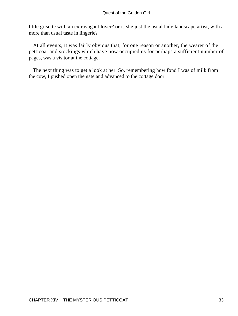little grisette with an extravagant lover? or is she just the usual lady landscape artist, with a more than usual taste in lingerie?

 At all events, it was fairly obvious that, for one reason or another, the wearer of the petticoat and stockings which have now occupied us for perhaps a sufficient number of pages, was a visitor at the cottage.

 The next thing was to get a look at her. So, remembering how fond I was of milk from the cow, I pushed open the gate and advanced to the cottage door.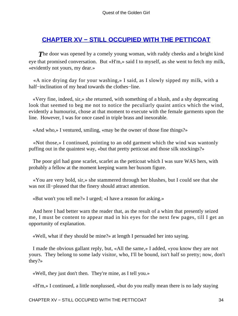## **[CHAPTER XV − STILL OCCUPIED WITH THE PETTICOAT](#page-138-0)**

**The door was opened by a comely young woman, with ruddy cheeks and a bright kind** eye that promised conversation. But «H'm,» said I to myself, as she went to fetch my milk, «evidently not yours, my dear.»

 «A nice drying day for your washing,» I said, as I slowly sipped my milk, with a half−inclination of my head towards the clothes−line.

 «Very fine, indeed, sir,» she returned, with something of a blush, and a shy deprecating look that seemed to beg me not to notice the peculiarly quaint antics which the wind, evidently a humourist, chose at that moment to execute with the female garments upon the line. However, I was for once cased in triple brass and inexorable.

«And who,» I ventured, smiling, «may be the owner of those fine things?»

 «Not those,» I continued, pointing to an odd garment which the wind was wantonly puffing out in the quaintest way, «but that pretty petticoat and those silk stockings?»

 The poor girl had gone scarlet, scarlet as the petticoat which I was sure WAS hers, with probably a fellow at the moment keeping warm her buxom figure.

 «You are very bold, sir,» she stammered through her blushes, but I could see that she was not ill−pleased that the finery should attract attention.

«But won't you tell me?» I urged; «I have a reason for asking.»

 And here I had better warn the reader that, as the result of a whim that presently seized me, I must be content to appear mad in his eyes for the next few pages, till I get an opportunity of explanation.

«Well, what if they should be mine?» at length I persuaded her into saying.

 I made the obvious gallant reply, but, «All the same,» I added, «you know they are not yours. They belong to some lady visitor, who, I'll be bound, isn't half so pretty; now, don't they?»

«Well, they just don't then. They're mine, as I tell you.»

«H'm,» I continued, a little nonplussed, «but do you really mean there is no lady staying

CHAPTER XV − STILL OCCUPIED WITH THE PETTICOAT 34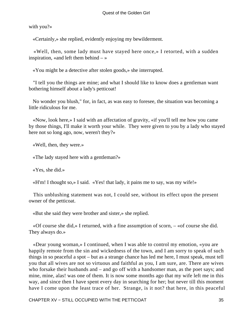with you?»

«Certainly,» she replied, evidently enjoying my bewilderment.

 «Well, then, some lady must have stayed here once,» I retorted, with a sudden inspiration, «and left them behind  $-\infty$ 

«You might be a detective after stolen goods,» she interrupted.

 "I tell you the things are mine; and what I should like to know does a gentleman want bothering himself about a lady's petticoat!

 No wonder you blush," for, in fact, as was easy to foresee, the situation was becoming a little ridiculous for me.

 «Now, look here,» I said with an affectation of gravity, «if you'll tell me how you came by those things, I'll make it worth your while. They were given to you by a lady who stayed here not so long ago, now, weren't they?»

«Well, then, they were.»

«The lady stayed here with a gentleman?»

«Yes, she did.»

«H'm! I thought so,» I said. «Yes! that lady, it pains me to say, was my wife!»

 This unblushing statement was not, I could see, without its effect upon the present owner of the petticoat.

«But she said they were brother and sister,» she replied.

 «Of course she did,» I returned, with a fine assumption of scorn, – «of course she did. They always do.»

 «Dear young woman,» I continued, when I was able to control my emotion, «you are happily remote from the sin and wickedness of the town, and I am sorry to speak of such things in so peaceful a spot – but as a strange chance has led me here, I must speak, must tell you that all wives are not so virtuous and faithful as you, I am sure, are. There are wives who forsake their husbands and – and go off with a handsomer man, as the poet says; and mine, mine, alas! was one of them. It is now some months ago that my wife left me in this way, and since then I have spent every day in searching for her; but never till this moment have I come upon the least trace of her. Strange, is it not? that here, in this peaceful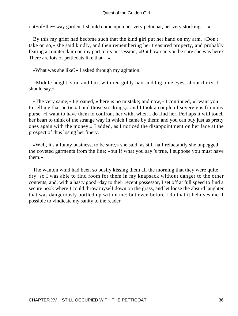#### Quest of the Golden Girl

out−of−the− way garden, I should come upon her very petticoat, her very stockings – »

 By this my grief had become such that the kind girl put her hand on my arm. «Don't take on so,» she said kindly, and then remembering her treasured property, and probably fearing a counterclaim on my part to its possession, «But how can you be sure she was here? There are lots of petticoats like that  $-\infty$ 

«What was she like?» I asked through my agitation.

 «Middle height, slim and fair, with red goldy hair and big blue eyes; about thirty, I should say.»

 «The very same,» I groaned, «there is no mistake; and now,» I continued, «I want you to sell me that petticoat and those stockings,» and I took a couple of sovereigns from my purse. «I want to have them to confront her with, when I do find her. Perhaps it will touch her heart to think of the strange way in which I came by them; and you can buy just as pretty ones again with the money,» I added, as I noticed the disappointment on her face at the prospect of thus losing her finery.

 «Well, it's a funny business, to be sure,» she said, as still half reluctantly she unpegged the coveted garments from the line; «but if what you say 's true, I suppose you must have them.»

 The wanton wind had been so busily kissing them all the morning that they were quite dry, so I was able to find room for them in my knapsack without danger to the other contents; and, with a hasty good−day to their recent possessor, I set off at full speed to find a secure nook where I could throw myself down on the grass, and let loose the absurd laughter that was dangerously bottled up within me; but even before I do that it behoves me if possible to vindicate my sanity to the reader.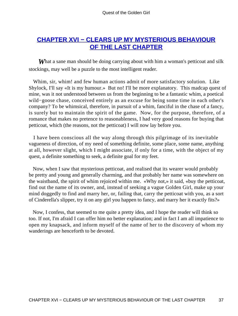## **[CHAPTER XVI − CLEARS UP MY MYSTERIOUS BEHAVIOUR](#page-138-0) [OF THE LAST CHAPTER](#page-138-0)**

**What a sane man should be doing carrying about with him a woman's petticoat and silk** stockings, may well be a puzzle to the most intelligent reader.

 Whim, sir, whim! and few human actions admit of more satisfactory solution. Like Shylock, I'll say «It is my humour.» But no! I'll be more explanatory. This madcap quest of mine, was it not understood between us from the beginning to be a fantastic whim, a poetical wild−goose chase, conceived entirely as an excuse for being some time in each other's company? To be whimsical, therefore, in pursuit of a whim, fanciful in the chase of a fancy, is surely but to maintain the spirit of the game. Now, for the purpose, therefore, of a romance that makes no pretence to reasonableness, I had very good reasons for buying that petticoat, which (the reasons, not the petticoat) I will now lay before you.

 I have been conscious all the way along through this pilgrimage of its inevitable vagueness of direction, of my need of something definite, some place, some name, anything at all, however slight, which I might associate, if only for a time, with the object of my quest, a definite something to seek, a definite goal for my feet.

 Now, when I saw that mysterious petticoat, and realised that its wearer would probably be pretty and young and generally charming, and that probably her name was somewhere on the waistband, the spirit of whim rejoiced within me. «Why not,» it said, «buy the petticoat, find out the name of its owner, and, instead of seeking a vague Golden Girl, make up your mind doggedly to find and marry her, or, failing that, carry the petticoat with you, as a sort of Cinderella's slipper, try it on any girl you happen to fancy, and marry her it exactly fits?»

 Now, I confess, that seemed to me quite a pretty idea, and I hope the reader will think so too. If not, I'm afraid I can offer him no better explanation; and in fact I am all impatience to open my knapsack, and inform myself of the name of her to the discovery of whom my wanderings are henceforth to be devoted.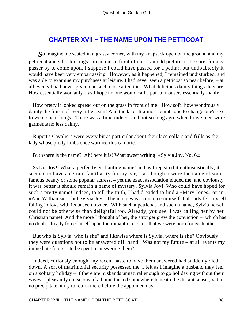## **[CHAPTER XVII − THE NAME UPON THE PETTICOAT](#page-138-0)**

*S*o imagine me seated in a grassy corner, with my knapsack open on the ground and my petticoat and silk stockings spread out in front of me, – an odd picture, to be sure, for any passer by to come upon. I suppose I could have passed for a pedlar, but undoubtedly it would have been very embarrassing. However, as it happened, I remained undisturbed, and was able to examine my purchases at leisure. I had never seen a petticoat so near before, – at all events I had never given one such close attention. What delicious dainty things they are! How essentially womanly – as I hope no one would call a pair of trousers essentially manly.

 How pretty it looked spread out on the grass in front of me! How soft! how wondrously dainty the finish of every little seam! And the lace! It almost tempts one to change one's sex to wear such things. There was a time indeed, and not so long ago, when brave men wore garments no less dainty.

 Rupert's Cavaliers were every bit as particular about their lace collars and frills as the lady whose pretty limbs once warmed this cambric.

But where is the name? Ah! here it is! What sweet writing! «Sylvia Joy, No. 6.»

 Sylvia Joy! What a perfectly enchanting name! and as I repeated it enthusiastically, it seemed to have a certain familiarity for my ear, – as though it were the name of some famous beauty or some popular actress, – yet the exact association eluded me, and obviously it was better it should remain a name of mystery. Sylvia Joy! Who could have hoped for such a pretty name! Indeed, to tell the truth, I had dreaded to find a «Mary Jones» or an «Ann Williams» – but Sylvia Joy! The name was a romance in itself. I already felt myself falling in love with its unseen owner. With such a petticoat and such a name, Sylvia herself could not be otherwise than delightful too. Already, you see, I was calling her by her Christian name! And the more I thought of her, the stronger grew the conviction – which has no doubt already forced itself upon the romantic reader – that we were born for each other.

 But who is Sylvia, who is she? and likewise where is Sylvia, where is she? Obviously they were questions not to be answered off−hand. Was not my future – at all events my immediate future – to be spent in answering them?

 Indeed, curiously enough, my recent haste to have them answered had suddenly died down. A sort of matrimonial security possessed me. I felt as I imagine a husband may feel on a solitary holiday – if there are husbands unnatural enough to go holidaying without their wives – pleasantly conscious of a home tucked somewhere beneath the distant sunset, yet in no precipitate hurry to return there before the appointed day.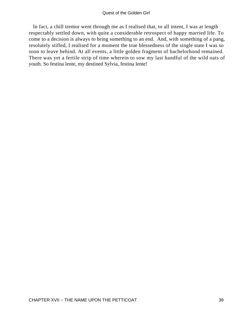In fact, a chill tremor went through me as I realised that, to all intent, I was at length respectably settled down, with quite a considerable retrospect of happy married life. To come to a decision is always to bring something to an end. And, with something of a pang, resolutely stifled, I realised for a moment the true blessedness of the single state I was so soon to leave behind. At all events, a little golden fragment of bachelorhood remained. There was yet a fertile strip of time wherein to sow my last handful of the wild oats of youth. So festina lente, my destined Sylvia, festina lente!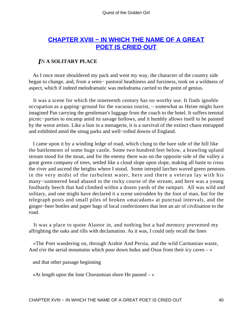## **[CHAPTER XVIII − IN WHICH THE NAME OF A GREAT](#page-138-0) [POET IS CRIED OUT](#page-138-0)**

### *I*N **A SOLITARY PLACE**

 As I once more shouldered my pack and went my way, the character of the country side began to change, and, from a semi− pastoral heathiness and furziness, took on a wildness of aspect, which if indeed melodramatic was melodrama carried to the point of genius.

 It was a scene for which the nineteenth century has no worthy use. It finds ignoble occupation as a gaping−ground for the vacuous tourist, – somewhat as Heine might have imagined Pan carrying the gentleman's luggage from the coach to the hotel. It suffers teetotal picnic−parties to encamp amid its savage hollows, and it humbly allows itself to be painted by the worst artists. Like a lion in a menagerie, it is a survival of the extinct chaos entrapped and exhibited amid the smug parks and well−rolled downs of England.

 I came upon it by a winding ledge of road, which clung to the bare side of the hill like the battlements of some huge castle. Some two hundred feet below, a brawling upland stream stood for the moat, and for the enemy there was on the opposite side of the valley a great green company of trees, settled like a cloud slope upon slope, making all haste to cross the river and ascend the heights where I stood. Some intrepid larches waved green pennons in the very midst of the turbulent water, here and there a veteran lay with his many−summered head abased in the rocky course of the stream, and here was a young foolhardy beech that had climbed within a dozen yards of the rampart. All was wild and solitary, and one might have declared it a scene untrodden by the foot of man, but for the telegraph posts and small piles of broken «macadam» at punctual intervals, and the ginger−beer bottles and paper bags of local confectioners that lent an air of civilisation to the road.

 It was a place to quote Alastor in, and nothing but a bad memory prevented my affrighting the oaks and rills with declamation. As it was, I could only recall the lines

 «The Poet wandering on, through Arabie And Persia, and the wild Carmanian waste, And o'er the aerial mountains which pour down Indus and Oxus from their icy caves  $-\infty$ 

and that other passage beginning

«At length upon the lone Chorasmian shore He paused  $-\infty$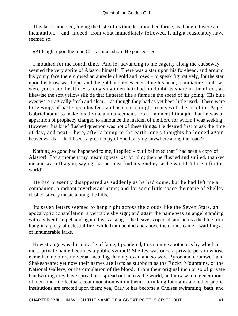This last I mouthed, loving the taste of its thunder; mouthed thrice, as though it were an incantation, – and, indeed, from what immediately followed, it might reasonably have seemed so.

«At length upon the lone Chorasmian shore He paused  $-\infty$ 

 I mouthed for the fourth time. And lo! advancing to me eagerly along the causeway seemed the very sprite of Alastor himself! There was a star upon his forehead, and around his young face there glowed an aureole of gold and roses – to speak figuratively, for the star upon his brow was hope, and the gold and roses encircling his head, a miniature rainbow, were youth and health. His longish golden hair had no doubt its share in the effect, as likewise the soft yellow silk tie that fluttered like a flame in the speed of his going. His blue eyes were tragically fresh and clear, – as though they had as yet been little used. There were little wings of haste upon his feet, and he came straight to me, with the air of the Angel Gabriel about to make his divine announcement. For a moment I thought that he was an apparition of prophecy charged to announce the maiden of the Lord for whom I was seeking. However, his brief flushed question was not of these things. He desired first to ask the time of day, and next – here, after a bump to the earth, one's thoughts ballooned again heavenwards – «had I seen a green copy of Shelley lying anywhere along the road?»

 Nothing so good had happened to me, I replied – but I believed that I had seen a copy of Alastor! For a moment my meaning was lost on him; then he flushed and smiled, thanked me and was off again, saying that he must find his Shelley, as he wouldn't lose it for the world!

 He had presently disappeared as suddenly as he had come, but he had left me a companion, a radiant reverberant name; and for some little space the name of Shelley clashed silvery music among the hills.

 Its seven letters seemed to hang right across the clouds like the Seven Stars, an apocalyptic constellation, a veritable sky sign; and again the name was an angel standing with a silver trumpet, and again it was a song. The heavens opened, and across the blue rift it hung in a glory of celestial fire, while from behind and above the clouds came a warbling as of innumerable larks.

 How strange was this miracle of fame, I pondered, this strange apotheosis by which a mere private name becomes a public symbol! Shelley was once a private person whose name had no more universal meaning than my own, and so were Byron and Cromwell and Shakespeare; yet now their names are facts as stubborn as the Rocky Mountains, or the National Gallery, or the circulation of the blood. From their original inch or so of private handwriting they have spread and spread out across the world, and now whole generations of men find intellectual accommodation within them, – drinking fountains and other public institutions are erected upon them; yea, Carlyle has become a Chelsea swimming−bath, and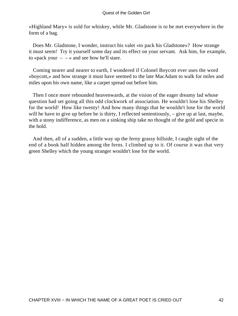«Highland Mary» is sold for whiskey, while Mr. Gladstone is to be met everywhere in the form of a bag.

 Does Mr. Gladstone, I wonder, instruct his valet «to pack his Gladstone»? How strange it must seem! Try it yourself some day and its effect on your servant. Ask him, for example, to «pack your  $-$  – » and see how he'll stare.

 Coming nearer and nearer to earth, I wondered if Colonel Boycott ever uses the word «boycott,» and how strange it must have seemed to the late MacAdam to walk for miles and miles upon his own name, like a carpet spread out before him.

 Then I once more rebounded heavenwards, at the vision of the eager dreamy lad whose question had set going all this odd clockwork of association. He wouldn't lose his Shelley for the world! How like twenty! And how many things that he wouldn't lose for the world will he have to give up before he is thirty, I reflected sententiously, – give up at last, maybe, with a stony indifference, as men on a sinking ship take no thought of the gold and specie in the hold.

 And then, all of a sudden, a little way up the ferny grassy hillside, I caught sight of the end of a book half hidden among the ferns. I climbed up to it. Of course it was that very green Shelley which the young stranger wouldn't lose for the world.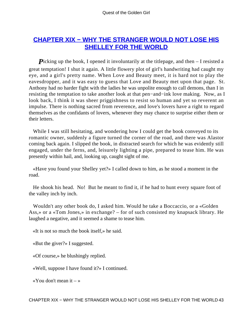## **[CHAPTER XIX − WHY THE STRANGER WOULD NOT LOSE HIS](#page-139-0) [SHELLEY FOR THE WORLD](#page-139-0)**

*Picking up the book, I opened it involuntarily at the titlepage, and then – I resisted a* great temptation! I shut it again. A little flowery plot of girl's handwriting had caught my eye, and a girl's pretty name. When Love and Beauty meet, it is hard not to play the eavesdropper, and it was easy to guess that Love and Beauty met upon that page. St. Anthony had no harder fight with the ladies he was unpolite enough to call demons, than I in resisting the temptation to take another look at that pen−and−ink love making. Now, as I look back, I think it was sheer priggishness to resist so human and yet so reverent an impulse. There is nothing sacred from reverence, and love's lovers have a right to regard themselves as the confidants of lovers, whenever they may chance to surprise either them or their letters.

 While I was still hesitating, and wondering how I could get the book conveyed to its romantic owner, suddenly a figure turned the corner of the road, and there was Alastor coming back again. I slipped the book, in distracted search for which he was evidently still engaged, under the ferns, and, leisurely lighting a pipe, prepared to tease him. He was presently within hail, and, looking up, caught sight of me.

 «Have you found your Shelley yet?» I called down to him, as he stood a moment in the road.

 He shook his head. No! But he meant to find it, if he had to hunt every square foot of the valley inch by inch.

 Wouldn't any other book do, I asked him. Would he take a Boccaccio, or a «Golden Ass,» or a «Tom Jones,» in exchange? – for of such consisted my knapsack library. He laughed a negative, and it seemed a shame to tease him.

«It is not so much the book itself,» he said.

«But the giver?» I suggested.

«Of course,» he blushingly replied.

«Well, suppose I have found it?» I continued.

«You don't mean it  $-\infty$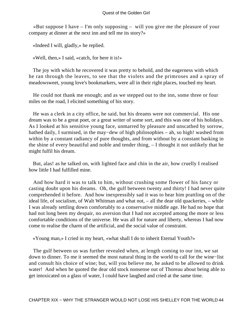«But suppose I have – I'm only supposing – will you give me the pleasure of your company at dinner at the next inn and tell me its story?»

«Indeed I will, gladly,» he replied.

«Well, then,» I said, «catch, for here it is!»

 The joy with which he recovered it was pretty to behold, and the eagerness with which he ran through the leaves, to see that the violets and the primroses and a spray of meadowsweet, young love's bookmarkers, were all in their right places, touched my heart.

 He could not thank me enough; and as we stepped out to the inn, some three or four miles on the road, I elicited something of his story.

 He was a clerk in a city office, he said, but his dreams were not commercial. His one dream was to be a great poet, or a great writer of some sort, and this was one of his holidays. As I looked at his sensitive young face, unmarred by pleasure and unscathed by sorrow, bathed daily, I surmised, in the may−dew of high philosophies – ah, so high! washed from within by a constant radiancy of pure thoughts, and from without by a constant basking in the shine of every beautiful and noble and tender thing, – I thought it not unlikely that he might fulfil his dream.

 But, alas! as he talked on, with lighted face and chin in the air, how cruelly I realised how little I had fulfilled mine.

 And how hard it was to talk to him, without crushing some flower of his fancy or casting doubt upon his dreams. Oh, the gulf between twenty and thirty! I had never quite comprehended it before. And how inexpressibly sad it was to hear him prattling on of the ideal life, of socialism, of Walt Whitman and what not, – all the dear old quackeries, – while I was already settling down comfortably to a conservative middle age. He had no hope that had not long been my despair, no aversion that I had not accepted among the more or less comfortable conditions of the universe. He was all for nature and liberty, whereas I had now come to realise the charm of the artificial, and the social value of constraint.

«Young man,» I cried in my heart, «what shall I do to inherit Eternal Youth?»

 The gulf between us was further revealed when, at length coming to our inn, we sat down to dinner. To me it seemed the most natural thing in the world to call for the wine−list and consult his choice of wine; but, will you believe me, he asked to be allowed to drink water! And when he quoted the dear old stock nonsense out of Thoreau about being able to get intoxicated on a glass of water, I could have laughed and cried at the same time.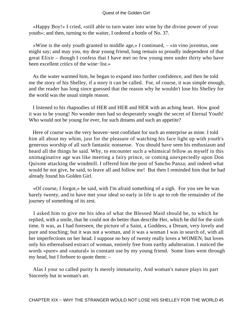#### Quest of the Golden Girl

 «Happy Boy!» I cried, «still able to turn water into wine by the divine power of your youth»; and then, turning to the waiter, I ordered a bottle of No. 37.

 «Wine is the only youth granted to middle age,» I continued, – «in vino juventus, one might say; and may you, my dear young friend, long remain so proudly independent of that great Elixir – though I confess that I have met no few young men under thirty who have been excellent critics of the wine−list.»

 As the water warmed him, he began to expand into further confidence, and then he told me the story of his Shelley, if a story it can be called. For, of course, it was simple enough, and the reader has long since guessed that the reason why he wouldn't lose his Shelley for the world was the usual simple reason.

 I listened to his rhapsodies of HER and HER and HER with an aching heart. How good it was to be young! No wonder men had so desperately sought the secret of Eternal Youth! Who would not be young for ever, for such dreams and such an appetite?

 Here of course was the very heaven−sent confidant for such an enterprise as mine. I told him all about my whim, just for the pleasure of watching his face light up with youth's generous worship of all such fantastic nonsense. You should have seen his enthusiasm and heard all the things he said. Why, to encounter such a whimsical fellow as myself in this unimaginative age was like meeting a fairy prince, or coming unexpectedly upon Don Quixote attacking the windmill. I offered him the post of Sancho Panza; and indeed what would he not give, he said, to leave all and follow me! But then I reminded him that he had already found his Golden Girl.

 «Of course, I forgot,» he said, with I'm afraid something of a sigh. For you see he was barely twenty, and to have met your ideal so early in life is apt to rob the remainder of the journey of something of its zest.

 I asked him to give me his idea of what the Blessed Maid should be, to which he replied, with a smile, that he could not do better than describe Her, which he did for the sixth time. It was, as I had foreseen, the picture of a Saint, a Goddess, a Dream, very lovely and pure and touching; but it was not a woman, and it was a woman I was in search of, with all her imperfections on her head. I suppose no boy of twenty really loves a WOMEN, but loves only his etherealised extract of woman, entirely free from earthy adulteration. I noticed the words «pure» and «natural» in constant use by my young friend. Some lines went through my head, but I forbore to quote them: –

 Alas I your so called purity Is merely immaturity, And woman's nature plays its part Sincerely but in woman's art.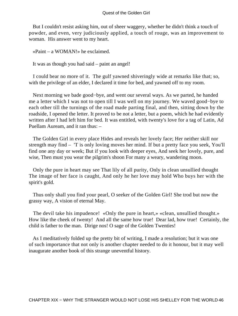But I couldn't resist asking him, out of sheer waggery, whether he didn't think a touch of powder, and even, very judiciously applied, a touch of rouge, was an improvement to woman. His answer went to my heart.

«Paint – a WOMAN!» he exclaimed.

It was as though you had said – paint an angel!

 I could bear no more of it. The gulf yawned shiveringly wide at remarks like that; so, with the privilege of an elder, I declared it time for bed, and yawned off to my room.

 Next morning we bade good−bye, and went our several ways. As we parted, he handed me a letter which I was not to open till I was well on my journey. We waved good−bye to each other till the turnings of the road made parting final, and then, sitting down by the roadside, I opened the letter. It proved to be not a letter, but a poem, which he had evidently written after I had left him for bed. It was entitled, with twenty's love for a tag of Latin, Ad Puellam Auream, and it ran thus: –

 The Golden Girl in every place Hides and reveals her lovely face; Her neither skill nor strength may find – 'T is only loving moves her mind. If but a pretty face you seek, You'll find one any day or week; But if you look with deeper eyes, And seek her lovely, pure, and wise, Then must you wear the pilgrim's shoon For many a weary, wandering moon.

 Only the pure in heart may see That lily of all purity, Only in clean unsullied thought The image of her face is caught, And only he her love may hold Who buys her with the spirit's gold.

 Thus only shall you find your pearl, O seeker of the Golden Girl! She trod but now the grassy way, A vision of eternal May.

 The devil take his impudence! «Only the pure in heart,» «clean, unsullied thought.» How like the cheek of twenty! And all the same how true! Dear lad, how true! Certainly, the child is father to the man. Dirige nos! O sage of the Golden Twenties!

 As I meditatively folded up the pretty bit of writing, I made a resolution; but it was one of such importance that not only is another chapter needed to do it honour, but it may well inaugurate another book of this strange uneventful history.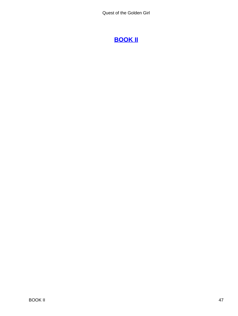# **[BOOK II](#page-139-0)**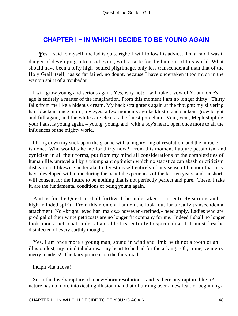## **[CHAPTER I − IN WHICH I DECIDE TO BE YOUNG AGAIN](#page-139-0)**

**Y**es, I said to myself, the lad is quite right; I will follow his advice. I'm afraid I was in danger of developing into a sad cynic, with a taste for the humour of this world. What should have been a lofty high−souled pilgrimage, only less transcendental than that of the Holy Grail itself, has so far failed, no doubt, because I have undertaken it too much in the wanton spirit of a troubadour.

 I will grow young and serious again. Yes, why not? I will take a vow of Youth. One's age is entirely a matter of the imagination. From this moment I am no longer thirty. Thirty falls from me like a hideous dream. My back straightens again at the thought; my silvering hair blackens once more; my eyes, a few moments ago lacklustre and sunken, grow bright and full again, and the whites are clear as the finest porcelain. Veni, veni, Mephistophile! your Faust is young again, – young, young, and, with a boy's heart, open once more to all the influences of the mighty world.

 I bring down my stick upon the ground with a mighty ring of resolution, and the miracle is done. Who would take me for thirty now? From this moment I abjure pessimism and cynicism in all their forms, put from my mind all considerations of the complexities of human life, unravel all by a triumphant optimism which no statistics can abash or criticism dishearten. I likewise undertake to divest myself entirely of any sense of humour that may have developed within me during the baneful experiences of the last ten years, and, in short, will consent for the future to be nothing that is not perfectly perfect and pure. These, I take it, are the fundamental conditions of being young again.

 And as for the Quest, it shall forthwith be undertaken in an entirely serious and high−minded spirit. From this moment I am on the look−out for a really transcendental attachment. No «bright−eyed bar−maids,» however «refined,» need apply. Ladies who are prodigal of their white petticoats are no longer fit company for me. Indeed I shall no longer look upon a petticoat, unless I am able first entirely to spiritualise it. It must first be disinfected of every earthly thought.

 Yes, I am once more a young man, sound in wind and limb, with not a tooth or an illusion lost, my mind tabula rasa, my heart to be had for the asking. Oh, come, ye merry, merry maidens! The fairy prince is on the fairy road.

### Incipit vita nuova!

 So in the lovely rapture of a new−born resolution – and is there any rapture like it? – nature has no more intoxicating illusion than that of turning over a new leaf, or beginning a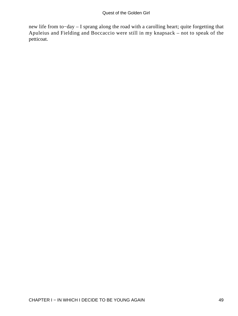new life from to−day – I sprang along the road with a carolling heart; quite forgetting that Apuleius and Fielding and Boccaccio were still in my knapsack – not to speak of the petticoat.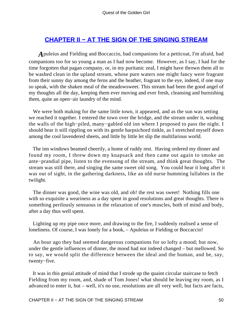## **[CHAPTER II − AT THE SIGN OF THE SINGING STREAM](#page-139-0)**

*A*puleius and Fielding and Boccaccio, bad companions for a petticoat, I'm afraid, bad companions too for so young a man as I had now become. However, as I say, I had for the time forgotten that pagan company, or, in my puritanic zeal, I might have thrown them all to be washed clean in the upland stream, whose pure waters one might fancy were fragrant from their sunny day among the ferns and the heather, fragrant to the eye, indeed, if one may so speak, with the shaken meal of the meadowsweet. This stream had been the good angel of my thoughts all the day, keeping them ever moving and ever fresh, cleansing and burnishing them, quite an open−air laundry of the mind.

 We were both making for the same little town, it appeared, and as the sun was setting we reached it together. I entered the town over the bridge, and the stream under it, washing the walls of the high−piled, many−gabled old inn where I proposed to pass the night. I should hear it still rippling on with its gentle harpsichord tinkle, as I stretched myself down among the cool lavendered sheets, and little by little let slip the multifarious world.

 The inn windows beamed cheerily, a home of ruddy rest. Having ordered my dinner and found my room, I threw down my knapsack and then came out again to smoke an ante−prandial pipe, listen to the evensong of the stream, and think great thoughts. The stream was still there, and singing the same sweet old song. You could hear it long after it was out of sight, in the gathering darkness, like an old nurse humming lullabies in the twilight.

 The dinner was good, the wine was old, and oh! the rest was sweet! Nothing fills one with so exquisite a weariness as a day spent in good resolutions and great thoughts. There is something perilously sensuous in the relaxation of one's muscles, both of mind and body, after a day thus well spent.

 Lighting up my pipe once more, and drawing to the fire, I suddenly realised a sense of loneliness. Of course, I was lonely for a book, – Apuleius or Fielding or Boccaccio!

 An hour ago they had seemed dangerous companions for so lofty a mood; but now, under the gentle influences of dinner, the mood had not indeed changed – but mellowed. So to say, we would split the difference between the ideal and the human, and be, say, twenty−five.

 It was in this genial attitude of mind that I strode up the quaint circular staircase to fetch Fielding from my room, and, shade of Tom Jones! what should be leaving my room, as I advanced to enter it, but – well, it's no use, resolutions are all very well, but facts are facts,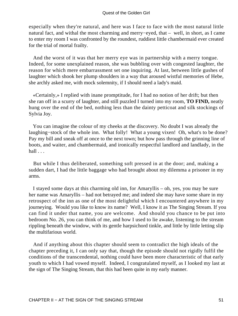especially when they're natural, and here was I face to face with the most natural little natural fact, and withal the most charming and merry−eyed, that – well, in short, as I came to enter my room I was confronted by the roundest, ruddiest little chambermaid ever created for the trial of mortal frailty.

 And the worst of it was that her merry eye was in partnership with a merry tongue. Indeed, for some unexplained reason, she was bubbling over with congested laughter, the reason for which mere embarrassment set one inquiring. At last, between little gushes of laughter which shook her plump shoulders in a way that aroused wistful memories of Hebe, she archly asked me, with mock solemnity, if I should need a lady's maid.

 «Certainly,» I replied with inane promptitude, for I had no notion of her drift; but then she ran off in a scurry of laughter, and still puzzled I turned into my room, **TO FIND,** neatly hung over the end of the bed, nothing less than the dainty petticoat and silk stockings of Sylvia Joy.

 You can imagine the colour of my cheeks at the discovery. No doubt I was already the laughing−stock of the whole inn. What folly! What a young vixen! Oh, what's to be done? Pay my bill and sneak off at once to the next town; but how pass through the grinning line of boots, and waiter, and chambermaid, and ironically respectful landlord and landlady, in the hall . . .

 But while I thus deliberated, something soft pressed in at the door; and, making a sudden dart, I had the little baggage who had brought about my dilemma a prisoner in my arms.

 I stayed some days at this charming old inn, for Amaryllis – oh, yes, you may be sure her name was Amaryllis – had not betrayed me; and indeed she may have some share in my retrospect of the inn as one of the most delightful which I encountered anywhere in my journeying. Would you like to know its name? Well, I know it as The Singing Stream. If you can find it under that name, you are welcome. And should you chance to be put into bedroom No. 26, you can think of me, and how I used to lie awake, listening to the stream rippling beneath the window, with its gentle harpsichord tinkle, and little by little letting slip the multifarious world.

 And if anything about this chapter should seem to contradict the high ideals of the chapter preceding it, I can only say that, though the episode should not rigidly fulfil the conditions of the transcendental, nothing could have been more characteristic of that early youth to which I had vowed myself. Indeed, I congratulated myself, as I looked my last at the sign of The Singing Stream, that this had been quite in my early manner.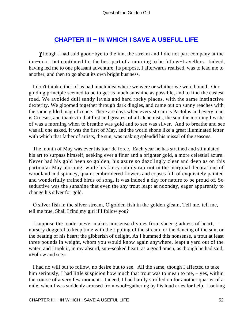### **[CHAPTER III − IN WHICH I SAVE A USEFUL LIFE](#page-139-0)**

*T*hough I had said good−bye to the inn, the stream and I did not part company at the inn−door, but continued for the best part of a morning to be fellow−travellers. Indeed, having led me to one pleasant adventure, its purpose, I afterwards realised, was to lead me to another, and then to go about its own bright business.

 I don't think either of us had much idea where we were or whither we were bound. Our guiding principle seemed to be to get as much sunshine as possible, and to find the easiest road. We avoided dull sandy levels and hard rocky places, with the same instinctive dexterity. We gloomed together through dark dingles, and came out on sunny reaches with the same gilded magnificence. There are days when every stream is Pactolus and every man is Croesus, and thanks to that first and greatest of all alchemists, the sun, the morning I write of was a morning when to breathe was gold and to see was silver. And to breathe and see was all one asked. It was the first of May, and the world shone like a great illuminated letter with which that father of artists, the sun, was making splendid his missal of the seasons.

 The month of May was ever his tour de force. Each year he has strained and stimulated his art to surpass himself, seeking ever a finer and a brighter gold, a more celestial azure. Never had his gold been so golden, his azure so dazzlingly clear and deep as on this particular May morning; while his fancy simply ran riot in the marginal decorations of woodland and spinney, quaint embroidered flowers and copses full of exquisitely painted and wonderfully trained birds of song. It was indeed a day for nature to be proud of. So seductive was the sunshine that even the shy trout leapt at noonday, eager apparently to change his silver for gold.

 O silver fish in the silver stream, O golden fish in the golden gleam, Tell me, tell me, tell me true, Shall I find my girl if I follow you?

 I suppose the reader never makes nonsense rhymes from sheer gladness of heart, – nursery doggerel to keep time with the rippling of the stream, or the dancing of the sun, or the beating of his heart; the gibberish of delight. As I hummed this nonsense, a trout at least three pounds in weight, whom you would know again anywhere, leapt a yard out of the water, and I took it, in my absurd, sun−soaked heart, as a good omen, as though he had said, «Follow and see.»

 I had no will but to follow, no desire but to see. All the same, though I affected to take him seriously, I had little suspicion how much that trout was to mean to me,  $-$  yes, within the course of a very few moments. Indeed, I had hardly strolled on for another quarter of a mile, when I was suddenly aroused from wool−gathering by his loud cries for help. Looking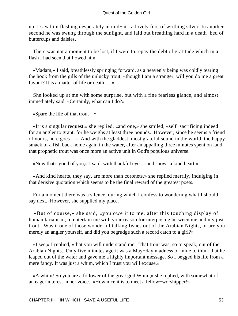up, I saw him flashing desperately in mid−air, a lovely foot of writhing silver. In another second he was swung through the sunlight, and laid out breathing hard in a death−bed of buttercups and daisies.

 There was not a moment to be lost, if I were to repay the debt of gratitude which in a flash I had seen that I owed him.

 «Madam,» I said, breathlessly springing forward, as a heavenly being was coldly tearing the hook from the gills of the unlucky trout, «though I am a stranger, will you do me a great favour? It is a matter of life or death . . .»

 She looked up at me with some surprise, but with a fine fearless glance, and almost immediately said, «Certainly, what can I do?»

«Spare the life of that trout – »

 «It is a singular request,» she replied, «and one,» she smiled, «self−sacrificing indeed for an angler to grant, for he weighs at least three pounds. However, since he seems a friend of yours, here goes  $-\infty$  And with the gladdest, most grateful sound in the world, the happy smack of a fish back home again in the water, after an appalling three minutes spent on land, that prophetic trout was once more an active unit in God's populous universe.

«Now that's good of you,» I said, with thankful eyes, «and shows a kind heart.»

 «And kind hearts, they say, are more than coronets,» she replied merrily, indulging in that derisive quotation which seems to be the final reward of the greatest poets.

 For a moment there was a silence, during which I confess to wondering what I should say next. However, she supplied my place.

 «But of course,» she said, «you owe it to me, after this touching display of humanitarianism, to entertain me with your reason for interposing between me and my just trout. Was it one of those wonderful talking fishes out of the Arabian Nights, or are you merely an angler yourself, and did you begrudge such a record catch to a girl?»

 «I see,» I replied, «that you will understand me. That trout was, so to speak, out of the Arabian Nights. Only five minutes ago it was a May−day madness of mine to think that he leaped out of the water and gave me a highly important message. So I begged his life from a mere fancy. It was just a whim, which I trust you will excuse.»

 «A whim! So you are a follower of the great god Whim,» she replied, with somewhat of an eager interest in her voice. «How nice it is to meet a fellow−worshipper!»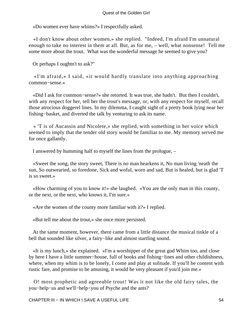«Do women ever have whims?» I respectfully asked.

 «I don't know about other women,» she replied. "Indeed, I'm afraid I'm unnatural enough to take no interest in them at all. But, as for me, – well, what nonsense! Tell me some more about the trout. What was the wonderful message he seemed to give you?

Or perhaps I oughtn't to ask?"

 «I'm afraid,» I said, «it would hardly translate into anything approaching common−sense.»

 «Did I ask for common−sense?» she retorted. It was true, she hadn't. But then I couldn't, with any respect for her, tell her the trout's message, or, with any respect for myself, recall those atrocious doggerel lines. In my dilemma, I caught sight of a pretty book lying near her fishing−basket, and diverted the talk by venturing to ask its name.

 « 'T is of Aucassin and Nicolete,» she replied, with something in her voice which seemed to imply that the tender old story would be familiar to me. My memory served me for once gallantly.

I answered by humming half to myself the lines from the prologue, –

 «Sweet the song, the story sweet, There is no man hearkens it, No man living 'neath the sun, So outwearied, so foredone, Sick and woful, worn and sad, But is healed, but is glad 'T is so sweet.»

 «How charming of you to know it!» she laughed. «You are the only man in this county, or the next, or the next, who knows it, I'm sure.»

«Are the women of the county more familiar with it?» I replied.

«But tell me about the trout,» she once more persisted.

 At the same moment, however, there came from a little distance the musical tinkle of a bell that sounded like silver, a fairy−like and almost startling sound.

 «It is my lunch,» she explained. «I'm a worshipper of the great god Whim too, and close by here I have a little summer−house, full of books and fishing−lines and other childishness, where, when my whim is to be lonely, I come and play at solitude. If you'll be content with rustic fare, and promise to be amusing, it would be very pleasant if you'd join me.»

 O! most prophetic and agreeable trout! Was it not like the old fairy tales, the you−help−us and we'll−help−you of Psyche and the ants?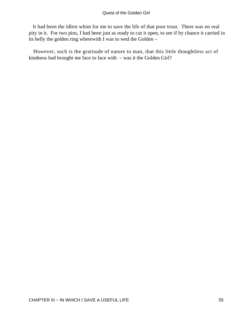It had been the idlest whim for me to save the life of that poor trout. There was no real pity in it. For two pins, I had been just as ready to cut it open, to see if by chance it carried in its belly the golden ring wherewith I was to wed the Golden –

 However, such is the gratitude of nature to man, that this little thoughtless act of kindness had brought me face to face with – was it the Golden Girl?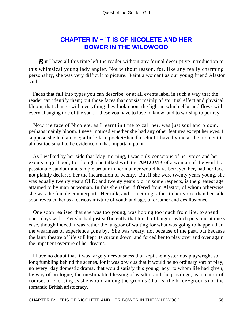## **[CHAPTER IV − 'T IS OF NICOLETE AND HER](#page-139-0) [BOWER IN THE WILDWOOD](#page-139-0)**

*But I have all this time left the reader without any formal descriptive introduction to* this whimsical young lady angler. Not without reason, for, like any really charming personality, she was very difficult to picture. Paint a woman! as our young friend Alastor said.

 Faces that fall into types you can describe, or at all events label in such a way that the reader can identify them; but those faces that consist mainly of spiritual effect and physical bloom, that change with everything they look upon, the light in which ebbs and flows with every changing tide of the soul, – these you have to love to know, and to worship to portray.

 Now the face of Nicolete, as I learnt in time to call her, was just soul and bloom, perhaps mainly bloom. I never noticed whether she had any other features except her eyes. I suppose she had a nose; a little lace pocket−handkerchief I have by me at the moment is almost too small to be evidence on that important point.

 As I walked by her side that May morning, I was only conscious of her voice and her exquisite girlhood; for though she talked with the **APLOMB** of a woman of the world, a passionate candour and simple ardour in her manner would have betrayed her, had her face not plainly declared her the incarnation of twenty. But if she were twenty years young, she was equally twenty years OLD; and twenty years old, in some respects, is the greatest age attained to by man or woman. In this she rather differed from Alastor, of whom otherwise she was the female counterpart. Her talk, and something rather in her voice than her talk, soon revealed her as a curious mixture of youth and age, of dreamer and desillusionee.

 One soon realised that she was too young, was hoping too much from life, to spend one's days with. Yet she had just sufficiently that touch of languor which puts one at one's ease, though indeed it was rather the languor of waiting for what was going to happen than the weariness of experience gone by. She was weary, not because of the past, but because the fairy theatre of life still kept its curtain down, and forced her to play over and over again the impatient overture of her dreams.

 I have no doubt that it was largely nervousness that kept the mysterious playwright so long fumbling behind the scenes, for it was obvious that it would be no ordinary sort of play, no every−day domestic drama, that would satisfy this young lady, to whom life had given, by way of prologue, the inestimable blessing of wealth, and the privilege, as a matter of course, of choosing as she would among the grooms (that is, the bride−grooms) of the romantic British aristocracy.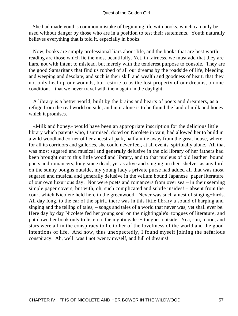She had made youth's common mistake of beginning life with books, which can only be used without danger by those who are in a position to test their statements. Youth naturally believes everything that is told it, especially in books.

 Now, books are simply professional liars about life, and the books that are best worth reading are those which lie the most beautifully. Yet, in fairness, we must add that they are liars, not with intent to mislead, but merely with the tenderest purpose to console. They are the good Samaritans that find us robbed of all our dreams by the roadside of life, bleeding and weeping and desolate; and such is their skill and wealth and goodness of heart, that they not only heal up our wounds, but restore to us the lost property of our dreams, on one condition, – that we never travel with them again in the daylight.

 A library is a better world, built by the brains and hearts of poets and dreamers, as a refuge from the real world outside; and in it alone is to be found the land of milk and honey which it promises.

 «Milk and honey» would have been an appropriate inscription for the delicious little library which parents who, I surmised, doted on Nicolete in vain, had allowed her to build in a wild woodland corner of her ancestral park, half a mile away from the great house, where, for all its corridors and galleries, she could never feel, at all events, spiritually alone. All that was most sugared and musical and generally delusive in the old library of her fathers had been brought out to this little woodland library, and to that nucleus of old leather−bound poets and romancers, long since dead, yet as alive and singing on their shelves as any bird on the sunny boughs outside, my young lady's private purse had added all that was most sugared and musical and generally delusive in the vellum bound Japanese−paper literature of our own luxurious day. Nor were poets and romancers from over sea – in their seeming simple paper covers, but with, oh, such complicated and subtle insides! – absent from the court which Nicolete held here in the greenwood. Never was such a nest of singing−birds. All day long, to the ear of the spirit, there was in this little library a sound of harping and singing and the telling of tales, – songs and tales of a world that never was, yet shall ever be. Here day by day Nicolete fed her young soul on the nightingale's−tongues of literature, and put down her book only to listen to the nightingale's− tongues outside. Yea, sun, moon, and stars were all in the conspiracy to lie to her of the loveliness of the world and the good intentions of life. And now, thus unexpectedly, I found myself joining the nefarious conspiracy. Ah, well! was I not twenty myself, and full of dreams!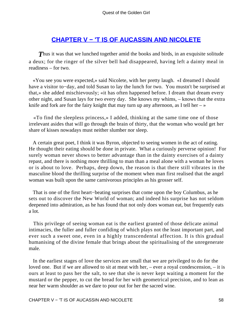## **[CHAPTER V − 'T IS OF AUCASSIN AND NICOLETE](#page-139-0)**

**Thus it was that we lunched together amid the books and birds, in an exquisite solitude** a deux; for the ringer of the silver bell had disappeared, having left a dainty meal in readiness – for two.

 «You see you were expected,» said Nicolete, with her pretty laugh. «I dreamed I should have a visitor to−day, and told Susan to lay the lunch for two. You mustn't be surprised at that,» she added mischievously; «it has often happened before. I dream that dream every other night, and Susan lays for two every day. She knows my whims, – knows that the extra knife and fork are for the fairy knight that may turn up any afternoon, as I tell her  $-\infty$ 

 «To find the sleepless princess,» I added, thinking at the same time one of those irrelevant asides that will go through the brain of thirty, that the woman who would get her share of kisses nowadays must neither slumber nor sleep.

 A certain great poet, I think it was Byron, objected to seeing women in the act of eating. He thought their eating should be done in private. What a curiously perverse opinion! For surely woman never shows to better advantage than in the dainty exercises of a dainty repast, and there is nothing more thrilling to man than a meal alone with a woman he loves or is about to love. Perhaps, deep down, the reason is that there still vibrates in the masculine blood the thrilling surprise of the moment when man first realised that the angel woman was built upon the same carnivorous principles as his grosser self.

 That is one of the first heart−beating surprises that come upon the boy Columbus, as he sets out to discover the New World of woman; and indeed his surprise has not seldom deepened into admiration, as he has found that not only does woman eat, but frequently eats a lot.

 This privilege of seeing woman eat is the earliest granted of those delicate animal intimacies, the fuller and fuller confiding of which plays not the least important part, and ever such a sweet one, even in a highly transcendental affection. It is this gradual humanising of the divine female that brings about the spiritualising of the unregenerate male.

 In the earliest stages of love the services are small that we are privileged to do for the loved one. But if we are allowed to sit at meat with her, – ever a royal condescension, – it is ours at least to pass her the salt, to see that she is never kept waiting a moment for the mustard or the pepper, to cut the bread for her with geometrical precision, and to lean as near her warm shoulder as we dare to pour out for her the sacred wine.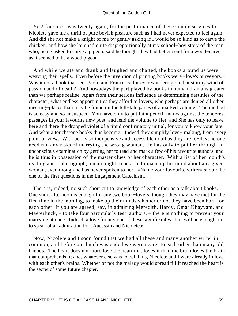Yes! for sure I was twenty again, for the performance of these simple services for Nicolete gave me a thrill of pure boyish pleasure such as I had never expected to feel again. And did she not make a knight of me by gently asking if I would be so kind as to carve the chicken, and how she laughed quite disproportionally at my school−boy story of the man who, being asked to carve a pigeon, said he thought they had better send for a wood−carver, as it seemed to be a wood pigeon.

 And while we ate and drank and laughed and chatted, the books around us were weaving their spells. Even before the invention of printing books were «love's purveyors.» Was it not a book that sent Paolo and Francesca for ever wandering on that stormy wind of passion and of death? And nowadays the part played by books in human drama is greater than we perhaps realise. Apart from their serious influence as determining destinies of the character, what endless opportunities they afford to lovers, who perhaps are denied all other meeting−places than may be found on the tell−tale pages of a marked volume. The method is so easy and so unsuspect. You have only to put faint pencil−marks against the tenderest passages in your favourite new poet, and lend the volume to Her, and She has only to leave here and there the dropped violet of a timid confirmatory initial, for you to know your fate. And what a touchstone books thus become! Indeed they simplify love− making, from every point of view. With books so inexpensive and accessible to all as they are to−day, no one need run any risks of marrying the wrong woman. He has only to put her through an unconscious examination by getting her to read and mark a few of his favourite authors, and he is thus in possession of the master clues of her character. With a list of her month's reading and a photograph, a man ought to be able to make up his mind about any given woman, even though he has never spoken to her. «Name your favourite writer» should be one of the first questions in the Engagement Catechism.

 There is, indeed, no such short cut to knowledge of each other as a talk about books. One short afternoon is enough for any two book−lovers, though they may have met for the first time in the morning, to make up their minds whether or not they have been born for each other. If you are agreed, say, in admiring Meredith, Hardy, Omar Khayyam, and Maeterlinck, – to take four particularly test−authors, – there is nothing to prevent your marrying at once. Indeed, a love for any one of these significant writers will be enough, not to speak of an admiration for «Aucassin and Nicolete.»

 Now, Nicolete and I soon found that we had all these and many another writer in common, and before our lunch was ended we were nearer to each other than many old friends. The heart does not more love the heart that loves it than the brain loves the brain that comprehends it; and, whatever else was to befall us, Nicolete and I were already in love with each other's brains. Whether or not the malady would spread till it reached the heart is the secret of some future chapter.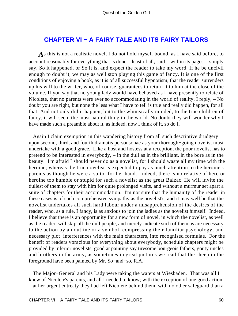### **[CHAPTER VI − A FAIRY TALE AND ITS FAIRY TAILORS](#page-139-0)**

*A*s this is not a realistic novel, I do not hold myself bound, as I have said before, to account reasonably for everything that is done – least of all, said – within its pages. I simply say, So it happened, or So it is, and expect the reader to take my word. If he be uncivil enough to doubt it, we may as well stop playing this game of fancy. It is one of the first conditions of enjoying a book, as it is of all successful hypnotism, that the reader surrenders up his will to the writer, who, of course, guarantees to return it to him at the close of the volume. If you say that no young lady would have behaved as I have presently to relate of Nicolete, that no parents were ever so accommodating in the world of reality, I reply, – No doubt you are right, but none the less what I have to tell is true and really did happen, for all that. And not only did it happen, but to the whimsically minded, to the true children of fancy, it will seem the most natural thing in the world. No doubt they will wonder why I have made such a preamble about it, as indeed, now I think of it, so do I.

 Again I claim exemption in this wandering history from all such descriptive drudgery upon second, third, and fourth dramatis personsonae as your thorough−going novelist must undertake with a good grace. Like a host and hostess at a reception, the poor novelist has to pretend to be interested in everybody, – in the dull as in the brilliant, in the bore as in the beauty. I'm afraid I should never do as a novelist, for I should waste all my time with the heroine; whereas the true novelist is expected to pay as much attention to the heroine's parents as though he were a suitor for her hand. Indeed, there is no relative of hero or heroine too humble or stupid for such a novelist as the great Balzac. He will invite the dullest of them to stay with him for quite prolonged visits, and without a murmur set apart a suite of chapters for their accommodation. I'm not sure that the humanity of the reader in these cases is of such comprehensive sympathy as the novelist's, and it may well be that the novelist undertakes all such hard labour under a misapprehension of the desires of the reader, who, as a rule, I fancy, is as anxious to join the ladies as the novelist himself. Indeed, I believe that there is an opportunity for a new form of novel, in which the novelist, as well as the reader, will skip all the dull people, and merely indicate such of them as are necessary to the action by an outline or a symbol, compressing their familiar psychology, and necessary plot−interferences with the main characters, into recognised formulae. For the benefit of readers voracious for everything about everybody, schedule chapters might be provided by inferior novelists, good at painting say tiresome bourgeois fathers, gouty uncles and brothers in the army, as sometimes in great pictures we read that the sheep in the foreground have been painted by Mr. So−and−so, R.A.

 The Major−General and his Lady were taking the waters at Wiesbaden. That was all I knew of Nicolete's parents, and all I needed to know; with the exception of one good action, – at her urgent entreaty they had left Nicolete behind them, with no other safeguard than a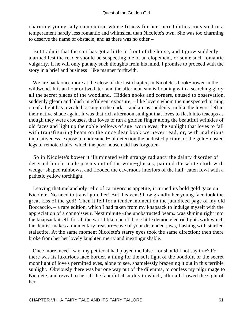charming young lady companion, whose fitness for her sacred duties consisted in a temperament hardly less romantic and whimsical than Nicolete's own. She was too charming to deserve the name of obstacle; and as there was no other –

 But I admit that the cart has got a little in front of the horse, and I grow suddenly alarmed lest the reader should be suspecting me of an elopement, or some such romantic vulgarity. If he will only put any such thoughts from his mind, I promise to proceed with the story in a brief and business− like manner forthwith.

 We are back once more at the close of the last chapter, in Nicolete's book−bower in the wildwood. It is an hour or two later, and the afternoon sun is flooding with a searching glory all the secret places of the woodland. Hidden nooks and corners, unused to observation, suddenly gleam and blush in effulgent exposure, – like lovers whom the unexpected turning on of a light has revealed kissing in the dark, – and are as suddenly, unlike the lovers, left in their native shade again. It was that rich afternoon sunlight that loves to flash into teacups as though they were crocuses, that loves to run a golden finger along the beautiful wrinkles of old faces and light up the noble hollows of age−worn eyes; the sunlight that loves to fall with transfiguring beam on the once dear book we never read, or, with malicious inquisitiveness, expose to undreamed− of detection the undusted picture, or the gold− dusted legs of remote chairs, which the poor housemaid has forgotten.

 So in Nicolete's bower it illuminated with strange radiancy the dainty disorder of deserted lunch, made prisms out of the wine−glasses, painted the white cloth with wedge−shaped rainbows, and flooded the cavernous interiors of the half−eaten fowl with a pathetic yellow torchlight.

 Leaving that melancholy relic of carnivorous appetite, it turned its bold gold gaze on Nicolete. No need to transfigure her! But, heavens! how grandly her young face took the great kiss of the god! Then it fell for a tender moment on the jaundiced page of my old Boccaccio, – a rare edition, which I had taken from my knapsack to indulge myself with the appreciation of a connoisseur. Next minute «the unobstructed beam» was shining right into the knapsack itself, for all the world like one of those little demon electric lights with which the dentist makes a momentary treasure−cave of your distended jaws, flashing with startled stalactite. At the same moment Nicolete's starry eyes took the same direction; then there broke from her her lovely laughter, merry and inextinguishable.

 Once more, need I say, my petticoat had played me false – or should I not say true? For there was its luxurious lace border, a thing for the soft light of the boudoir, or the secret moonlight of love's permitted eyes, alone to see, shamelessly brazening it out in this terrible sunlight. Obviously there was but one way out of the dilemma, to confess my pilgrimage to Nicolete, and reveal to her all the fanciful absurdity to which, after all, I owed the sight of her.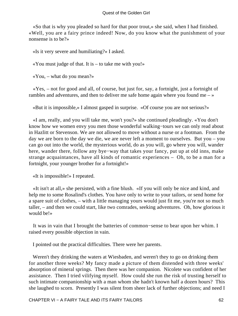«So that is why you pleaded so hard for that poor trout,» she said, when I had finished. «Well, you are a fairy prince indeed! Now, do you know what the punishment of your nonsense is to be?»

«Is it very severe and humiliating?» I asked.

«You must judge of that. It is – to take me with you!»

«You, – what do you mean?»

 «Yes, – not for good and all, of course, but just for, say, a fortnight, just a fortnight of rambles and adventures, and then to deliver me safe home again where you found me  $-\infty$ 

«But it is impossible,» I almost gasped in surprise. «Of course you are not serious?»

 «I am, really, and you will take me, won't you?» she continued pleadingly. «You don't know how we women envy you men those wonderful walking−tours we can only read about in Hazlitt or Stevenson. We are not allowed to move without a nurse or a footman. From the day we are born to the day we die, we are never left a moment to ourselves. But you – you can go out into the world, the mysterious world, do as you will, go where you will, wander here, wander there, follow any bye−way that takes your fancy, put up at old inns, make strange acquaintances, have all kinds of romantic experiences – Oh, to be a man for a fortnight, your younger brother for a fortnight!»

«It is impossible!» I repeated.

 «It isn't at all,» she persisted, with a fine blush. «If you will only be nice and kind, and help me to some Rosalind's clothes. You have only to write to your tailors, or send home for a spare suit of clothes, – with a little managing yours would just fit me, you're not so much taller, – and then we could start, like two comrades, seeking adventures. Oh, how glorious it would be!»

 It was in vain that I brought the batteries of common−sense to bear upon her whim. I raised every possible objection in vain.

I pointed out the practical difficulties. There were her parents.

Weren't they drinking the waters at Wiesbaden, and weren't they to go on drinking them for another three weeks? My fancy made a picture of them distended with three weeks' absorption of mineral springs. Then there was her companion. Nicolete was confident of her assistance. Then I tried vilifying myself. How could she run the risk of trusting herself to such intimate companionship with a man whom she hadn't known half a dozen hours? This she laughed to scorn. Presently I was silent from sheer lack of further objections; and need I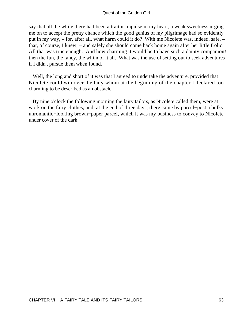#### Quest of the Golden Girl

say that all the while there had been a traitor impulse in my heart, a weak sweetness urging me on to accept the pretty chance which the good genius of my pilgrimage had so evidently put in my way, – for, after all, what harm could it do? With me Nicolete was, indeed, safe, – that, of course, I knew, – and safely she should come back home again after her little frolic. All that was true enough. And how charming it would be to have such a dainty companion! then the fun, the fancy, the whim of it all. What was the use of setting out to seek adventures if I didn't pursue them when found.

 Well, the long and short of it was that I agreed to undertake the adventure, provided that Nicolete could win over the lady whom at the beginning of the chapter I declared too charming to be described as an obstacle.

 By nine o'clock the following morning the fairy tailors, as Nicolete called them, were at work on the fairy clothes, and, at the end of three days, there came by parcel−post a bulky unromantic−looking brown−paper parcel, which it was my business to convey to Nicolete under cover of the dark.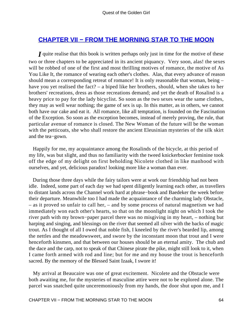### **[CHAPTER VII − FROM THE MORNING STAR TO THE MOON](#page-139-0)**

*I* quite realise that this book is written perhaps only just in time for the motive of these two or three chapters to be appreciated in its ancient piquancy. Very soon, alas! the sexes will be robbed of one of the first and most thrilling motives of romance, the motive of As You Like It, the romance of wearing each other's clothes. Alas, that every advance of reason should mean a corresponding retreat of romance! It is only reasonable that woman, being – have you yet realised the fact? – a biped like her brothers, should, when she takes to her brothers' recreations, dress as those recreations demand; and yet the death of Rosalind is a heavy price to pay for the lady bicyclist. So soon as the two sexes wear the same clothes, they may as well wear nothing; the game of sex is up. In this matter, as in others, we cannot both have our cake and eat it. All romance, like all temptation, is founded on the Fascination of the Exception. So soon as the exception becomes, instead of merely proving, the rule, that particular avenue of romance is closed. The New Woman of the future will be the woman with the petticoats, she who shall restore the ancient Eleusinian mysteries of the silk skirt and the tea−gown.

 Happily for me, my acquaintance among the Rosalinds of the bicycle, at this period of my life, was but slight, and thus no familiarity with the tweed knickerbocker feminine took off the edge of my delight on first beholding Nicolete clothed in like manhood with ourselves, and yet, delicious paradox! looking more like a woman than ever.

 During those three days while the fairy tailors were at work our friendship had not been idle. Indeed, some part of each day we had spent diligently learning each other, as travellers to distant lands across the Channel work hard at phrase−book and Baedeker the week before their departure. Meanwhile too I had made the acquaintance of the charming lady Obstacle, – as it proved so unfair to call her, – and by some process of natural magnetism we had immediately won each other's hearts, so that on the moonlight night on which I took the river path with my brown−paper parcel there was no misgiving in my heart, – nothing but harping and singing, and blessings on the river that seemed all silver with the backs of magic trout. As I thought of all I owed that noble fish, I kneeled by the river's bearded lip, among the nettles and the meadowsweet, and swore by the inconstant moon that trout and I were henceforth kinsmen, and that between our houses should be an eternal amity. The chub and the dace and the carp, not to speak of that Chinese pirate the pike, might still look to it, when I came forth armed with rod and line; but for me and my house the trout is henceforth sacred. By the memory of the Blessed Saint Izaak, I swore it!

 My arrival at Beaucaire was one of great excitement. Nicolete and the Obstacle were both awaiting me, for the mysteries of masculine attire were not to be explored alone. The parcel was snatched quite unceremoniously from my hands, the door shut upon me, and I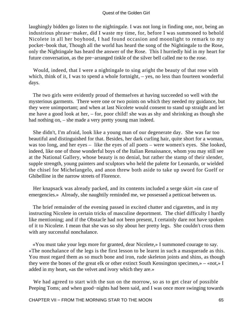laughingly bidden go listen to the nightingale. I was not long in finding one, nor, being an industrious phrase−maker, did I waste my time, for, before I was summoned to behold Nicolete in all her boyhood, I had found occasion and moonlight to remark to my pocket−book that, Though all the world has heard the song of the Nightingale to the Rose, only the Nightingale has heard the answer of the Rose. This I hurriedly hid in my heart for future conversation, as the pre−arranged tinkle of the silver bell called me to the rose.

 Would, indeed, that I were a nightingale to sing aright the beauty of that rose with which, think of it, I was to spend a whole fortnight,  $-$  yes, no less than fourteen wonderful days.

 The two girls were evidently proud of themselves at having succeeded so well with the mysterious garments. There were one or two points on which they needed my guidance, but they were unimportant; and when at last Nicolete would consent to stand up straight and let me have a good look at her, – for, poor child! she was as shy and shrinking as though she had nothing on, – she made a very pretty young man indeed.

 She didn't, I'm afraid, look like a young man of our degenerate day. She was far too beautiful and distinguished for that. Besides, her dark curling hair, quite short for a woman, was too long, and her eyes – like the eyes of all poets – were women's eyes. She looked, indeed, like one of those wonderful boys of the Italian Renaissance, whom you may still see at the National Gallery, whose beauty is no denial, but rather the stamp of their slender, supple strength, young painters and sculptors who held the palette for Leonardo, or wielded the chisel for Michelangelo, and anon threw both aside to take up sword for Guelf or Ghibelline in the narrow streets of Florence.

 Her knapsack was already packed, and its contents included a serge skirt «in case of emergencies.» Already, she naughtily reminded me, we possessed a petticoat between us.

 The brief remainder of the evening passed in excited chatter and cigarettes, and in my instructing Nicolete in certain tricks of masculine deportment. The chief difficulty I hardly like mentioning; and if the Obstacle had not been present, I certainly dare not have spoken of it to Nicolete. I mean that she was so shy about her pretty legs. She couldn't cross them with any successful nonchalance.

 «You must take your legs more for granted, dear Nicolete,» I summoned courage to say. «The nonchalance of the legs is the first lesson to be learnt in such a masquerade as this. You must regard them as so much bone and iron, rude skeleton joints and shins, as though they were the bones of the great elk or other extinct South Kensington specimen,» – «not,» I added in my heart, «as the velvet and ivory which they are.»

We had agreed to start with the sun on the morrow, so as to get clear of possible Peeping Toms; and when good−nights had been said, and I was once more swinging towards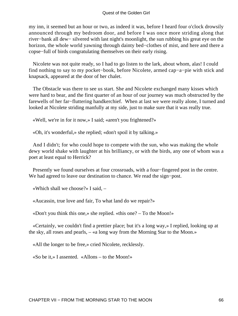#### Quest of the Golden Girl

my inn, it seemed but an hour or two, as indeed it was, before I heard four o'clock drowsily announced through my bedroom door, and before I was once more striding along that river−bank all dew− silvered with last night's moonlight, the sun rubbing his great eye on the horizon, the whole world yawning through dainty bed−clothes of mist, and here and there a copse−full of birds congratulating themselves on their early rising.

 Nicolete was not quite ready, so I had to go listen to the lark, about whom, alas! I could find nothing to say to my pocket−book, before Nicolete, armed cap−a−pie with stick and knapsack, appeared at the door of her chalet.

 The Obstacle was there to see us start. She and Nicolete exchanged many kisses which were hard to bear, and the first quarter of an hour of our journey was much obstructed by the farewells of her far−fluttering handkerchief. When at last we were really alone, I turned and looked at Nicolete striding manfully at my side, just to make sure that it was really true.

«Well, we're in for it now,» I said; «aren't you frightened?»

«Oh, it's wonderful,» she replied; «don't spoil it by talking.»

 And I didn't; for who could hope to compete with the sun, who was making the whole dewy world shake with laughter at his brilliancy, or with the birds, any one of whom was a poet at least equal to Herrick?

 Presently we found ourselves at four crossroads, with a four−fingered post in the centre. We had agreed to leave our destination to chance. We read the sign−post.

«Which shall we choose?» I said, –

«Aucassin, true love and fair, To what land do we repair?»

«Don't you think this one,» she replied. «this one? – To the Moon!»

 «Certainly, we couldn't find a prettier place; but it's a long way,» I replied, looking up at the sky, all roses and pearls, – «a long way from the Morning Star to the Moon.»

«All the longer to be free,» cried Nicolete, recklessly.

«So be it,» I assented. «Allons – to the Moon!»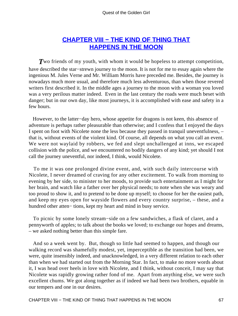## **[CHAPTER VIII − THE KIND OF THING THAT](#page-139-0) [HAPPENS IN THE MOON](#page-139-0)**

**T**wo friends of my youth, with whom it would be hopeless to attempt competition, have described the star−strewn journey to the moon. It is not for me to essay again where the ingenious M. Jules Verne and Mr. William Morris have preceded me. Besides, the journey is nowadays much more usual, and therefore much less adventurous, than when those revered writers first described it. In the middle ages a journey to the moon with a woman you loved was a very perilous matter indeed. Even in the last century the roads were much beset with danger; but in our own day, like most journeys, it is accomplished with ease and safety in a few hours.

 However, to the latter−day hero, whose appetite for dragons is not keen, this absence of adventure is perhaps rather pleasurable than otherwise; and I confess that I enjoyed the days I spent on foot with Nicolete none the less because they passed in tranquil uneventfulness, – that is, without events of the violent kind. Of course, all depends on what you call an event. We were not waylaid by robbers, we fed and slept unchallenged at inns, we escaped collision with the police, and we encountered no bodily dangers of any kind; yet should I not call the journey uneventful, nor indeed, I think, would Nicolete.

 To me it was one prolonged divine event, and, with such daily intercourse with Nicolete, I never dreamed of craving for any other excitement. To walk from morning to evening by her side, to minister to her moods, to provide such entertainment as I might for her brain, and watch like a father over her physical needs; to note when she was weary and too proud to show it, and to pretend to be done up myself; to choose for her the easiest path, and keep my eyes open for wayside flowers and every country surprise, – these, and a hundred other atten− tions, kept my heart and mind in busy service.

 To picnic by some lonely stream−side on a few sandwiches, a flask of claret, and a pennyworth of apples; to talk about the books we loved; to exchange our hopes and dreams, – we asked nothing better than this simple fare.

 And so a week went by. But, though so little had seemed to happen, and though our walking record was shamefully modest, yet, imperceptible as the transition had been, we were, quite insensibly indeed, and unacknowledged, in a very different relation to each other than when we had started out from the Morning Star. In fact, to make no more words about it, I was head over heels in love with Nicolete, and I think, without conceit, I may say that Nicolete was rapidly growing rather fond of me. Apart from anything else, we were such excellent chums. We got along together as if indeed we had been two brothers, equable in our tempers and one in our desires.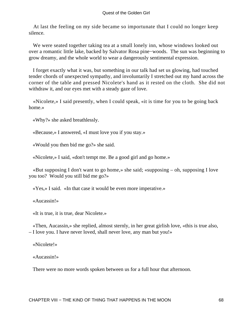At last the feeling on my side became so importunate that I could no longer keep silence.

 We were seated together taking tea at a small lonely inn, whose windows looked out over a romantic little lake, backed by Salvator Rosa pine−woods. The sun was beginning to grow dreamy, and the whole world to wear a dangerously sentimental expression.

 I forget exactly what it was, but something in our talk had set us glowing, had touched tender chords of unexpected sympathy, and involuntarily I stretched out my hand across the corner of the table and pressed Nicolete's hand as it rested on the cloth. She did not withdraw it, and our eyes met with a steady gaze of love.

 «Nicolete,» I said presently, when I could speak, «it is time for you to be going back home.»

«Why?» she asked breathlessly.

«Because,» I answered, «I must love you if you stay.»

«Would you then bid me go?» she said.

«Nicolete,» I said, «don't tempt me. Be a good girl and go home.»

 «But supposing I don't want to go home,» she said; «supposing – oh, supposing I love you too? Would you still bid me go?»

«Yes,» I said. «In that case it would be even more imperative.»

«Aucassin!»

«It is true, it is true, dear Nicolete.»

 «Then, Aucassin,» she replied, almost sternly, in her great girlish love, «this is true also, – I love you. I have never loved, shall never love, any man but you!»

«Nicolete!»

«Aucassin!»

There were no more words spoken between us for a full hour that afternoon.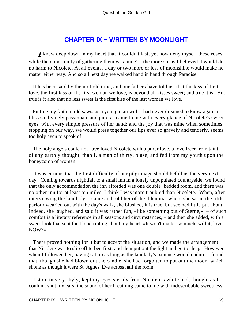## **[CHAPTER IX − WRITTEN BY MOONLIGHT](#page-139-0)**

*I* knew deep down in my heart that it couldn't last, yet how deny myself these roses, while the opportunity of gathering them was mine! – the more so, as I believed it would do no harm to Nicolete. At all events, a day or two more or less of moonshine would make no matter either way. And so all next day we walked hand in hand through Paradise.

 It has been said by them of old time, and our fathers have told us, that the kiss of first love, the first kiss of the first woman we love, is beyond all kisses sweet; and true it is. But true is it also that no less sweet is the first kiss of the last woman we love.

 Putting my faith in old saws, as a young man will, I had never dreamed to know again a bliss so divinely passionate and pure as came to me with every glance of Nicolete's sweet eyes, with every simple pressure of her hand; and the joy that was mine when sometimes, stopping on our way, we would press together our lips ever so gravely and tenderly, seems too holy even to speak of.

 The holy angels could not have loved Nicolete with a purer love, a love freer from taint of any earthly thought, than I, a man of thirty, blase, and fed from my youth upon the honeycomb of woman.

 It was curious that the first difficulty of our pilgrimage should befall us the very next day. Coming towards nightfall to a small inn in a lonely unpopulated countryside, we found that the only accommodation the inn afforded was one double−bedded room, and there was no other inn for at least ten miles. I think I was more troubled than Nicolete. When, after interviewing the landlady, I came and told her of the dilemma, where she sat in the little parlour wearied out with the day's walk, she blushed, it is true, but seemed little put about. Indeed, she laughed, and said it was rather fun, «like something out of Sterne,» – of such comfort is a literary reference in all seasons and circumstances, – and then she added, with a sweet look that sent the blood rioting about my heart, «It won't matter so much, will it, love, NOW?»

 There proved nothing for it but to accept the situation, and we made the arrangement that Nicolete was to slip off to bed first, and then put out the light and go to sleep. However, when I followed her, having sat up as long as the landlady's patience would endure, I found that, though she had blown out the candle, she had forgotten to put out the moon, which shone as though it were St. Agnes' Eve across half the room.

 I stole in very shyly, kept my eyes sternly from Nicolete's white bed, though, as I couldn't shut my ears, the sound of her breathing came to me with indescribable sweetness.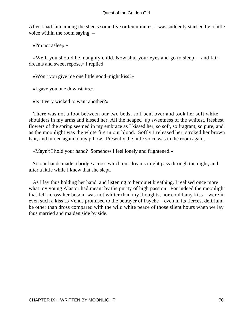After I had lain among the sheets some five or ten minutes, I was suddenly startled by a little voice within the room saying, –

«I'm not asleep.»

 «Well, you should be, naughty child. Now shut your eyes and go to sleep, – and fair dreams and sweet repose,» I replied.

«Won't you give me one little good−night kiss?»

«I gave you one downstairs.»

«Is it very wicked to want another?»

 There was not a foot between our two beds, so I bent over and took her soft white shoulders in my arms and kissed her. All the heaped−up sweetness of the whitest, freshest flowers of the spring seemed in my embrace as I kissed her, so soft, so fragrant, so pure; and as the moonlight was the white fire in our blood. Softly I released her, stroked her brown hair, and turned again to my pillow. Presently the little voice was in the room again, –

«Mayn't I hold your hand? Somehow I feel lonely and frightened.»

 So our hands made a bridge across which our dreams might pass through the night, and after a little while I knew that she slept.

 As I lay thus holding her hand, and listening to her quiet breathing, I realised once more what my young Alastor had meant by the purity of high passion. For indeed the moonlight that fell across her bosom was not whiter than my thoughts, nor could any kiss – were it even such a kiss as Venus promised to the betrayer of Psyche – even in its fiercest delirium, be other than dross compared with the wild white peace of those silent hours when we lay thus married and maiden side by side.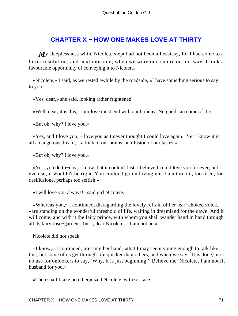## **[CHAPTER X − HOW ONE MAKES LOVE AT THIRTY](#page-139-0)**

*My* sleeplessness while Nicolete slept had not been all ecstasy, for I had come to a bitter resolution; and next morning, when we were once more on our way, I took a favourable opportunity of conveying it to Nicolete.

 «Nicolete,» I said, as we rested awhile by the roadside, «I have something serious to say to you.»

«Yes, dear,» she said, looking rather frightened.

«Well, dear, it is this, – our love must end with our holiday. No good can come of it.»

«But oh, why? I love you.»

 «Yes, and I love you, – love you as I never thought I could love again. Yet I know it is all a dangerous dream, – a trick of our brains, an illusion of our tastes.»

«But oh, why? I love you.»

 «Yes, you do to−day, I know; but it couldn't last. I believe I could love you for ever; but even so, it wouldn't be right. You couldn't go on loving me. I am too old, too tired, too desillusione, perhaps too selfish.»

«I will love you always!» said girl Nicolete.

 «Whereas you,» I continued, disregarding the lovely refrain of her tear−choked voice, «are standing on the wonderful threshold of life, waiting in dreamland for the dawn. And it will come, and with it the fairy prince, with whom you shall wander hand in hand through all its fairy rose−gardens; but I, dear Nicolete, – I am not he.»

Nicolete did not speak.

 «I know,» I continued, pressing her hand, «that I may seem young enough to talk like this, but some of us get through life quicker than others, and when we say, `It is done,' it is no use for onlookers to say, `Why, it is just beginning!' Believe me, Nicolete, I am not fit husband for you.»

«Then shall I take no other,» said Nicolete, with set face.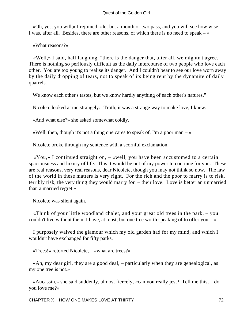«Oh, yes, you will,» I rejoined; «let but a month or two pass, and you will see how wise I was, after all. Besides, there are other reasons, of which there is no need to speak  $-\infty$ 

«What reasons?»

 «Well,» I said, half laughing, "there is the danger that, after all, we mightn't agree. There is nothing so perilously difficult as the daily intercourse of two people who love each other. You are too young to realise its danger. And I couldn't bear to see our love worn away by the daily dropping of tears, not to speak of its being rent by the dynamite of daily quarrels.

We know each other's tastes, but we know hardly anything of each other's natures."

Nicolete looked at me strangely. 'Troth, it was a strange way to make love, I knew.

«And what else?» she asked somewhat coldly.

«Well, then, though it's not a thing one cares to speak of, I'm a poor man  $-\infty$ 

Nicolete broke through my sentence with a scornful exclamation.

 «You,» I continued straight on, – «well, you have been accustomed to a certain spaciousness and luxury of life. This it would be out of my power to continue for you. These are real reasons, very real reasons, dear Nicolete, though you may not think so now. The law of the world in these matters is very right. For the rich and the poor to marry is to risk, terribly risk, the very thing they would marry for – their love. Love is better an unmarried than a married regret.»

Nicolete was silent again.

 «Think of your little woodland chalet, and your great old trees in the park, – you couldn't live without them. I have, at most, but one tree worth speaking of to offer you  $-\infty$ 

 I purposely waived the glamour which my old garden had for my mind, and which I wouldn't have exchanged for fifty parks.

«Trees!» retorted Nicolete, – «what are trees?»

 «Ah, my dear girl, they are a good deal, – particularly when they are genealogical, as my one tree is not.»

 «Aucassin,» she said suddenly, almost fiercely, «can you really jest? Tell me this, – do you love me?»

CHAPTER X – HOW ONE MAKES LOVE AT THIRTY TO THE THIRTY T2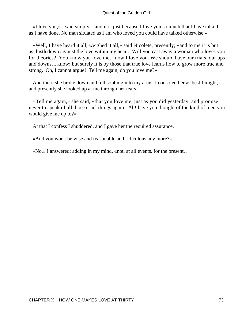#### Quest of the Golden Girl

 «I love you,» I said simply; «and it is just because I love you so much that I have talked as I have done. No man situated as I am who loved you could have talked otherwise.»

 «Well, I have heard it all, weighed it all,» said Nicolete, presently; «and to me it is but as thistledown against the love within my heart. Will you cast away a woman who loves you for theories? You know you love me, know I love you. We should have our trials, our ups and downs, I know; but surely it is by those that true love learns how to grow more true and strong. Oh, I cannot argue! Tell me again, do you love me?»

 And there she broke down and fell sobbing into my arms. I consoled her as best I might, and presently she looked up at me through her tears.

 «Tell me again,» she said, «that you love me, just as you did yesterday, and promise never to speak of all those cruel things again. Ah! have you thought of the kind of men you would give me up to?»

At that I confess I shuddered, and I gave her the required assurance.

«And you won't be wise and reasonable and ridiculous any more?»

«No,» I answered; adding in my mind, «not, at all events, for the present.»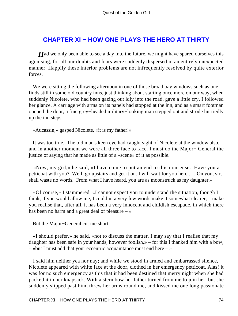### **[CHAPTER XI − HOW ONE PLAYS THE HERO AT THIRTY](#page-139-0)**

*H*ad we only been able to see a day into the future, we might have spared ourselves this agonising, for all our doubts and fears were suddenly dispersed in an entirely unexpected manner. Happily these interior problems are not infrequently resolved by quite exterior forces.

 We were sitting the following afternoon in one of those broad bay windows such as one finds still in some old country inns, just thinking about starting once more on our way, when suddenly Nicolete, who had been gazing out idly into the road, gave a little cry. I followed her glance. A carriage with arms on its panels had stopped at the inn, and as a smart footman opened the door, a fine grey−headed military−looking man stepped out and strode hurriedly up the inn steps.

«Aucassin,» gasped Nicolete, «it is my father!»

 It was too true. The old man's keen eye had caught sight of Nicolete at the window also, and in another moment we were all three face to face. I must do the Major− General the justice of saying that he made as little of a «scene» of it as possible.

 «Now, my girl,» he said, «I have come to put an end to this nonsense. Have you a petticoat with you? Well, go upstairs and get it on. I will wait for you here . . . On you, sir, I shall waste no words. From what I have heard, you are as moonstruck as my daughter.»

 «Of course,» I stammered, «I cannot expect you to understand the situation, though I think, if you would allow me, I could in a very few words make it somewhat clearer, – make you realise that, after all, it has been a very innocent and childish escapade, in which there has been no harm and a great deal of pleasure  $-\infty$ 

But the Major−General cut me short.

 «I should prefer,» he said, «not to discuss the matter. I may say that I realise that my daughter has been safe in your hands, however foolish,» – for this I thanked him with a bow, – «but I must add that your eccentric acquaintance must end here – »

 I said him neither yea nor nay; and while we stood in armed and embarrassed silence, Nicolete appeared with white face at the door, clothed in her emergency petticoat. Alas! it was for no such emergency as this that it had been destined that merry night when she had packed it in her knapsack. With a stern bow her father turned from me to join her; but she suddenly slipped past him, threw her arms round me, and kissed me one long passionate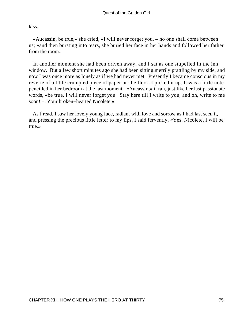kiss.

 «Aucassin, be true,» she cried, «I will never forget you, – no one shall come between us; »and then bursting into tears, she buried her face in her hands and followed her father from the room.

 In another moment she had been driven away, and I sat as one stupefied in the inn window. But a few short minutes ago she had been sitting merrily prattling by my side, and now I was once more as lonely as if we had never met. Presently I became conscious in my reverie of a little crumpled piece of paper on the floor. I picked it up. It was a little note pencilled in her bedroom at the last moment. «Aucassin,» it ran, just like her last passionate words, «be true. I will never forget you. Stay here till I write to you, and oh, write to me soon! – Your broken−hearted Nicolete.»

 As I read, I saw her lovely young face, radiant with love and sorrow as I had last seen it, and pressing the precious little letter to my lips, I said fervently, «Yes, Nicolete, I will be true.»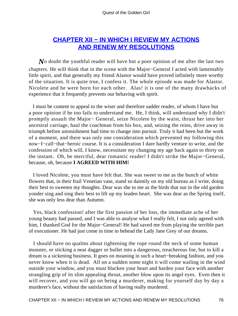## **[CHAPTER XII − IN WHICH I REVIEW MY ACTIONS](#page-139-0) [AND RENEW MY RESOLUTIONS](#page-139-0)**

*N*o doubt the youthful reader will have but a poor opinion of me after the last two chapters. He will think that in the scene with the Major−General I acted with lamentably little spirit, and that generally my friend Alastor would have proved infinitely more worthy of the situation. It is quite true, I confess it. The whole episode was made for Alastor. Nicolete and he were born for each other. Alas! it is one of the many drawbacks of experience that it frequently prevents our behaving with spirit.

 I must be content to appeal to the wiser and therefore sadder reader, of whom I have but a poor opinion if he too fails to understand me. He, I think, will understand why I didn't promptly assault the Major− General, seize Nicolete by the waist, thrust her into her ancestral carriage, haul the coachman from his box, and, seizing the reins, drive away in triumph before astonishment had time to change into pursuit. Truly it had been but the work of a moment, and there was only one consideration which prevented my following this now−I−call−that−heroic course. It is a consideration I dare hardly venture to write, and the confession of which will, I know, necessitate my changing my age back again to thirty on the instant. Oh, be merciful, dear romantic reader! I didn't strike the Major−General, because, oh, because **I AGREED WITH HIM!**

 I loved Nicolete, you must have felt that. She was sweet to me as the bunch of white flowers that, in their frail Venetian vase, stand so daintily on my old bureau as I write, doing their best to sweeten my thoughts. Dear was she to me as the birds that out in the old garden yonder sing and sing their best to lift up my leaden heart. She was dear as the Spring itself, she was only less dear than Autumn.

 Yes, black confession! after the first passion of her loss, the immediate ache of her young beauty had passed, and I was able to analyse what I really felt, I not only agreed with him, I thanked God for the Major−General! He had saved me from playing the terrible part of executioner. He had just come in time to behead the Lady Jane Grey of our dreams.

 I should have no qualms about tightening the rope round the neck of some human monster, or sticking a neat dagger or bullet into a dangerous, treacherous foe, but to kill a dream is a sickening business. It goes on moaning in such a heart−breaking fashion, and you never know when it is dead. All on a sudden some night it will come wailing in the wind outside your window, and you must blacken your heart and harden your face with another strangling grip of its slim appealing throat, another blow upon its angel eyes. Even then it will recover, and you will go on being a murderer, making for yourself day by day a murderer's face, without the satisfaction of having really murdered.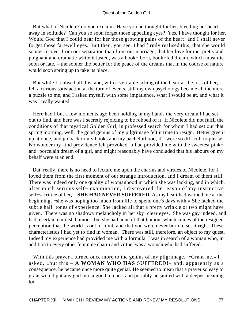But what of Nicolete? do you exclaim. Have you no thought for her, bleeding her heart away in solitude? Can you so soon forget those appealing eyes? Yes, I have thought for her. Would God that I could bear for her those growing pains of the heart! and I shall never forget those farewell eyes. But then, you see, I had firmly realised this, that she would sooner recover from our separation than from our marriage; that her love for me, pretty and poignant and dramatic while it lasted, was a book− born, book−fed dream, which must die soon or late, – the sooner the better for the peace of the dreams that in the course of nature would soon spring up to take its place.

 But while I realised all this, and, with a veritable aching of the heart at the loss of her, felt a curious satisfaction at the turn of events, still my own psychology became all the more a puzzle to me, and I asked myself, with some impatience, what I would be at, and what it was I really wanted.

 Here had I but a few moments ago been holding in my hands the very dream I had set out to find, and here was I secretly rejoicing to be robbed of it! If Nicolete did not fulfil the conditions of that mystical Golden Girl, in professed search for whom I had set out that spring morning, well, the good genius of my pilgrimage felt it time to resign. Better give it up at once, and go back to my books and my bachelorhood, if I were so difficult to please. No wonder my kind providence felt provoked. It had provided me with the sweetest pink− and−porcelain dream of a girl, and might reasonably have concluded that his labours on my behalf were at an end.

 But, really, there is no need to lecture me upon the charms and virtues of Nicolete, for I loved them from the first moment of our strange introduction, and I dream of them still. There was indeed only one quality of womanhood in which she was lacking, and in which, after much serious self− examination, I discovered the reason of my instinctive self−sacrifice of her, – **SHE HAD NEVER SUFFERED.** As my heart had warned me at the beginning, «she was hoping too much from life to spend one's days with.» She lacked the subtle half−tones of experience. She lacked all that a pretty wrinkle or two might have given. There was no shadowy melancholy in her sky−clear eyes. She was gay indeed, and had a certain childish humour; but she had none of that humour which comes of the resigned perception that the world is out of joint, and that you were never born to set it right. These characteristics I had yet to find in woman. There was still, therefore, an object to my quest. Indeed my experience had provided me with a formula. I was in search of a woman who, in addition to every other feminine charm and virtue, was a woman who had suffered.

With this prayer I turned once more to the genius of my pilgrimage. «Grant me,» I asked, «but this – **A WOMAN WHO HAS** SUFFERED!» and, apparently as a consequence, he became once more quite genial. He seemed to mean that a prayer so easy to grant would put any god into a good temper; and possibly he smiled with a deeper meaning too.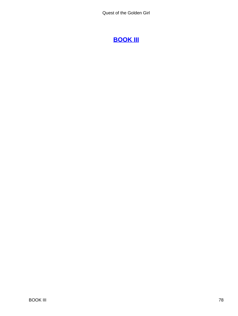# **[BOOK III](#page-139-0)**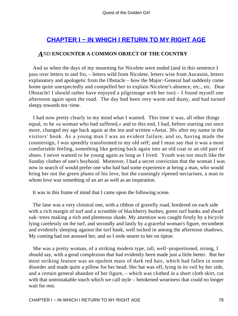## **[CHAPTER I − IN WHICH I RETURN TO MY RIGHT AGE](#page-139-0)**

### *A*ND **ENCOUNTER A COMMON OBJECT OF THE COUNTRY**

 And so when the days of my mourning for Nicolete were ended (and in this sentence I pass over letters to and fro, – letters wild from Nicolete, letters wise from Aucassin, letters explanatory and apologetic from the Obstacle – how the Major−General had suddenly come home quite unexpectedly and compelled her to explain Nicolete's absence, etc., etc. Dear Obstacle! I should rather have enjoyed a pilgrimage with her too) – I found myself one afternoon again upon the road. The day had been very warm and dusty, and had turned sleepy towards tea−time.

 I had now pretty clearly in my mind what I wanted. This time it was, all other things equal, to be «a woman who had suffered,» and to this end, I had, before starting out once more, changed my age back again at the inn and written «Aetat. 30» after my name in the visitors' book. As a young man I was an evident failure, and so, having made the countersign, I was speedily transformed to my old self; and I must say that it was a most comfortable feeling, something like getting back again into an old coat or an old pair of shoes. I never wanted to be young again as long as I lived. Youth was too much like the Sunday clothes of one's boyhood. Moreover, I had a secret conviction that the woman I was now in search of would prefer one who had had some experience at being a man, who would bring her not the green plums of his love, but the cunningly ripened nectarines, a man to whom love was something of an art as well as an inspiration.

It was in this frame of mind that I came upon the following scene.

 The lane was a very cloistral one, with a ribbon of gravelly road, bordered on each side with a rich margin of turf and a scramble of blackberry bushes, green turf banks and dwarf oak−trees making a rich and plenteous shade. My attention was caught firstly by a bicycle lying carelessly on the turf, and secondly and lastly by a graceful woman's figure, recumbent and evidently sleeping against the turf bank, well tucked in among the afternoon shadows. My coming had not aroused her, and so I stole nearer to her on tiptoe.

 She was a pretty woman, of a striking modern type, tall, well−proportioned, strong, I should say, with a good complexion that had evidently been made just a little better. But her most striking feature was an opulent mass of dark red hair, which had fallen in some disorder and made quite a pillow for her head. Her hat was off, lying in its veil by her side, and a certain general abandon of her figure, – which was clothed in a short cloth skirt, cut with that unmistakable touch which we call style – betokened weariness that could no longer wait for rest.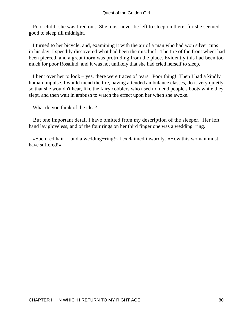Poor child! she was tired out. She must never be left to sleep on there, for she seemed good to sleep till midnight.

 I turned to her bicycle, and, examining it with the air of a man who had won silver cups in his day, I speedily discovered what had been the mischief. The tire of the front wheel had been pierced, and a great thorn was protruding from the place. Evidently this had been too much for poor Rosalind, and it was not unlikely that she had cried herself to sleep.

 I bent over her to look – yes, there were traces of tears. Poor thing! Then I had a kindly human impulse. I would mend the tire, having attended ambulance classes, do it very quietly so that she wouldn't hear, like the fairy cobblers who used to mend people's boots while they slept, and then wait in ambush to watch the effect upon her when she awoke.

What do you think of the idea?

 But one important detail I have omitted from my description of the sleeper. Her left hand lay gloveless, and of the four rings on her third finger one was a wedding−ring.

 «Such red hair, – and a wedding−ring!» I exclaimed inwardly. «How this woman must have suffered!»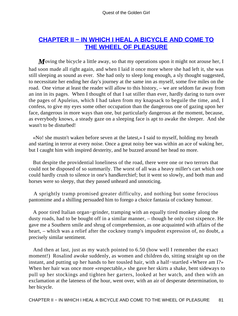## **[CHAPTER II − IN WHICH I HEAL A BICYCLE AND COME TO](#page-139-0) [THE WHEEL OF PLEASURE](#page-139-0)**

*M*oving the bicycle a little away, so that my operations upon it might not arouse her, I had soon made all right again, and when I laid it once more where she had left it, she was still sleeping as sound as ever. She had only to sleep long enough, a sly thought suggested, to necessitate her ending her day's journey at the same inn as myself, some five miles on the road. One virtue at least the reader will allow to this history, – we are seldom far away from an inn in its pages. When I thought of that I sat stiller than ever, hardly daring to turn over the pages of Apuleius, which I had taken from my knapsack to beguile the time, and, I confess, to give my eyes some other occupation than the dangerous one of gazing upon her face, dangerous in more ways than one, but particularly dangerous at the moment, because, as everybody knows, a steady gaze on a sleeping face is apt to awake the sleeper. And she wasn't to be disturbed!

 «No! she mustn't waken before seven at the latest,» I said to myself, holding my breath and starting in terror at every noise. Once a great noisy bee was within an ace of waking her, but I caught him with inspired dexterity, and he buzzed around her head no more.

 But despite the providential loneliness of the road, there were one or two terrors that could not be disposed of so summarily. The worst of all was a heavy miller's cart which one could hardly crush to silence in one's handkerchief; but it went so slowly, and both man and horses were so sleepy, that they passed unheard and unnoticing.

 A sprightly tramp promised greater difficulty, and nothing but some ferocious pantomime and a shilling persuaded him to forego a choice fantasia of cockney humour.

 A poor tired Italian organ−grinder, tramping with an equally tired monkey along the dusty roads, had to be bought off in a similar manner, – though he only cost sixpence. He gave me a Southern smile and shrug of comprehension, as one acquainted with affairs of the heart, – which was a relief after the cockney tramp's impudent expression of, no doubt, a precisely similar sentiment.

 And then at last, just as my watch pointed to 6.50 (how well I remember the exact moment!) Rosalind awoke suddenly, as women and children do, sitting straight up on the instant, and putting up her hands to her tousled hair, with a half−startled «Where am I?» When her hair was once more «respectable,» she gave her skirts a shake, bent sideways to pull up her stockings and tighten her garters, looked at her watch, and then with an exclamation at the lateness of the hour, went over, with an air of desperate determination, to her bicycle.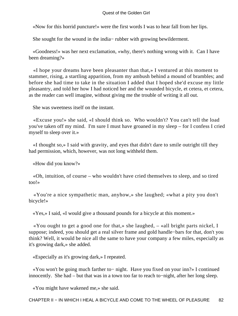#### Quest of the Golden Girl

«Now for this horrid puncture!» were the first words I was to hear fall from her lips.

She sought for the wound in the india− rubber with growing bewilderment.

 «Goodness!» was her next exclamation, «why, there's nothing wrong with it. Can I have been dreaming?»

 «I hope your dreams have been pleasanter than that,» I ventured at this moment to stammer, rising, a startling apparition, from my ambush behind a mound of brambles; and before she had time to take in the situation I added that I hoped she'd excuse my little pleasantry, and told her how I had noticed her and the wounded bicycle, et cetera, et cetera, as the reader can well imagine, without giving me the trouble of writing it all out.

She was sweetness itself on the instant.

 «Excuse you!» she said, «I should think so. Who wouldn't? You can't tell the load you've taken off my mind. I'm sure I must have groaned in my sleep – for I confess I cried myself to sleep over it.»

 «I thought so,» I said with gravity, and eyes that didn't dare to smile outright till they had permission, which, however, was not long withheld them.

«How did you know?»

 «Oh, intuition, of course – who wouldn't have cried themselves to sleep, and so tired too!»

 «You're a nice sympathetic man, anyhow,» she laughed; «what a pity you don't bicycle!»

«Yes,» I said, «I would give a thousand pounds for a bicycle at this moment.»

 «You ought to get a good one for that,» she laughed, – «all bright parts nickel, I suppose; indeed, you should get a real silver frame and gold handle−bars for that, don't you think? Well, it would be nice all the same to have your company a few miles, especially as it's growing dark,» she added.

«Especially as it's growing dark,» I repeated.

 «You won't be going much farther to− night. Have you fixed on your inn?» I continued innocently. She had – but that was in a town too far to reach to−night, after her long sleep.

«You might have wakened me,» she said.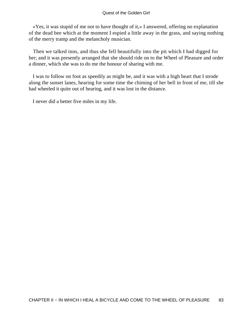«Yes, it was stupid of me not to have thought of it,» I answered, offering no explanation of the dead bee which at the moment I espied a little away in the grass, and saying nothing of the merry tramp and the melancholy musician.

 Then we talked inns, and thus she fell beautifully into the pit which I had digged for her; and it was presently arranged that she should ride on to the Wheel of Pleasure and order a dinner, which she was to do me the honour of sharing with me.

 I was to follow on foot as speedily as might be, and it was with a high heart that I strode along the sunset lanes, hearing for some time the chiming of her bell in front of me, till she had wheeled it quite out of hearing, and it was lost in the distance.

I never did a better five miles in my life.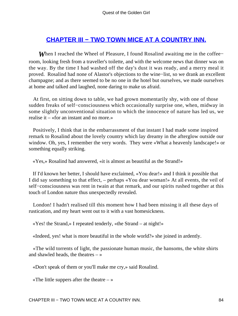## **[CHAPTER III − TWO TOWN MICE AT A COUNTRY INN.](#page-139-0)**

*When* I reached the Wheel of Pleasure, I found Rosalind awaiting me in the coffee– room, looking fresh from a traveller's toilette, and with the welcome news that dinner was on the way. By the time I had washed off the day's dust it was ready, and a merry meal it proved. Rosalind had none of Alastor's objections to the wine−list, so we drank an excellent champagne; and as there seemed to be no one in the hotel but ourselves, we made ourselves at home and talked and laughed, none daring to make us afraid.

 At first, on sitting down to table, we had grown momentarily shy, with one of those sudden freaks of self−consciousness which occasionally surprise one, when, midway in some slightly unconventional situation to which the innocence of nature has led us, we realise it – «for an instant and no more.»

 Positively, I think that in the embarrassment of that instant I had made some inspired remark to Rosalind about the lovely country which lay dreamy in the afterglow outside our window. Oh, yes, I remember the very words. They were «What a heavenly landscape!» or something equally striking.

«Yes,» Rosalind had answered, «it is almost as beautiful as the Strand!»

 If I'd known her better, I should have exclaimed, «You dear!» and I think it possible that I did say something to that effect, – perhaps «You dear woman!» At all events, the veil of self–consciousness was rent in twain at that remark, and our spirits rushed together at this touch of London nature thus unexpectedly revealed.

 London! I hadn't realised till this moment how I had been missing it all these days of rustication, and my heart went out to it with a vast homesickness.

«Yes! the Strand,» I repeated tenderly, «the Strand – at night!»

«Indeed, yes! what is more beautiful in the whole world?» she joined in ardently.

 «The wild torrents of light, the passionate human music, the hansoms, the white shirts and shawled heads, the theatres  $-\infty$ 

«Don't speak of them or you'll make me cry,» said Rosalind.

«The little suppers after the theatre  $-\infty$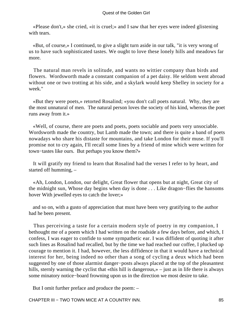«Please don't,» she cried, «it is cruel;» and I saw that her eyes were indeed glistening with tears.

 «But, of course,» I continued, to give a slight turn aside in our talk, "it is very wrong of us to have such sophisticated tastes. We ought to love these lonely hills and meadows far more.

 The natural man revels in solitude, and wants no wittier company than birds and flowers. Wordsworth made a constant companion of a pet daisy. He seldom went abroad without one or two trotting at his side, and a skylark would keep Shelley in society for a week."

 «But they were poets,» retorted Rosalind; «you don't call poets natural. Why, they are the most unnatural of men. The natural person loves the society of his kind, whereas the poet runs away from it.»

 «Well, of course, there are poets and poets, poets sociable and poets very unsociable. Wordsworth made the country, but Lamb made the town; and there is quite a band of poets nowadays who share his distaste for mountains, and take London for their muse. If you'll promise not to cry again, I'll recall some lines by a friend of mine which were written for town−tastes like ours. But perhaps you know them?»

 It will gratify my friend to learn that Rosalind had the verses I refer to by heart, and started off humming, –

 «Ah, London, London, our delight, Great flower that opens but at night, Great city of the midnight sun, Whose day begins when day is done . . . Like dragon−flies the hansoms hover With jewelled eyes to catch the lover;»

 and so on, with a gusto of appreciation that must have been very gratifying to the author had he been present.

 Thus perceiving a taste for a certain modern style of poetry in my companion, I bethought me of a poem which I had written on the roadside a few days before, and which, I confess, I was eager to confide to some sympathetic ear. I was diffident of quoting it after such lines as Rosalind had recalled, but by the time we had reached our coffee, I plucked up courage to mention it. I had, however, the less diffidence in that it would have a technical interest for her, being indeed no other than a song of cycling a deux which had been suggested by one of those alarmist danger−posts always placed at the top of the pleasantest hills, sternly warning the cyclist that «this hill is dangerous,» – just as in life there is always some minatory notice−board frowning upon us in the direction we most desire to take.

But I omit further preface and produce the poem: –

CHAPTER III − TWO TOWN MICE AT A COUNTRY INN. 85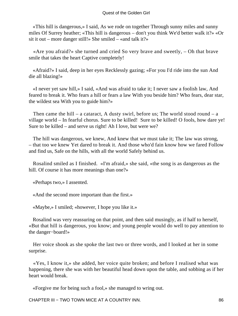«This hill is dangerous,» I said, As we rode on together Through sunny miles and sunny miles Of Surrey heather; «This hill is dangerous – don't you think We'd better walk it?» «Or sit it out – more danger still!» She smiled – «and talk it?»

 «Are you afraid?» she turned and cried So very brave and sweetly, – Oh that brave smile that takes the heart Captive completely!

 «Afraid?» I said, deep in her eyes Recklessly gazing; «For you I'd ride into the sun And die all blazing!»

 «I never yet saw hill,» I said, «And was afraid to take it; I never saw a foolish law, And feared to break it. Who fears a hill or fears a law With you beside him? Who fears, dear star, the wildest sea With you to guide him?»

Then came the hill – a cataract, A dusty swirl, before us; The world stood round – a village world – In fearful chorus. Sure to be killed! Sure to be killed! O fools, how dare ye! Sure to be killed – and serve us right! Ah I love, but were we?

 The hill was dangerous, we knew, And knew that we must take it; The law was strong, – that too we knew Yet dared to break it. And those who'd fain know how we fared Follow and find us, Safe on the hills, with all the world Safely behind us.

 Rosalind smiled as I finished. «I'm afraid,» she said, «the song is as dangerous as the hill. Of course it has more meanings than one?»

«Perhaps two,» I assented.

«And the second more important than the first.»

«Maybe,» I smiled; «however, I hope you like it.»

 Rosalind was very reassuring on that point, and then said musingly, as if half to herself, «But that hill is dangerous, you know; and young people would do well to pay attention to the danger−board!»

 Her voice shook as she spoke the last two or three words, and I looked at her in some surprise.

 «Yes, I know it,» she added, her voice quite broken; and before I realised what was happening, there she was with her beautiful head down upon the table, and sobbing as if her heart would break.

«Forgive me for being such a fool,» she managed to wring out.

CHAPTER III − TWO TOWN MICE AT A COUNTRY INN. 86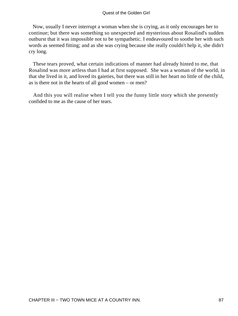#### Quest of the Golden Girl

 Now, usually I never interrupt a woman when she is crying, as it only encourages her to continue; but there was something so unexpected and mysterious about Rosalind's sudden outburst that it was impossible not to be sympathetic. I endeavoured to soothe her with such words as seemed fitting; and as she was crying because she really couldn't help it, she didn't cry long.

 These tears proved, what certain indications of manner had already hinted to me, that Rosalind was more artless than I had at first supposed. She was a woman of the world, in that she lived in it, and loved its gaieties, but there was still in her heart no little of the child, as is there not in the hearts of all good women – or men?

 And this you will realise when I tell you the funny little story which she presently confided to me as the cause of her tears.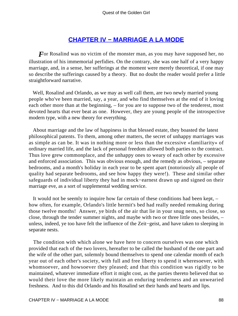## **[CHAPTER IV − MARRIAGE A LA MODE](#page-139-0)**

*F* or Rosalind was no victim of the monster man, as you may have supposed her, no illustration of his immemorial perfidies. On the contrary, she was one half of a very happy marriage, and, in a sense, her sufferings at the moment were merely theoretical, if one may so describe the sufferings caused by a theory. But no doubt the reader would prefer a little straightforward narrative.

 Well, Rosalind and Orlando, as we may as well call them, are two newly married young people who've been married, say, a year, and who find themselves at the end of it loving each other more than at the beginning, – for you are to suppose two of the tenderest, most devoted hearts that ever beat as one. However, they are young people of the introspective modern type, with a new theory for everything.

 About marriage and the law of happiness in that blessed estate, they boasted the latest philosophical patents. To them, among other matters, the secret of unhappy marriages was as simple as can be. It was in nothing more or less than the excessive «familiarity» of ordinary married life, and the lack of personal freedom allowed both parties to the contract. Thus love grew commonplace, and the unhappy ones to weary of each other by excessive and enforced association. This was obvious enough, and the remedy as obvious, – separate bedrooms, and a month's holiday in each year to be spent apart (notoriously all people of quality had separate bedrooms, and see how happy they were!). These and similar other safeguards of individual liberty they had in mock−earnest drawn up and signed on their marriage eve, as a sort of supplemental wedding service.

 It would not be seemly to inquire how far certain of these conditions had been kept, – how often, for example, Orlando's little hermit's bed had really needed remaking during those twelve months! Answer, ye birds of the air that lie in your snug nests, so close, so close, through the tender summer nights, and maybe with two or three little ones besides, – unless, indeed, ye too have felt the influence of the Zeit−geist, and have taken to sleeping in separate nests.

 The condition with which alone we have here to concern ourselves was one which provided that each of the two lovers, hereafter to be called the husband of the one part and the wife of the other part, solemnly bound themselves to spend one calendar month of each year out of each other's society, with full and free liberty to spend it wheresoever, with whomsoever, and howsoever they pleased; and that this condition was rigidly to be maintained, whatever immediate effort it might cost, as the parties thereto believed that so would their love the more likely maintain an enduring tenderness and an unwearied freshness. And to this did Orlando and his Rosalind set their hands and hearts and lips.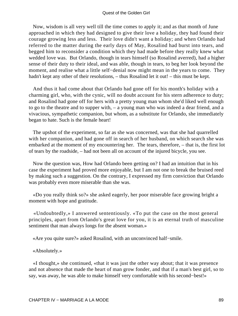#### Quest of the Golden Girl

 Now, wisdom is all very well till the time comes to apply it; and as that month of June approached in which they had designed to give their love a holiday, they had found their courage growing less and less. Their love didn't want a holiday; and when Orlando had referred to the matter during the early days of May, Rosalind had burst into tears, and begged him to reconsider a condition which they had made before they really knew what wedded love was. But Orlando, though in tears himself (so Rosalind averred), had a higher sense of their duty to their ideal, and was able, though in tears, to beg her look beyond the moment, and realise what a little self−denial now might mean in the years to come. They hadn't kept any other of their resolutions, – thus Rosalind let it out! – this must be kept.

 And thus it had come about that Orlando had gone off for his month's holiday with a charming girl, who, with the cynic, will no doubt account for his stern adherence to duty; and Rosalind had gone off for hers with a pretty young man whom she'd liked well enough to go to the theatre and to supper with, – a young man who was indeed a dear friend, and a vivacious, sympathetic companion, but whom, as a substitute for Orlando, she immediately began to hate. Such is the female heart!

 The upshot of the experiment, so far as she was concerned, was that she had quarrelled with her companion, and had gone off in search of her husband, on which search she was embarked at the moment of my encountering her. The tears, therefore, – that is, the first lot of tears by the roadside, – had not been all on account of the injured bicycle, you see.

 Now the question was, How had Orlando been getting on? I had an intuition that in his case the experiment had proved more enjoyable, but I am not one to break the bruised reed by making such a suggestion. On the contrary, I expressed my firm conviction that Orlando was probably even more miserable than she was.

 «Do you really think so?» she asked eagerly, her poor miserable face growing bright a moment with hope and gratitude.

 «Undoubtedly,» I answered sententiously. «To put the case on the most general principles, apart from Orlando's great love for you, it is an eternal truth of masculine sentiment that man always longs for the absent woman.»

«Are you quite sure?» asked Rosalind, with an unconvinced half−smile.

«Absolutely.»

 «I thought,» she continued, «that it was just the other way about; that it was presence and not absence that made the heart of man grow fonder, and that if a man's best girl, so to say, was away, he was able to make himself very comfortable with his second−best!»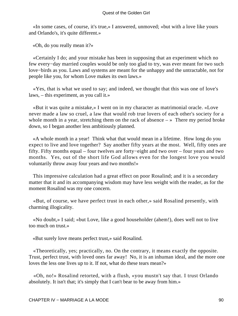«In some cases, of course, it's true,» I answered, unmoved; «but with a love like yours and Orlando's, it's quite different.»

«Oh, do you really mean it?»

 «Certainly I do; and your mistake has been in supposing that an experiment which no few every−day married couples would be only too glad to try, was ever meant for two such love−birds as you. Laws and systems are meant for the unhappy and the untractable, not for people like you, for whom Love makes its own laws.»

 «Yes, that is what we used to say; and indeed, we thought that this was one of love's laws, – this experiment, as you call it.»

 «But it was quite a mistake,» I went on in my character as matrimonial oracle. «Love never made a law so cruel, a law that would rob true lovers of each other's society for a whole month in a year, stretching them on the rack of absence  $-\infty$  There my period broke down, so I began another less ambitiously planned.

 «A whole month in a year! Think what that would mean in a lifetime. How long do you expect to live and love together? Say another fifty years at the most. Well, fifty ones are fifty. Fifty months equal – four twelves are forty−eight and two over – four years and two months. Yes, out of the short life God allows even for the longest love you would voluntarily throw away four years and two months!»

 This impressive calculation had a great effect on poor Rosalind; and it is a secondary matter that it and its accompanying wisdom may have less weight with the reader, as for the moment Rosalind was my one concern.

 «But, of course, we have perfect trust in each other,» said Rosalind presently, with charming illogicality.

 «No doubt,» I said; «but Love, like a good householder (ahem!), does well not to live too much on trust.»

«But surely love means perfect trust,» said Rosalind.

 «Theoretically, yes; practically, no. On the contrary, it means exactly the opposite. Trust, perfect trust, with loved ones far away! No, it is an inhuman ideal, and the more one loves the less one lives up to it. If not, what do these tears mean?»

 «Oh, no!» Rosalind retorted, with a flush, «you mustn't say that. I trust Orlando absolutely. It isn't that; it's simply that I can't bear to be away from him.»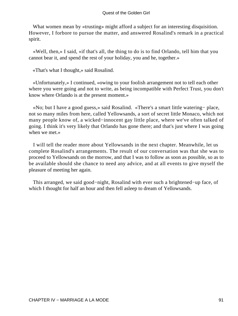What women mean by «trusting» might afford a subject for an interesting disquisition. However, I forbore to pursue the matter, and answered Rosalind's remark in a practical spirit.

 «Well, then,» I said, «if that's all, the thing to do is to find Orlando, tell him that you cannot bear it, and spend the rest of your holiday, you and he, together.»

«That's what I thought,» said Rosalind.

 «Unfortunately,» I continued, «owing to your foolish arrangement not to tell each other where you were going and not to write, as being incompatible with Perfect Trust, you don't know where Orlando is at the present moment.»

 «No; but I have a good guess,» said Rosalind. «There's a smart little watering− place, not so many miles from here, called Yellowsands, a sort of secret little Monaco, which not many people know of, a wicked−innocent gay little place, where we've often talked of going. I think it's very likely that Orlando has gone there; and that's just where I was going when we met.»

 I will tell the reader more about Yellowsands in the next chapter. Meanwhile, let us complete Rosalind's arrangements. The result of our conversation was that she was to proceed to Yellowsands on the morrow, and that I was to follow as soon as possible, so as to be available should she chance to need any advice, and at all events to give myself the pleasure of meeting her again.

 This arranged, we said good−night, Rosalind with ever such a brightened−up face, of which I thought for half an hour and then fell asleep to dream of Yellowsands.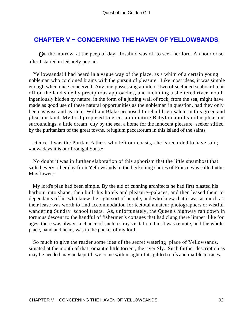### **[CHAPTER V − CONCERNING THE HAVEN OF YELLOWSANDS](#page-139-0)**

*O*n the morrow, at the peep of day, Rosalind was off to seek her lord. An hour or so after I started in leisurely pursuit.

 Yellowsands! I had heard in a vague way of the place, as a whim of a certain young nobleman who combined brains with the pursuit of pleasure. Like most ideas, it was simple enough when once conceived. Any one possessing a mile or two of secluded seaboard, cut off on the land side by precipitous approaches, and including a sheltered river mouth ingeniously hidden by nature, in the form of a jutting wall of rock, from the sea, might have made as good use of these natural opportunities as the nobleman in question, had they only been as wise and as rich. William Blake proposed to rebuild Jerusalem in this green and pleasant land. My lord proposed to erect a miniature Babylon amid similar pleasant surroundings, a little dream−city by the sea, a home for the innocent pleasure−seeker stifled by the puritanism of the great towns, refugium peccatorum in this island of the saints.

 «Once it was the Puritan Fathers who left our coasts,» he is recorded to have said; «nowadays it is our Prodigal Sons.»

 No doubt it was in further elaboration of this aphorism that the little steamboat that sailed every other day from Yellowsands to the beckoning shores of France was called «the Mayflower.»

 My lord's plan had been simple. By the aid of cunning architects he had first blasted his harbour into shape, then built his hotels and pleasure−palaces, and then leased them to dependants of his who knew the right sort of people, and who knew that it was as much as their lease was worth to find accommodation for teetotal amateur photographers or wistful wandering Sunday−school treats. As, unfortunately, the Queen's highway ran down in tortuous descent to the handful of fishermen's cottages that had clung there limpet−like for ages, there was always a chance of such a stray visitation; but it was remote, and the whole place, hand and heart, was in the pocket of my lord.

 So much to give the reader some idea of the secret watering−place of Yellowsands, situated at the mouth of that romantic little torrent, the river Sly. Such further description as may be needed may be kept till we come within sight of its gilded roofs and marble terraces.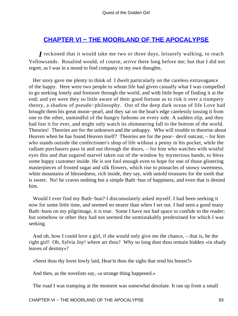### **[CHAPTER VI − THE MOORLAND OF THE APOCALYPSE](#page-140-0)**

*I* reckoned that it would take me two or three days, leisurely walking, to reach Yellowsands. Rosalind would, of course, arrive there long before me; but that I did not regret, as I was in a mood to find company in my own thoughts.

 Her story gave me plenty to think of. I dwelt particularly on the careless extravagance of the happy. Here were two people to whom life had given casually what I was compelled to go seeking lonely and footsore through the world, and with little hope of finding it at the end; and yet were they so little aware of their good fortune as to risk it over a trumpery theory, a shadow of pseudo−philosophy. Out of the deep dark ocean of life Love had brought them his great moon−pearl, and they sat on the boat's edge carelessly tossing it from one to the other, unmindful of the hungry fathoms on every side. A sudden slip, and they had lost it for ever, and might only watch its shimmering fall to the bottom of the world. Theories! Theories are for the unknown and the unhappy. Who will trouble to theorise about Heaven when he has found Heaven itself? Theories are for the poor− devil outcast, – for him who stands outside the confectioner's shop of life without a penny in his pocket, while the radiant purchasers pass in and out through the doors, – for him who watches with wistful eyes this and that sugared marvel taken out of the window by mysterious hands, to bless some happy customer inside. He is not fool enough even to hope for one of those glistering masterpieces of frosted sugar and silk flowers, which rise to pinnacles of snowy sweetness, white mountains of blessedness, rich inside, they say, with untold treasures for the tooth that is sweet. No! he craves nothing but a simple Bath−bun of happiness, and even that is denied him.

 Would I ever find my Bath−bun? I disconsolately asked myself. I had been seeking it now for some little time, and seemed no nearer than when I set out. I had seen a good many Bath−buns on my pilgrimage, it is true. Some I have not had space to confide to the reader; but somehow or other they had not seemed the unmistakably predestined for which I was seeking.

 And oh, how I could love a girl, if she would only give me the chance, – that is, be the right girl! Oh, Sylvia Joy! where art thou? Why so long dost thou remain hidden «in shady leaves of destiny»?

«Seest thou thy lover lowly laid, Hear'st thou the sighs that rend his breast?»

And then, as the novelists say, «a strange thing happened.»

The road I was tramping at the moment was somewhat desolate. It ran up from a small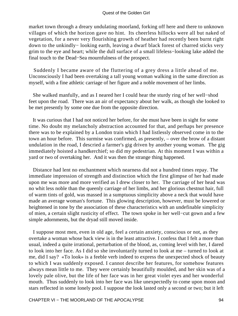market town through a dreary undulating moorland, forking off here and there to unknown villages of which the horizon gave no hint. Its cheerless hillocks were all but naked of vegetation, for a never very flourishing growth of heather had recently been burnt right down to the unkindly− looking earth, leaving a dwarf black forest of charred sticks very grim to the eye and heart; while the dull surface of a small lifeless−looking lake added the final touch to the Dead−Sea mournfulness of the prospect.

 Suddenly I became aware of the fluttering of a grey dress a little ahead of me. Unconsciously I had been overtaking a tall young woman walking in the same direction as myself, with a fine athletic carriage of her figure and a noble movement of her limbs.

 She walked manfully, and as I neared her I could hear the sturdy ring of her well−shod feet upon the road. There was an air of expectancy about her walk, as though she looked to be met presently by some one due from the opposite direction.

 It was curious that I had not noticed her before, for she must have been in sight for some time. No doubt my melancholy abstraction accounted for that, and perhaps her presence there was to be explained by a London train which I had listlessly observed come in to the town an hour before. This surmise was confirmed, as presently, – over the brow of a distant undulation in the road, I descried a farmer's gig driven by another young woman. The gig immediately hoisted a handkerchief; so did my pedestrian. At this moment I was within a yard or two of overtaking her. And it was then the strange thing happened.

 Distance had lent no enchantment which nearness did not a hundred times repay. The immediate impression of strength and distinction which the first glimpse of her had made upon me was more and more verified as I drew closer to her. The carriage of her head was no whit less noble than the queenly carriage of her limbs, and her glorious chestnut hair, full of warm tints of gold, was massed in a sumptuous simplicity above a neck that would have made an average woman's fortune. This glowing description, however, must be lowered or heightened in tone by the association of these characteristics with an undefinable simplicity of mien, a certain slight rusticity of effect. The town spoke in her well−cut gown and a few simple adornments, but the dryad still moved inside.

 I suppose most men, even in old age, feel a certain anxiety, conscious or not, as they overtake a woman whose back view is in the least attractive. I confess that I felt a more than usual, indeed a quite irrational, perturbation of the blood, as, coming level with her, I dared to look into her face. As I did so she involuntarily turned to look at me – turned to look at me, did I say? «To look» is a feeble verb indeed to express the unexpected shock of beauty to which I was suddenly exposed. I cannot describe her features, for somehow features always mean little to me. They were certainly beautifully moulded, and her skin was of a lovely pale olive, but the life of her face was in her great violet eyes and her wonderful mouth. Thus suddenly to look into her face was like unexpectedly to come upon moon and stars reflected in some lonely pool. I suppose the look lasted only a second or two; but it left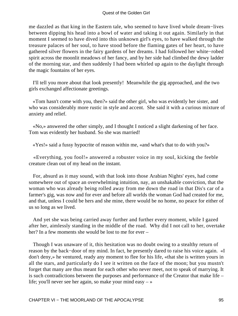#### Quest of the Golden Girl

me dazzled as that king in the Eastern tale, who seemed to have lived whole dream−lives between dipping his head into a bowl of water and taking it out again. Similarly in that moment I seemed to have dived into this unknown girl's eyes, to have walked through the treasure palaces of her soul, to have stood before the flaming gates of her heart, to have gathered silver flowers in the fairy gardens of her dreams. I had followed her white−robed spirit across the moonlit meadows of her fancy, and by her side had climbed the dewy ladder of the morning star, and then suddenly I had been whirled up again to the daylight through the magic fountains of her eyes.

 I'll tell you more about that look presently! Meanwhile the gig approached, and the two girls exchanged affectionate greetings.

 «Tom hasn't come with you, then?» said the other girl, who was evidently her sister, and who was considerably more rustic in style and accent. She said it with a curious mixture of anxiety and relief.

 «No,» answered the other simply, and I thought I noticed a slight darkening of her face. Tom was evidently her husband. So she was married!

«Yes!» said a fussy hypocrite of reason within me, «and what's that to do with you?»

 «Everything, you fool!» answered a robuster voice in my soul, kicking the feeble creature clean out of my head on the instant.

 For, absurd as it may sound, with that look into those Arabian Nights' eyes, had come somewhere out of space an overwhelming intuition, nay, an unshakable conviction, that the woman who was already being rolled away from me down the road in that Dis's car of a farmer's gig, was now and for ever and before all worlds the woman God had created for me, and that, unless I could be hers and she mine, there would be no home, no peace for either of us so long as we lived.

 And yet she was being carried away further and further every moment, while I gazed after her, aimlessly standing in the middle of the road. Why did I not call to her, overtake her? In a few moments she would be lost to me for ever –

 Though I was unaware of it, this hesitation was no doubt owing to a stealthy return of reason by the back−door of my mind. In fact, he presently dared to raise his voice again. «I don't deny,» he ventured, ready any moment to flee for his life, «that she is written yours in all the stars, and particularly do I see it written on the face of the moon; but you mustn't forget that many are thus meant for each other who never meet, not to speak of marrying. It is such contradictions between the purposes and performance of the Creator that make life – life; you'll never see her again, so make your mind easy  $-\infty$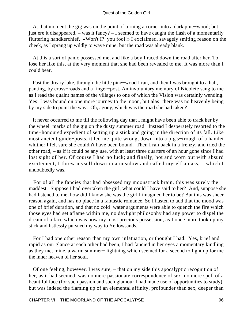At that moment the gig was on the point of turning a corner into a dark pine−wood; but just ere it disappeared, – was it fancy? – I seemed to have caught the flash of a momentarily fluttering handkerchief. «Won't I? you fool!» I exclaimed, savagely smiting reason on the cheek, as I sprang up wildly to wave mine; but the road was already blank.

 At this a sort of panic possessed me, and like a boy I raced down the road after her. To lose her like this, at the very moment that she had been revealed to me. It was more than I could bear.

 Past the dreary lake, through the little pine−wood I ran, and then I was brought to a halt, panting, by cross−roads and a finger−post. An involuntary memory of Nicolete sang to me as I read the quaint names of the villages to one of which the Vision was certainly wending. Yes! I was bound on one more journey to the moon, but alas! there was no heavenly being by my side to point the way. Oh, agony, which was the road she had taken?

 It never occurred to me till the following day that I might have been able to track her by the wheel−marks of the gig on the dusty summer road. Instead I desperately resorted to the time−honoured expedient of setting up a stick and going in the direction of its fall. Like most ancient guide−posts, it led me quite wrong, down into a pig's−trough of a hamlet whither I felt sure she couldn't have been bound. Then I ran back in a frenzy, and tried the other road, – as if it could be any use, with at least three quarters of an hour gone since I had lost sight of her. Of course I had no luck; and finally, hot and worn out with absurd excitement, I threw myself down in a meadow and called myself an ass, – which I undoubtedly was.

 For of all the fancies that had obsessed my moonstruck brain, this was surely the maddest. Suppose I had overtaken the girl, what could I have said to her? And, suppose she had listened to me, how did I know she was the girl I imagined her to be? But this was sheer reason again, and has no place in a fantastic romance. So I hasten to add that the mood was one of brief duration, and that no cold−water arguments were able to quench the fire which those eyes had set aflame within me, no daylight philosophy had any power to dispel the dream of a face which was now my most precious possession, as I once more took up my stick and listlessly pursued my way to Yellowsands.

 For I had one other reason than my own infatuation, or thought I had. Yes, brief and rapid as our glance at each other had been, I had fancied in her eyes a momentary kindling as they met mine, a warm summer− lightning which seemed for a second to light up for me the inner heaven of her soul.

 Of one feeling, however, I was sure, – that on my side this apocalyptic recognition of her, as it had seemed, was no mere passionate correspondence of sex, no mere spell of a beautiful face (for such passion and such glamour I had made use of opportunities to study), but was indeed the flaming up of an elemental affinity, profounder than sex, deeper than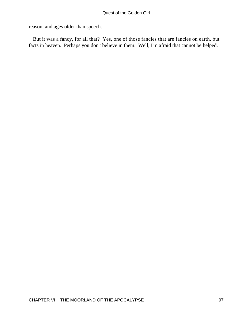reason, and ages older than speech.

 But it was a fancy, for all that? Yes, one of those fancies that are fancies on earth, but facts in heaven. Perhaps you don't believe in them. Well, I'm afraid that cannot be helped.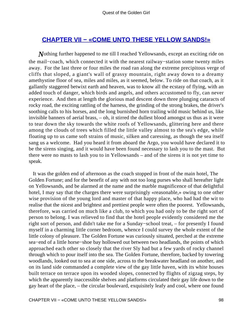### **[CHAPTER VII − «COME UNTO THESE YELLOW SANDS!»](#page-140-0)**

*N*othing further happened to me till I reached Yellowsands, except an exciting ride on the mail−coach, which connected it with the nearest railway−station some twenty miles away. For the last three or four miles the road ran along the extreme precipitous verge of cliffs that sloped, a giant's wall of grassy mountain, right away down to a dreamy amethystine floor of sea, miles and miles, as it seemed, below. To ride on that coach, as it gallantly staggered betwixt earth and heaven, was to know all the ecstasy of flying, with an added touch of danger, which birds and angels, and others accustomed to fly, can never experience. And then at length the glorious mad descent down three plunging cataracts of rocky road, the exciting rattling of the harness, the grinding of the strong brakes, the driver's soothing calls to his horses, and the long burnished horn trailing wild music behind us, like invisible banners of aerial brass, – oh, it stirred the dullest blood amongst us thus as it were to tear down the sky towards the white roofs of Yellowsands, glittering here and there among the clouds of trees which filled the little valley almost to the sea's edge, while floating up to us came soft strains of music, silken and caressing, as though the sea itself sang us a welcome. Had you heard it from aboard the Argo, you would have declared it to be the sirens singing, and it would have been found necessary to lash you to the mast. But there were no masts to lash you to in Yellowsands – and of the sirens it is not yet time to speak.

 It was the golden end of afternoon as the coach stopped in front of the main hotel, The Golden Fortune; and for the benefit of any with not too long purses who shall hereafter light on Yellowsands, and be alarmed at the name and the marble magnificence of that delightful hotel, I may say that the charges there were surprisingly «reasonable,» owing to one other wise provision of the young lord and master of that happy place, who had had the wit to realise that the nicest and brightest and prettiest people were often the poorest. Yellowsands, therefore, was carried on much like a club, to which you had only to be the right sort of person to belong. I was relieved to find that the hotel people evidently considered me the right sort of person, and didn't take me for a Sunday−school treat, – for presently I found myself in a charming little corner bedroom, whence I could survey the whole extent of the little colony of pleasure. The Golden Fortune was curiously situated, perched at the extreme sea−end of a little horse−shoe bay hollowed out between two headlands, the points of which approached each other so closely that the river Sly had but a few yards of rocky channel through which to pour itself into the sea. The Golden Fortune, therefore, backed by towering woodlands, looked out to sea at one side, across to the breakwater headland on another, and on its land side commanded a complete view of the gay little haven, with its white houses built terrace on terrace upon its wooded slopes, connected by flights of zigzag steps, by which the apparently inaccessible shelves and platforms circulated their gay life down to the gay heart of the place, – the circular boulevard, exquisitely leafy and cool, where one found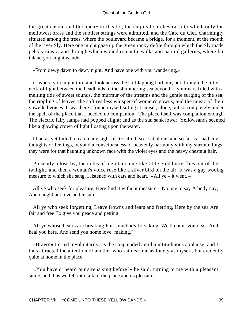the great casino and the open−air theatre, the exquisite orchestra, into which only the mellowest brass and the subtlest strings were admitted, and the Cafe du Ciel, charmingly situated among the trees, where the boulevard became a bridge, for a moment, at the mouth of the river Sly. Here one might gaze up the green rocky defile through which the Sly made pebbly music, and through which wound romantic walks and natural galleries, where far inland you might wander

«From dewy dawn to dewy night, And have one with you wandering,»

 or where you might turn and look across the still lapping harbour, out through the little neck of light between the headlands to the shimmering sea beyond, – your ears filled with a melting tide of sweet sounds, the murmur of the streams and the gentle surging of the sea, the rippling of leaves, the soft restless whisper of women's gowns, and the music of their vowelled voices. It was here I found myself sitting at sunset, alone, but so completely under the spell of the place that I needed no companion. The place itself was companion enough. The electric fairy lamps had popped alight; and as the sun sank lower, Yellowsands seemed like a glowing crown of light floating upon the water.

 I had as yet failed to catch any sight of Rosalind; so I sat alone, and so far as I had any thoughts or feelings, beyond a consciousness of heavenly harmony with my surroundings, they were for that haunting unknown face with the violet eyes and the heavy chestnut hair.

 Presently, close by, the notes of a guitar came like little gold butterflies out of the twilight, and then a woman's voice rose like a silver bird on the air. It was a gay wooing measure to which she sang. I listened with ears and heart. «All ye,» it went, –

 All ye who seek for pleasure, Here find it without measure – No one to say A body nay, And naught but love and leisure.

 All ye who seek forgetting, Leave frowns and fears and fretting, Here by the sea Are fair and free To give you peace and petting.

 All ye whose hearts are breaking For somebody forsaking, We'll count you dear, And heal you here, And send you home love−making."

 «Bravo!» I cried involuntarily, as the song ended amid multitudinous applause; and I thus attracted the attention of another who sat near me as lonely as myself, but evidently quite at home in the place.

 «You haven't heard our sirens sing before?» he said, turning to me with a pleasant smile, and thus we fell into talk of the place and its pleasures.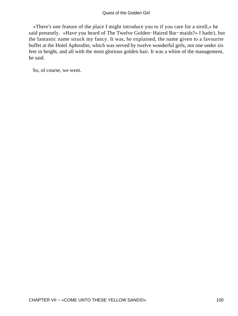«There's one feature of the place I might introduce you to if you care for a stroll,» he said presently. «Have you heard of The Twelve Golden−Haired Bar−maids?» I hadn't, but the fantastic name struck my fancy. It was, he explained, the name given to a favourite buffet at the Hotel Aphrodite, which was served by twelve wonderful girls, not one under six feet in height, and all with the most glorious golden hair. It was a whim of the management, he said.

So, of course, we went.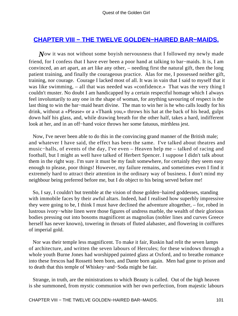### **[CHAPTER VIII − THE TWELVE GOLDEN−HAIRED BAR−MAIDS.](#page-140-0)**

*Now* it was not without some boyish nervousness that I followed my newly made friend, for I confess that I have ever been a poor hand at talking to bar−maids. It is, I am convinced, an art apart, an art like any other, – needing first the natural gift, then the long patient training, and finally the courageous practice. Alas for me, I possessed neither gift, training, nor courage. Courage I lacked most of all. It was in vain that I said to myself that it was like swimming, – all that was needed was «confidence.» That was the very thing I couldn't muster. No doubt I am handicapped by a certain respectful homage which I always feel involuntarily to any one in the shape of woman, for anything savouring of respect is the last thing to win the bar−maid heart divine. The man to win her is he who calls loudly for his drink, without a «Please» or a «Thank you,» throws his hat at the back of his head, gulps down half his glass, and, while drawing breath for the other half, takes a hard, indifferent look at her, and in an off−hand voice throws her some fatuous, mirthless jest.

 Now, I've never been able to do this in the convincing grand manner of the British male; and whatever I have said, the effect has been the same. I've talked about theatres and music−halls, of events of the day, I've even – Heaven help me – talked of racing and football, but I might as well have talked of Herbert Spencer. I suppose I didn't talk about them in the right way. I'm sure it must be my fault somewhere, for certainly they seem easy enough to please, poor things! However, my failure remains, and sometimes even I find it extremely hard to attract their attention in the ordinary way of business. I don't mind my neighbour being preferred before me, but I do object to his being served before me!

 So, I say, I couldn't but tremble at the vision of those golden−haired goddesses, standing with immobile faces by their awful altars. Indeed, had I realised how superbly impressive they were going to be, I think I must have declined the adventure altogether, – for, robed in lustrous ivory−white linen were those figures of undress marble, the wealth of their glorious bodies pressing out into bosoms magnificent as magnolias (nobler lines and curves Greece herself has never known), towering in throats of fluted alabaster, and flowering in coiffures of imperial gold.

 Nor was their temple less magnificent. To make it fair, Ruskin had relit the seven lamps of architecture, and written the seven labours of Hercules; for these windows through a whole youth Burne Jones had worshipped painted glass at Oxford, and to breathe romance into these frescos had Rossetti been born, and Dante born again. Men had gone to prison and to death that this temple of Whiskey−and−Soda might be fair.

 Strange, in truth, are the ministrations to which Beauty is called. Out of the high heaven is she summoned, from mystic communion with her own perfection, from majestic labours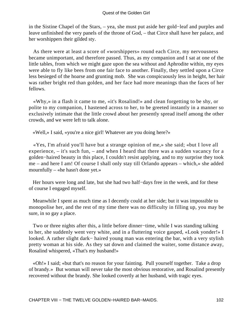in the Sistine Chapel of the Stars, – yea, she must put aside her gold−leaf and purples and leave unfinished the very panels of the throne of God, – that Circe shall have her palace, and her worshippers their gilded sty.

 As there were at least a score of «worshippers» round each Circe, my nervousness became unimportant, and therefore passed. Thus, as my companion and I sat at one of the little tables, from which we might gaze upon the sea without and Aphrodite within, my eyes were able to fly like bees from one fair face to another. Finally, they settled upon a Circe less besieged of the hoarse and grunting mob. She was conspicuously less in height, her hair was rather bright red than golden, and her face had more meanings than the faces of her fellows.

 «Why,» in a flash it came to me, «it's Rosalind!» and clean forgetting to be shy, or polite to my companion, I hastened across to her, to be greeted instantly in a manner so exclusively intimate that the little crowd about her presently spread itself among the other crowds, and we were left to talk alone.

«Well,» I said, «you're a nice girl! Whatever are you doing here?»

 «Yes, I'm afraid you'll have but a strange opinion of me,» she said; «but I love all experience, – it's such fun, – and when I heard that there was a sudden vacancy for a golden−haired beauty in this place, I couldn't resist applying, and to my surprise they took me – and here I am! Of course I shall only stay till Orlando appears – which,» she added mournfully – «he hasn't done yet.»

 Her hours were long and late, but she had two half−days free in the week, and for these of course I engaged myself.

 Meanwhile I spent as much time as I decently could at her side; but it was impossible to monopolise her, and the rest of my time there was no difficulty in filling up, you may be sure, in so gay a place.

 Two or three nights after this, a little before dinner−time, while I was standing talking to her, she suddenly went very white, and in a fluttering voice gasped, «Look yonder!» I looked. A rather slight dark− haired young man was entering the bar, with a very stylish pretty woman at his side. As they sat down and claimed the waiter, some distance away, Rosalind whispered, «That's my husband!»

 «Oh!» I said; «but that's no reason for your fainting. Pull yourself together. Take a drop of brandy.» But woman will never take the most obvious restorative, and Rosalind presently recovered without the brandy. She looked covertly at her husband, with tragic eyes.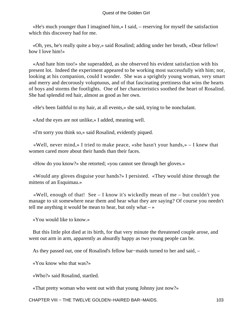«He's much younger than I imagined him,» I said, – reserving for myself the satisfaction which this discovery had for me.

 «Oh, yes, he's really quite a boy,» said Rosalind; adding under her breath, «Dear fellow! how I love him!»

 «And hate him too!» she superadded, as she observed his evident satisfaction with his present lot. Indeed the experiment appeared to be working most successfully with him; nor, looking at his companion, could I wonder. She was a sprightly young woman, very smart and merry and decorously voluptuous, and of that fascinating prettiness that wins the hearts of boys and storms the footlights. One of her characteristics soothed the heart of Rosalind. She had splendid red hair, almost as good as her own.

«He's been faithful to my hair, at all events,» she said, trying to be nonchalant.

«And the eyes are not unlike,» I added, meaning well.

«I'm sorry you think so,» said Rosalind, evidently piqued.

«Well, never mind,» I tried to make peace, «she hasn't your hands,»  $-$  I knew that women cared more about their hands than their faces.

«How do you know?» she retorted; «you cannot see through her gloves.»

 «Would any gloves disguise your hands?» I persisted. «They would shine through the mittens of an Esquimau.»

 «Well, enough of that! See – I know it's wickedly mean of me – but couldn't you manage to sit somewhere near them and hear what they are saying? Of course you needn't tell me anything it would be mean to hear, but only what  $-\infty$ 

«You would like to know.»

 But this little plot died at its birth, for that very minute the threatened couple arose, and went out arm in arm, apparently as absurdly happy as two young people can be.

As they passed out, one of Rosalind's fellow bar−maids turned to her and said, –

«You know who that was?»

«Who?» said Rosalind, startled.

«That pretty woman who went out with that young Johnny just now?»

CHAPTER VIII − THE TWELVE GOLDEN−HAIRED BAR−MAIDS. 103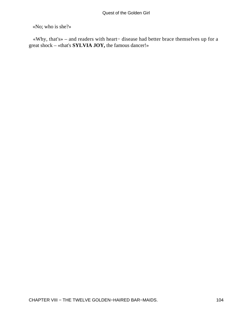«No; who is she?»

 «Why, that's» – and readers with heart− disease had better brace themselves up for a great shock – «that's **SYLVIA JOY,** the famous dancer!»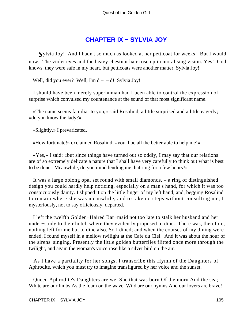### **[CHAPTER IX − SYLVIA JOY](#page-140-0)**

*Sylvia Joy!* And I hadn't so much as looked at her petticoat for weeks! But I would now. The violet eyes and the heavy chestnut hair rose up in moralising vision. Yes! God knows, they were safe in my heart, but petticoats were another matter. Sylvia Joy!

Well, did you ever? Well, I'm  $d - -d!$  Sylvia Joy!

 I should have been merely superhuman had I been able to control the expression of surprise which convulsed my countenance at the sound of that most significant name.

 «The name seems familiar to you,» said Rosalind, a little surprised and a little eagerly; «do you know the lady?»

«Slightly,» I prevaricated.

«How fortunate!» exclaimed Rosalind; «you'll be all the better able to help me!»

 «Yes,» I said; «but since things have turned out so oddly, I may say that our relations are of so extremely delicate a nature that I shall have very carefully to think out what is best to be done. Meanwhile, do you mind lending me that ring for a few hours?»

 It was a large oblong opal set round with small diamonds, – a ring of distinguished design you could hardly help noticing, especially on a man's hand, for which it was too conspicuously dainty. I slipped it on the little finger of my left hand, and, begging Rosalind to remain where she was meanwhile, and to take no steps without consulting me, I mysteriously, not to say officiously, departed.

 I left the twelfth Golden−Haired Bar−maid not too late to stalk her husband and her under−study to their hotel, where they evidently proposed to dine. There was, therefore, nothing left for me but to dine also. So I dined; and when the courses of my dining were ended, I found myself in a mellow twilight at the Cafe du Ciel. And it was about the hour of the sirens' singing. Presently the little golden butterflies flitted once more through the twilight, and again the woman's voice rose like a silver bird on the air.

 As I have a partiality for her songs, I transcribe this Hymn of the Daughters of Aphrodite, which you must try to imagine transfigured by her voice and the sunset.

 Queen Aphrodite's Daughters are we, She that was born Of the morn And the sea; White are our limbs As the foam on the wave, Wild are our hymns And our lovers are brave!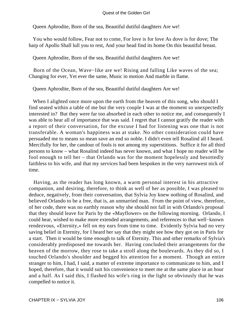Queen Aphrodite, Born of the sea, Beautiful dutiful daughters Are we!

 You who would follow, Fear not to come, For love is for love As dove is for dove; The harp of Apollo Shall lull you to rest, And your head find its home On this beautiful breast.

Queen Aphrodite, Born of the sea, Beautiful dutiful daughters Are we!

 Born of the Ocean, Wave−like are we! Rising and falling Like waves of the sea; Changing for ever, Yet ever the same, Music in motion And marble in flame.

Queen Aphrodite, Born of the sea, Beautiful dutiful daughters Are we!

When I alighted once more upon the earth from the heaven of this song, who should I find seated within a table of me but the very couple I was at the moment so unexpectedly interested in? But they were far too absorbed in each other to notice me, and consequently I was able to hear all of importance that was said. I regret that I cannot gratify the reader with a report of their conversation, for the excuse I had for listening was one that is not transferable. A woman's happiness was at stake. No other consideration could have persuaded me to means so mean save an end so noble. I didn't even tell Rosalind all I heard. Mercifully for her, the candour of fools is not among my superstitions. Suffice it for all third persons to know – what Rosalind indeed has never known, and what I hope no reader will be fool enough to tell her – that Orlando was for the moment hopelessly and besottedly faithless to his wife, and that my services had been bespoken in the very narrowest nick of time.

 Having, as the reader has long known, a warm personal interest in his attractive companion, and desiring, therefore, to think as well of her as possible, I was pleased to deduce, negatively, from their conversation, that Sylvia Joy knew nothing of Rosalind, and believed Orlando to be a free, that is, an unmarried man. From the point of view, therefore, of her code, there was no earthly reason why she should not fall in with Orlando's proposal that they should leave for Paris by the «Mayflower» on the following morning. Orlando, I could hear, wished to make more extended arrangements, and references to that well−known rendezvous, «Eternity,» fell on my ears from time to time. Evidently Sylvia had no very saving belief in Eternity, for I heard her say that they might see how they got on in Paris for a start. Then it would be time enough to talk of Eternity. This and other remarks of Sylvia's considerably predisposed me towards her. Having concluded their arrangements for the heaven of the morrow, they rose to take a stroll along the boulevards. As they did so, I touched Orlando's shoulder and begged his attention for a moment. Though an entire stranger to him, I had, I said, a matter of extreme importance to communicate to him, and I hoped, therefore, that it would suit his convenience to meet me at the same place in an hour and a half. As I said this, I flashed his wife's ring in the light so obviously that he was compelled to notice it.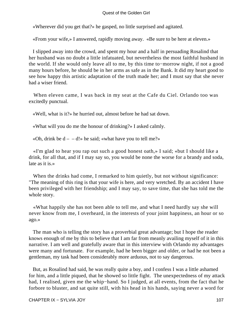«Wherever did you get that?» he gasped, no little surprised and agitated.

«From your wife,» I answered, rapidly moving away. «Be sure to be here at eleven.»

 I slipped away into the crowd, and spent my hour and a half in persuading Rosalind that her husband was no doubt a little infatuated, but nevertheless the most faithful husband in the world. If she would only leave all to me, by this time to−morrow night, if not a good many hours before, he should be in her arms as safe as in the Bank. It did my heart good to see how happy this artistic adaptation of the truth made her; and I must say that she never had a wiser friend.

 When eleven came, I was back in my seat at the Cafe du Ciel. Orlando too was excitedly punctual.

«Well, what is it?» he hurried out, almost before he had sat down.

«What will you do me the honour of drinking?» I asked calmly.

«Oh, drink be  $d - -d!$ » he said; «what have you to tell me?»

 «I'm glad to hear you rap out such a good honest oath,» I said; «but I should like a drink, for all that, and if I may say so, you would be none the worse for a brandy and soda, late as it is »

When the drinks had come, I remarked to him quietly, but not without significance: "The meaning of this ring is that your wife is here, and very wretched. By an accident I have been privileged with her friendship; and I may say, to save time, that she has told me the whole story.

 «What happily she has not been able to tell me, and what I need hardly say she will never know from me, I overheard, in the interests of your joint happiness, an hour or so ago.»

 The man who is telling the story has a proverbial great advantage; but I hope the reader knows enough of me by this to believe that I am far from meanly availing myself of it in this narrative. I am well and gratefully aware that in this interview with Orlando my advantages were many and fortunate. For example, had he been bigger and older, or had he not been a gentleman, my task had been considerably more arduous, not to say dangerous.

 But, as Rosalind had said, he was really quite a boy, and I confess I was a little ashamed for him, and a little piqued, that he showed so little fight. The unexpectedness of my attack had, I realised, given me the whip−hand. So I judged, at all events, from the fact that he forbore to bluster, and sat quite still, with his head in his hands, saying never a word for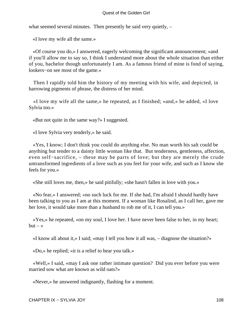what seemed several minutes. Then presently he said very quietly,  $-$ 

«I love my wife all the same.»

 «Of course you do,» I answered, eagerly welcoming the significant announcement; «and if you'll allow me to say so, I think I understand more about the whole situation than either of you, bachelor though unfortunately I am. As a famous friend of mine is fond of saying, lookers−on see most of the game.»

 Then I rapidly told him the history of my meeting with his wife, and depicted, in harrowing pigments of phrase, the distress of her mind.

 «I love my wife all the same,» he repeated, as I finished; «and,» he added, «I love Sylvia too.»

«But not quite in the same way?» I suggested.

«I love Sylvia very tenderly,» he said.

 «Yes, I know; I don't think you could do anything else. No man worth his salt could be anything but tender to a dainty little woman like that. But tenderness, gentleness, affection, even self−sacrifice, – these may be parts of love; but they are merely the crude untransformed ingredients of a love such as you feel for your wife, and such as I know she feels for you.»

«She still loves me, then,» he said pitifully; «she hasn't fallen in love with you.»

 «No fear,» I answered; «no such luck for me. If she had, I'm afraid I should hardly have been talking to you as I am at this moment. If a woman like Rosalind, as I call her, gave me her love, it would take more than a husband to rob me of it, I can tell you.»

 «Yes,» he repeated, «on my soul, I love her. I have never been false to her, in my heart;  $but - *>*$ 

«I know all about it,» I said; «may I tell you how it all was, – diagnose the situation?»

«Do,» he replied; «it is a relief to hear you talk.»

 «Well,» I said, «may I ask one rather intimate question? Did you ever before you were married sow what are known as wild oats?»

«Never,» he answered indignantly, flashing for a moment.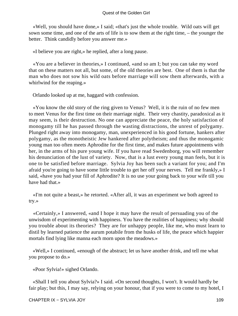«Well, you should have done,» I said; «that's just the whole trouble. Wild oats will get sown some time, and one of the arts of life is to sow them at the right time, – the younger the better. Think candidly before you answer me.»

«I believe you are right,» he replied, after a long pause.

 «You are a believer in theories,» I continued, «and so am I; but you can take my word that on these matters not all, but some, of the old theories are best. One of them is that the man who does not sow his wild oats before marriage will sow them afterwards, with a whirlwind for the reaping.»

Orlando looked up at me, haggard with confession.

 «You know the old story of the ring given to Venus? Well, it is the ruin of no few men to meet Venus for the first time on their marriage night. Their very chastity, paradoxical as it may seem, is their destruction. No one can appreciate the peace, the holy satisfaction of monogamy till he has passed through the wasting distractions, the unrest of polygamy. Plunged right away into monogamy, man, unexperienced in his good fortune, hankers after polygamy, as the monotheistic Jew hankered after polytheism; and thus the monogamic young man too often meets Aphrodite for the first time, and makes future appointments with her, in the arms of his pure young wife. If you have read Swedenborg, you will remember his denunciation of the lust of variety. Now, that is a lust every young man feels, but it is one to be satisfied before marriage. Sylvia Joy has been such a variant for you; and I'm afraid you're going to have some little trouble to get her off your nerves. Tell me frankly,» I said, «have you had your fill of Aphrodite? It is no use your going back to your wife till you have had that.»

 «I'm not quite a beast,» he retorted. «After all, it was an experiment we both agreed to try.»

 «Certainly,» I answered, «and I hope it may have the result of persuading you of the unwisdom of experimenting with happiness. You have the realities of happiness; why should you trouble about its theories? They are for unhappy people, like me, who must learn to distil by learned patience the aurum potabile from the husks of life, the peace which happier mortals find lying like manna each morn upon the meadows.»

 «Well,» I continued, «enough of the abstract; let us have another drink, and tell me what you propose to do.»

«Poor Sylvia!» sighed Orlando.

 «Shall I tell you about Sylvia?» I said. «On second thoughts, I won't. It would hardly be fair play; but this, I may say, relying on your honour, that if you were to come to my hotel, I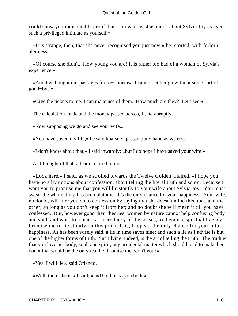could show you indisputable proof that I know at least as much about Sylvia Joy as even such a privileged intimate as yourself.»

 «It is strange, then, that she never recognised you just now,» he retorted, with forlorn alertness.

 «Of course she didn't. How young you are! It is rather too bad of a woman of Sylvia's experience.»

 «And I've bought our passages for to− morrow. I cannot let her go without some sort of good−bye.»

«Give the tickets to me. I can make use of them. How much are they? Let's see.»

The calculation made and the money passed across, I said abruptly, –

«Now supposing we go and see your wife.»

«You have saved my life,» he said hoarsely, pressing my hand as we rose.

«I don't know about that,» I said inwardly; «but I do hope I have saved your wife.»

As I thought of that, a fear occurred to me.

 «Look here,» I said, as we strolled towards the Twelve Golden−Haired, «I hope you have no silly notions about confession, about telling the literal truth and so on. Because I want you to promise me that you will lie stoutly to your wife about Sylvia Joy. You must swear the whole thing has been platonic. It's the only chance for your happiness. Your wife, no doubt, will lure you on to confession by saying that she doesn't mind this, that, and the other, so long as you don't keep it from her; and no doubt she will mean it till you have confessed. But, however good their theories, women by nature cannot help confusing body and soul, and what to a man is a mere fancy of the senses, to them is a spiritual tragedy. Promise me to lie stoutly on this point. It is, I repeat, the only chance for your future happiness. As has been wisely said, a lie in time saves nine; and such a lie as I advise is but one of the higher forms of truth. Such lying, indeed, is the art of telling the truth. The truth is that you love her body, soul, and spirit; any accidental matter which should tend to make her doubt that would be the only real lie. Promise me, won't you?»

«Yes, I will lie,» said Orlando.

«Well, there she is,» I said; «and God bless you both.»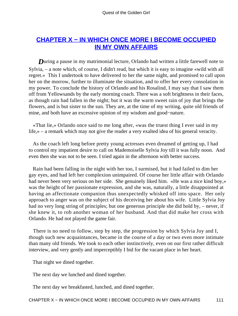## <span id="page-111-0"></span>**[CHAPTER X − IN WHICH ONCE MORE I BECOME OCCUPIED](#page-140-0) [IN MY OWN AFFAIRS](#page-140-0)**

**During a pause in my matrimonial lecture, Orlando had written a little farewell note to** Sylvia, – a note which, of course, I didn't read, but which it is easy to imagine «wild with all regret.» This I undertook to have delivered to her the same night, and promised to call upon her on the morrow, further to illuminate the situation, and to offer her every consolation in my power. To conclude the history of Orlando and his Rosalind, I may say that I saw them off from Yellowsands by the early morning coach. There was a soft brightness in their faces, as though rain had fallen in the night; but it was the warm sweet rain of joy that brings the flowers, and is but sister to the sun. They are, at the time of my writing, quite old friends of mine, and both have an excessive opinion of my wisdom and good−nature.

 «That lie,» Orlando once said to me long after, «was the truest thing I ever said in my life,» – a remark which may not give the reader a very exalted idea of his general veracity.

 As the coach left long before pretty young actresses even dreamed of getting up, I had to control my impatient desire to call on Mademoiselle Sylvia Joy till it was fully noon. And even then she was not to be seen. I tried again in the afternoon with better success.

 Rain had been falling in the night with her too, I surmised, but it had failed to dim her gay eyes, and had left her complexion unimpaired. Of course her little affair with Orlando had never been very serious on her side. She genuinely liked him. «He was a nice kind boy,» was the height of her passionate expression, and she was, naturally, a little disappointed at having an affectionate companion thus unexpectedly whisked off into space. Her only approach to anger was on the subject of his deceiving her about his wife. Little Sylvia Joy had no very long string of principles; but one generous principle she did hold by, – never, if she knew it, to rob another woman of her husband. And that did make her cross with Orlando. He had not played the game fair.

 There is no need to follow, step by step, the progression by which Sylvia Joy and I, though such new acquaintances, became in the course of a day or two even more intimate than many old friends. We took to each other instinctively, even on our first rather difficult interview, and very gently and imperceptibly I bid for the vacant place in her heart.

That night we dined together.

The next day we lunched and dined together.

The next day we breakfasted, lunched, and dined together.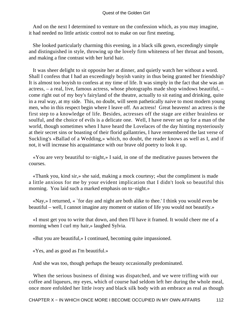And on the next I determined to venture on the confession which, as you may imagine, it had needed no little artistic control not to make on our first meeting.

 She looked particularly charming this evening, in a black silk gown, exceedingly simple and distinguished in style, throwing up the lovely firm whiteness of her throat and bosom, and making a fine contrast with her lurid hair.

 It was sheer delight to sit opposite her at dinner, and quietly watch her without a word. Shall I confess that I had an exceedingly boyish vanity in thus being granted her friendship? It is almost too boyish to confess at my time of life. It was simply in the fact that she was an actress, – a real, live, famous actress, whose photographs made shop windows beautiful, – come right out of my boy's fairyland of the theatre, actually to sit eating and drinking, quite in a real way, at my side. This, no doubt, will seem pathetically naive to most modern young men, who in this respect begin where I leave off. An actress! Great heavens! an actress is the first step to a knowledge of life. Besides, actresses off the stage are either brainless or soulful, and the choice of evils is a delicate one. Well, I have never set up for a man of the world, though sometimes when I have heard the Lovelaces of the day hinting mysteriously at their secret sins or boasting of their florid gallantries, I have remembered the last verse of Suckling's «Ballad of a Wedding,» which, no doubt, the reader knows as well as I, and if not, it will increase his acquaintance with our brave old poetry to look it up.

 «You are very beautiful to−night,» I said, in one of the meditative pauses between the courses.

 «Thank you, kind sir,» she said, making a mock courtesy; «but the compliment is made a little anxious for me by your evident implication that I didn't look so beautiful this morning. You laid such a marked emphasis on to−night.»

 «Nay,» I returned, « `for day and night are both alike to thee.' I think you would even be beautiful – well, I cannot imagine any moment or station of life you would not beautify.»

 «I must get you to write that down, and then I'll have it framed. It would cheer me of a morning when I curl my hair,» laughed Sylvia.

«But you are beautiful,» I continued, becoming quite impassioned.

«Yes, and as good as I'm beautiful.»

And she was too, though perhaps the beauty occasionally predominated.

 When the serious business of dining was dispatched, and we were trifling with our coffee and liqueurs, my eyes, which of course had seldom left her during the whole meal, once more enfolded her little ivory and black silk body with an embrace as real as though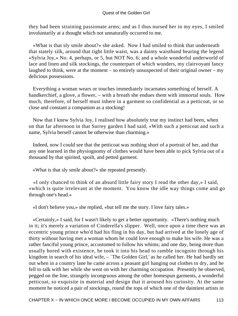they had been straining passionate arms; and as I thus nursed her in my eyes, I smiled involuntarily at a thought which not unnaturally occurred to me.

 «What is that sly smile about?» she asked. Now I had smiled to think that underneath that stately silk, around that tight little waist, was a dainty waistband bearing the legend «Sylvia Joy,» No. 4, perhaps, or 5, but NOT No. 6; and a whole wonderful underworld of lace and linen and silk stockings, the counterpart of which wonders, my clairvoyant fancy laughed to think, were at the moment – so entirely unsuspected of their original owner – my delicious possessions.

 Everything a woman wears or touches immediately incarnates something of herself. A handkerchief, a glove, a flower, – with a breath she endues them with immortal souls. How much, therefore, of herself must inhere in a garment so confidential as a petticoat, or so close and constant a companion as a stocking!

 Now that I knew Sylvia Joy, I realised how absolutely true my instinct had been, when on that far afternoon in that Surrey garden I had said, «With such a petticoat and such a name, Sylvia herself cannot be otherwise than charming.»

 Indeed, now I could see that the petticoat was nothing short of a portrait of her, and that any one learned in the physiognomy of clothes would have been able to pick Sylvia out of a thousand by that spirited, spoilt, and petted garment.

«What is that sly smile about?» she repeated presently.

 «I only chanced to think of an absurd little fairy story I read the other day,» I said, «which is quite irrelevant at the moment. You know the idle way things come and go through one's head.»

«I don't believe you,» she replied, «but tell me the story. I love fairy tales.»

 «Certainly,» I said, for I wasn't likely to get a better opportunity. «There's nothing much in it; it's merely a variation of Cinderella's slipper. Well, once upon a time there was an eccentric young prince who'd had his fling in his day, but had arrived at the lonely age of thirty without having met a woman whom he could love enough to make his wife. He was a rather fanciful young prince, accustomed to follow his whims; and one day, being more than usually bored with existence, he took it into his head to ramble incognito through his kingdom in search of his ideal wife, – 'The Golden Girl,' as he called her. He had hardly set out when in a country lane he came across a peasant girl hanging out clothes to dry, and he fell to talk with her while she went on with her charming occupation. Presently he observed, pegged on the line, strangely incongruous among the other homespun garments, a wonderful petticoat, so exquisite in material and design that it aroused his curiosity. At the same moment he noticed a pair of stockings, round the tops of which one of the daintiest artists in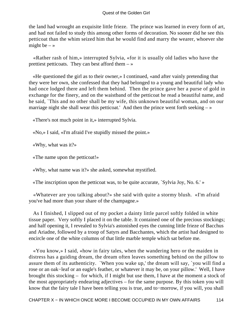the land had wrought an exquisite little frieze. The prince was learned in every form of art, and had not failed to study this among other forms of decoration. No sooner did he see this petticoat than the whim seized him that he would find and marry the wearer, whoever she might be  $-$  »

 «Rather rash of him,» interrupted Sylvia, «for it is usually old ladies who have the prettiest petticoats. They can best afford them  $-\infty$ 

 «He questioned the girl as to their owner,» I continued, «and after vainly pretending that they were her own, she confessed that they had belonged to a young and beautiful lady who had once lodged there and left them behind. Then the prince gave her a purse of gold in exchange for the finery, and on the waistband of the petticoat he read a beautiful name, and he said, `This and no other shall be my wife, this unknown beautiful woman, and on our marriage night she shall wear this petticoat.' And then the prince went forth seeking  $-\infty$ 

«There's not much point in it,» interrupted Sylvia.

«No,» I said, «I'm afraid I've stupidly missed the point.»

«Why, what was it?»

«The name upon the petticoat!»

«Why, what name was it?» she asked, somewhat mystified.

«The inscription upon the petticoat was, to be quite accurate, `Sylvia Joy, No. 6.' »

 «Whatever are you talking about?» she said with quite a stormy blush. «I'm afraid you've had more than your share of the champagne.»

 As I finished, I slipped out of my pocket a dainty little parcel softly folded in white tissue paper. Very softly I placed it on the table. It contained one of the precious stockings; and half opening it, I revealed to Sylvia's astonished eyes the cunning little frieze of Bacchus and Ariadne, followed by a troop of Satyrs and Bacchantes, which the artist had designed to encircle one of the white columns of that little marble temple which sat before me.

 «You know,» I said, «how in fairy tales, when the wandering hero or the maiden in distress has a guiding dream, the dream often leaves something behind on the pillow to assure them of its authenticity. `When you wake up,' the dream will say, `you will find a rose or an oak−leaf or an eagle's feather, or whatever it may be, on your pillow.' Well, I have brought this stocking – for which, if I might but use them, I have at the moment a stock of the most appropriately endearing adjectives – for the same purpose. By this token you will know that the fairy tale I have been telling you is true, and to−morrow, if you will, you shall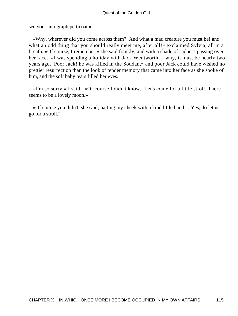see your autograph petticoat.»

 «Why, wherever did you come across them? And what a mad creature you must be! and what an odd thing that you should really meet me, after all!» exclaimed Sylvia, all in a breath. «Of course, I remember,» she said frankly, and with a shade of sadness passing over her face. «I was spending a holiday with Jack Wentworth, – why, it must be nearly two years ago. Poor Jack! he was killed in the Soudan,» and poor Jack could have wished no prettier resurrection than the look of tender memory that came into her face as she spoke of him, and the soft baby tears filled her eyes.

 «I'm so sorry,» I said. «Of course I didn't know. Let's come for a little stroll. There seems to be a lovely moon.»

 «Of course you didn't, she said, patting my cheek with a kind little hand. »Yes, do let us go for a stroll."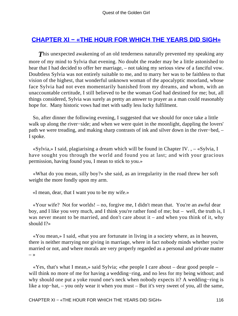## <span id="page-116-0"></span>**[CHAPTER XI − «THE HOUR FOR WHICH THE YEARS DID SIGH»](#page-140-0)**

**This unexpected awakening of an old tenderness naturally prevented my speaking any** more of my mind to Sylvia that evening. No doubt the reader may be a little astonished to hear that I had decided to offer her marriage, – not taking my serious view of a fanciful vow. Doubtless Sylvia was not entirely suitable to me, and to marry her was to be faithless to that vision of the highest, that wonderful unknown woman of the apocalyptic moorland, whose face Sylvia had not even momentarily banished from my dreams, and whom, with an unaccountable certitude, I still believed to be the woman God had destined for me; but, all things considered, Sylvia was surely as pretty an answer to prayer as a man could reasonably hope for. Many historic vows had met with sadly less lucky fulfilment.

 So, after dinner the following evening, I suggested that we should for once take a little walk up along the river−side; and when we were quiet in the moonlight, dappling the lovers' path we were treading, and making sharp contrasts of ink and silver down in the river−bed, – I spoke.

 «Sylvia,» I said, plagiarising a dream which will be found in Chapter IV. , – «Sylvia, I have sought you through the world and found you at last; and with your gracious permission, having found you, I mean to stick to you.»

 «What do you mean, silly boy?» she said, as an irregularity in the road threw her soft weight the more fondly upon my arm.

«I mean, dear, that I want you to be my wife.»

 «Your wife? Not for worlds! – no, forgive me, I didn't mean that. You're an awful dear boy, and I like you very much, and I think you're rather fond of me; but – well, the truth is, I was never meant to be married, and don't care about it – and when you think of it, why should I?»

 «You mean,» I said, «that you are fortunate in living in a society where, as in heaven, there is neither marrying nor giving in marriage, where in fact nobody minds whether you're married or not, and where morals are very properly regarded as a personal and private matter  $-$  »

 «Yes, that's what I mean,» said Sylvia; «the people I care about – dear good people – will think no more of me for having a wedding−ring, and no less for my being without; and why should one put a yoke round one's neck when nobody expects it? A wedding−ring is like a top−hat, – you only wear it when you must – But it's very sweet of you, all the same,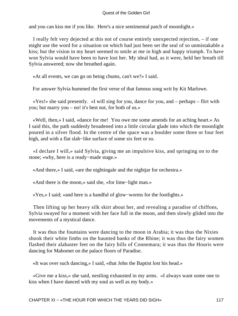and you can kiss me if you like. Here's a nice sentimental patch of moonlight.»

 I really felt very dejected at this not of course entirely unexpected rejection, – if one might use the word for a situation on which had just been set the seal of so unmistakable a kiss; but the vision in my heart seemed to smile at me in high and happy triumph. To have won Sylvia would have been to have lost her. My ideal had, as it were, held her breath till Sylvia answered; now she breathed again.

«At all events, we can go on being chums, can't we?» I said.

For answer Sylvia hummed the first verse of that famous song writ by Kit Marlowe.

 «Yes!» she said presently. «I will sing for you, dance for you, and – perhaps – flirt with you; but marry you – no! it's best not, for both of us.»

 «Well, then,» I said, «dance for me! You owe me some amends for an aching heart.» As I said this, the path suddenly broadened into a little circular glade into which the moonlight poured in a silver flood. In the centre of the space was a boulder some three or four feet high, and with a flat slab−like surface of some six feet or so.

 «I declare I will,» said Sylvia, giving me an impulsive kiss, and springing on to the stone; «why, here is a ready−made stage.»

«And there,» I said, «are the nightingale and the nightjar for orchestra.»

«And there is the moon,» said she, «for lime−light man.»

«Yes,» I said; «and here is a handful of glow−worms for the footlights.»

 Then lifting up her heavy silk skirt about her, and revealing a paradise of chiffons, Sylvia swayed for a moment with her face full in the moon, and then slowly glided into the movements of a mystical dance.

 It was thus the fountains were dancing to the moon in Arabia; it was thus the Nixies shook their white limbs on the haunted banks of the Rhine; it was thus the fairy women flashed their alabaster feet on the fairy hills of Connemara; it was thus the Houris were dancing for Mahomet on the palace floors of Paradise.

«It was over such dancing,» I said, «that John the Baptist lost his head.»

 «Give me a kiss,» she said, nestling exhausted in my arms. «I always want some one to kiss when I have danced with my soul as well as my body.»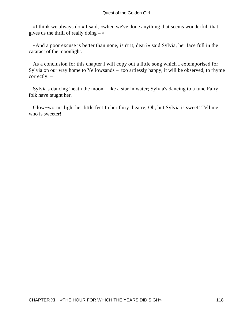«I think we always do,» I said, «when we've done anything that seems wonderful, that gives us the thrill of really doing  $-\infty$ 

 «And a poor excuse is better than none, isn't it, dear?» said Sylvia, her face full in the cataract of the moonlight.

 As a conclusion for this chapter I will copy out a little song which I extemporised for Sylvia on our way home to Yellowsands – too artlessly happy, it will be observed, to rhyme correctly: –

 Sylvia's dancing 'neath the moon, Like a star in water; Sylvia's dancing to a tune Fairy folk have taught her.

 Glow−worms light her little feet In her fairy theatre; Oh, but Sylvia is sweet! Tell me who is sweeter!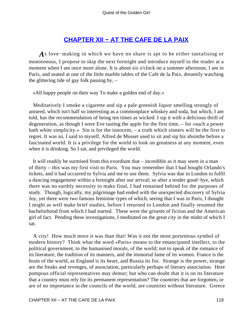## **[CHAPTER XII − AT THE CAFE DE LA PAIX](#page-140-0)**

<span id="page-119-0"></span>*A*s love−making in which we have no share is apt to be either tantalising or monotonous, I propose to skip the next fortnight and introduce myself to the reader at a moment when I am once more alone. It is about six o'clock on a summer afternoon, I am in Paris, and seated at one of the little marble tables of the Cafe de la Paix, dreamily watching the glittering tide of gay folk passing by,  $-$ 

«All happy people on their way To make a golden end of day.»

 Meditatively I smoke a cigarette and sip a pale greenish liquor smelling strongly of aniseed, which isn't half so interesting as a commonplace whiskey and soda, but which, I am told, has the recommendation of being ten times as wicked. I sip it with a delicious thrill of degeneration, as though I were Eve tasting the apple for the first time, – for «such a power hath white simplicity.» Sin is for the innocent, – a truth which sinners will be the first to regret. It was so, I said to myself, Alfred de Musset used to sit and sip his absinthe before a fascinated world. It is a privilege for the world to look on greatness at any moment, even when it is drinking. So I sat, and privileged the world.

 It will readily be surmised from this exordium that – incredible as it may seem in a man of thirty – this was my first visit to Paris. You may remember that I had bought Orlando's tickets, and it had occurred to Sylvia and me to use them. Sylvia was due in London to fulfil a dancing engagement within a fortnight after our arrival; so after a tender good−bye, which there was no earthly necessity to make final, I had remained behind for the purposes of study. Though, logically, my pilgrimage had ended with the unexpected discovery of Sylvia Joy, yet there were two famous feminine types of which, seeing that I was in Paris, I thought I might as well make brief studies, before I returned to London and finally resumed the bachelorhood from which I had started. These were the grisette of fiction and the American girl of fact. Pending these investigations, I meditated on the great city in the midst of which I sat.

 A city! How much more it was than that! Was it not the most portentous symbol of modern history? Think what the word «Paris» means to the emancipated intellect, to the political government, to the humanised morals, of the world; not to speak of the romance of its literature, the tradition of its manners, and the immortal fame of its women. France is the brain of the world, as England is its heart, and Russia its fist. Strange is the power, strange are the freaks and revenges, of association, particularly perhaps of literary association. Here pompous official representatives may demur; but who can doubt that it is on its literature that a country must rely for its permanent representation? The countries that are forgotten, or are of no importance in the councils of the world, are countries without literature. Greece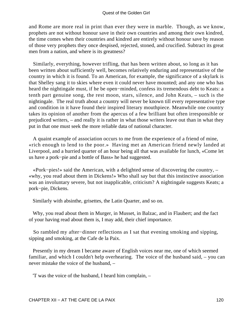and Rome are more real in print than ever they were in marble. Though, as we know, prophets are not without honour save in their own countries and among their own kindred, the time comes when their countries and kindred are entirely without honour save by reason of those very prophets they once despised, rejected, stoned, and crucified. Subtract its great men from a nation, and where is its greatness?

 Similarly, everything, however trifling, that has been written about, so long as it has been written about sufficiently well, becomes relatively enduring and representative of the country in which it is found. To an American, for example, the significance of a skylark is that Shelley sang it to skies where even it could never have mounted; and any one who has heard the nightingale must, if he be open−minded, confess its tremendous debt to Keats: a tenth part genuine song, the rest moon, stars, silence, and John Keats, – such is the nightingale. The real truth about a country will never be known till every representative type and condition in it have found their inspired literary mouthpiece. Meanwhile one country takes its opinion of another from the apercus of a few brilliant but often irresponsible or prejudiced writers, – and really it is rather in what those writers leave out than in what they put in that one must seek the more reliable data of national character.

 A quaint example of association occurs to me from the experience of a friend of mine, «rich enough to lend to the poor.» Having met an American friend newly landed at Liverpool, and a hurried quarter of an hour being all that was available for lunch, «Come let us have a pork−pie and a bottle of Bass» he had suggested.

 «Pork−pies!» said the American, with a delighted sense of discovering the country, – «why, you read about them in Dickens!» Who shall say but that this instinctive association was an involuntary severe, but not inapplicable, criticism? A nightingale suggests Keats; a pork−pie, Dickens.

Similarly with absinthe, grisettes, the Latin Quarter, and so on.

 Why, you read about them in Murger, in Musset, in Balzac, and in Flaubert; and the fact of your having read about them is, I may add, their chief importance.

 So rambled my after−dinner reflections as I sat that evening smoking and sipping, sipping and smoking, at the Cafe de la Paix.

 Presently in my dream I became aware of English voices near me, one of which seemed familiar, and which I couldn't help overhearing. The voice of the husband said, – you can never mistake the voice of the husband, –

'T was the voice of the husband, I heard him complain, –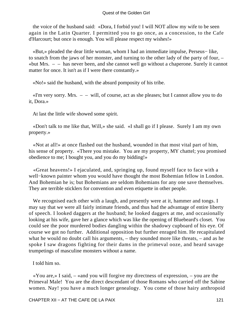the voice of the husband said: «Dora, I forbid you! I will NOT allow my wife to be seen again in the Latin Quarter. I permitted you to go once, as a concession, to the Cafe d'Harcourt; but once is enough. You will please respect my wishes!»

 «But,» pleaded the dear little woman, whom I had an immediate impulse, Perseus− like, to snatch from the jaws of her monster, and turning to the other lady of the party of four, – «but Mrs.  $-$  – has never been, and she cannot well go without a chaperone. Surely it cannot matter for once. It isn't as if I were there constantly.»

«No!» said the husband, with the absurd pomposity of his tribe.

 $\ll$ I'm very sorry. Mrs.  $-$  – will, of course, act as she pleases; but I cannot allow you to do it, Dora.»

At last the little wife showed some spirit.

 «Don't talk to me like that, Will,» she said. «I shall go if I please. Surely I am my own property.»

 «Not at all!» at once flashed out the husband, wounded in that most vital part of him, his sense of property. «There you mistake. You are my property, MY chattel; you promised obedience to me; I bought you, and you do my bidding!»

 «Great heavens!» I ejaculated, and, springing up, found myself face to face with a well−known painter whom you would have thought the most Bohemian fellow in London. And Bohemian he is; but Bohemians are seldom Bohemians for any one save themselves. They are terrible sticklers for convention and even etiquette in other people.

We recognised each other with a laugh, and presently were at it, hammer and tongs. I may say that we were all fairly intimate friends, and thus had the advantage of entire liberty of speech. I looked daggers at the husband; he looked daggers at me, and occasionally looking at his wife, gave her a glance which was like the opening of Bluebeard's closet. You could see the poor murdered bodies dangling within the shadowy cupboard of his eye. Of course we got no further. Additional opposition but further enraged him. He recapitulated what he would no doubt call his arguments, – they sounded more like threats, – and as he spoke I saw dragons fighting for their dams in the primeval ooze, and heard savage trumpetings of masculine monsters without a name.

I told him so.

 «You are,» I said, – «and you will forgive my directness of expression, – you are the Primeval Male! You are the direct descendant of those Romans who carried off the Sabine women. Nay! you have a much longer genealogy. You come of those hairy anthropoid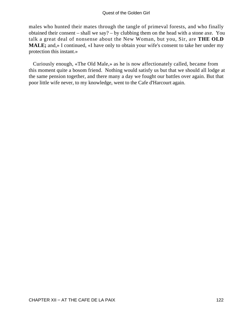males who hunted their mates through the tangle of primeval forests, and who finally obtained their consent – shall we say? – by clubbing them on the head with a stone axe. You talk a great deal of nonsense about the New Woman, but you, Sir, are **THE OLD MALE;** and,» I continued, «I have only to obtain your wife's consent to take her under my protection this instant.»

 Curiously enough, «The Old Male,» as he is now affectionately called, became from this moment quite a bosom friend. Nothing would satisfy us but that we should all lodge at the same pension together, and there many a day we fought our battles over again. But that poor little wife never, to my knowledge, went to the Cafe d'Harcourt again.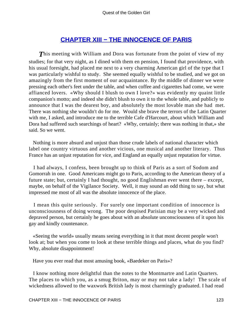## **[CHAPTER XIII − THE INNOCENCE OF PARIS](#page-140-0)**

<span id="page-123-0"></span>**This meeting with William and Dora was fortunate from the point of view of my** studies; for that very night, as I dined with them en pension, I found that providence, with his usual foresight, had placed me next to a very charming American girl of the type that I was particularly wishful to study. She seemed equally wishful to be studied, and we got on amazingly from the first moment of our acquaintance. By the middle of dinner we were pressing each other's feet under the table, and when coffee and cigarettes had come, we were affianced lovers. «Why should I blush to own I love?» was evidently my quaint little companion's motto; and indeed she didn't blush to own it to the whole table, and publicly to announce that I was the dearest boy, and absolutely the most lovable man she had met. There was nothing she wouldn't do for me. Would she brave the terrors of the Latin Quarter with me, I asked, and introduce me to the terrible Cafe d'Harcourt, about which William and Dora had suffered such searchings of heart? «Why, certainly; there was nothing in that,» she said. So we went.

 Nothing is more absurd and unjust than those crude labels of national character which label one country virtuous and another vicious, one musical and another literary. Thus France has an unjust reputation for vice, and England an equally unjust reputation for virtue.

 I had always, I confess, been brought up to think of Paris as a sort of Sodom and Gomorrah in one. Good Americans might go to Paris, according to the American theory of a future state; but, certainly I had thought, no good Englishman ever went there – except, maybe, on behalf of the Vigilance Society. Well, it may sound an odd thing to say, but what impressed me most of all was the absolute innocence of the place.

 I mean this quite seriously. For surely one important condition of innocence is unconsciousness of doing wrong. The poor despised Parisian may be a very wicked and depraved person, but certainly he goes about with an absolute unconsciousness of it upon his gay and kindly countenance.

 «Seeing the world» usually means seeing everything in it that most decent people won't look at; but when you come to look at these terrible things and places, what do you find? Why, absolute disappointment!

Have you ever read that most amusing book, «Baedeker on Paris»?

 I know nothing more delightful than the notes to the Montmartre and Latin Quarters. The places to which you, as a smug Briton, may or may not take a lady! The scale of wickedness allowed to the waxwork British lady is most charmingly graduated. I had read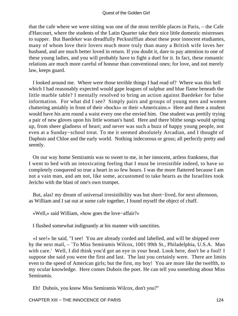that the cafe where we were sitting was one of the most terrible places in Paris, – the Cafe d'Harcourt, where the students of the Latin Quarter take their nice little domestic mistresses to supper. But Baedeker was dreadfully Pecksniffian about these poor innocent etudiantes, many of whom love their lovers much more truly than many a British wife loves her husband, and are much better loved in return. If you doubt it, dare to pay attention to one of these young ladies, and you will probably have to fight a duel for it. In fact, these romantic relations are much more careful of honour than conventional ones; for love, and not merely law, keeps guard.

 I looked around me. Where were those terrible things I had read of? Where was this hell which I had reasonably expected would gape leagues of sulphur and blue flame beneath the little marble table? I mentally resolved to bring an action against Baedeker for false information. For what did I see? Simply pairs and groups of young men and women chattering amiably in front of their «bocks» or their «Americains.» Here and there a student would have his arm round a waist every one else envied him. One student was prettily trying a pair of new gloves upon his little woman's hand. Here and there blithe songs would spring up, from sheer gladness of heart; and never was such a buzz of happy young people, not even at a Sunday−school treat. To me it seemed absolutely Arcadian, and I thought of Daphnis and Chloe and the early world. Nothing indecorous or gross; all perfectly pretty and seemly.

 On our way home Semiramis was so sweet to me, in her innocent, artless frankness, that I went to bed with an intoxicating feeling that I must be irresistible indeed, to have so completely conquered so true a heart in so few hours. I was the more flattered because I am not a vain man, and am not, like some, accustomed to take hearts as the Israelites took Jericho with the blast of one's own trumpet.

 But, alas! my dream of universal irresistibility was but short−lived, for next afternoon, as William and I sat out at some cafe together, I found myself the object of chaff.

«Well,» said William, «how goes the love−affair?»

I flushed somewhat indignantly at his manner with sanctities.

 «I see!» he said, "I see! You are already corded and labelled, and will be shipped over by the next mail, – `To Miss Semiramis Wilcox, 1001 99th St., Philadelphia, U.S.A. Man with care.' Well, I did think you'd got an eye in your head. Look here, don't be a fool! I suppose she said you were the first and last. The last you certainly were. There are limits even to the speed of American girls; but the first, my boy! You are more like the twelfth, to my ocular knowledge. Here comes Dubois the poet. He can tell you something about Miss Semiramis.

Eh! Dubois, you know Miss Semiramis Wilcox, don't you?"

CHAPTER XIII – THE INNOCENCE OF PARIS 124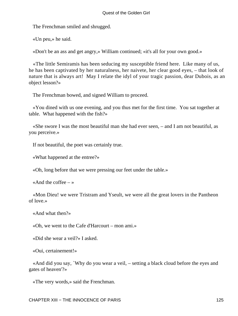The Frenchman smiled and shrugged.

«Un peu,» he said.

«Don't be an ass and get angry,» William continued; «it's all for your own good.»

 «The little Semiramis has been seducing my susceptible friend here. Like many of us, he has been captivated by her naturalness, her naivete, her clear good eyes, – that look of nature that is always art! May I relate the idyl of your tragic passion, dear Dubois, as an object lesson?»

The Frenchman bowed, and signed William to proceed.

 «You dined with us one evening, and you thus met for the first time. You sat together at table. What happened with the fish?»

 «She swore I was the most beautiful man she had ever seen, – and I am not beautiful, as you perceive.»

If not beautiful, the poet was certainly true.

«What happened at the entree?»

«Oh, long before that we were pressing our feet under the table.»

«And the coffee  $-\infty$ 

 «Mon Dieu! we were Tristram and Yseult, we were all the great lovers in the Pantheon of love.»

«And what then?»

«Oh, we went to the Cafe d'Harcourt – mon ami.»

«Did she wear a veil?» I asked.

«Oui, certainement!»

 «And did you say, `Why do you wear a veil, – setting a black cloud before the eyes and gates of heaven'?»

«The very words,» said the Frenchman.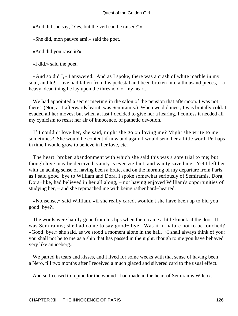«And did she say, `Yes, but the veil can be raised?' »

«She did, mon pauvre ami,» said the poet.

«And did you raise it?»

«I did,» said the poet.

 «And so did I,» I answered. And as I spoke, there was a crash of white marble in my soul, and lo! Love had fallen from his pedestal and been broken into a thousand pieces, – a heavy, dead thing he lay upon the threshold of my heart.

 We had appointed a secret meeting in the salon of the pension that afternoon. I was not there! (Nor, as I afterwards learnt, was Semiramis.) When we did meet, I was brutally cold. I evaded all her moves; but when at last I decided to give her a hearing, I confess it needed all my cynicism to resist her air of innocence, of pathetic devotion.

 If I couldn't love her, she said, might she go on loving me? Might she write to me sometimes? She would be content if now and again I would send her a little word. Perhaps in time I would grow to believe in her love, etc.

 The heart−broken abandonment with which she said this was a sore trial to me; but though love may be deceived, vanity is ever vigilant, and vanity saved me. Yet I left her with an aching sense of having been a brute, and on the morning of my departure from Paris, as I said good−bye to William and Dora, I spoke somewhat seriously of Semiramis. Dora, Dora−like, had believed in her all along, – not having enjoyed William's opportunities of studying her, – and she reproached me with being rather hard−hearted.

 «Nonsense,» said William, «if she really cared, wouldn't she have been up to bid you good−bye?»

 The words were hardly gone from his lips when there came a little knock at the door. It was Semiramis; she had come to say good− bye. Was it in nature not to be touched? «Good−bye,» she said, as we stood a moment alone in the hall. «I shall always think of you; you shall not be to me as a ship that has passed in the night, though to me you have behaved very like an iceberg.»

 We parted in tears and kisses, and I lived for some weeks with that sense of having been a Nero, till two months after I received a much glazed and silvered card to the usual effect.

And so I ceased to repine for the wound I had made in the heart of Semiramis Wilcox.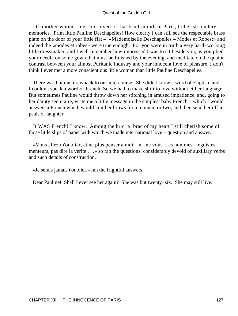Of another whom I met and loved in that brief month in Paris, I cherish tenderer memories. Prim little Pauline Deschapelles! How clearly I can still see the respectable brass plate on the door of your little flat – «Mademoiselle Deschapelles – Modes et Robes;» and indeed the «modes et robes» were true enough. For you were in truth a very hard−working little dressmaker, and I well remember how impressed I was to sit beside you, as you plied your needle on some gown that must be finished by the evening, and meditate on the quaint contrast between your almost Puritanic industry and your innocent love of pleasure. I don't think I ever met a more conscientious little woman than little Pauline Deschapelles.

 There was but one drawback to our intercourse. She didn't know a word of English, and I couldn't speak a word of French. So we had to make shift to love without either language. But sometimes Pauline would throw down her stitching in amused impatience, and, going to her dainty secretaire, write me a little message in the simplest baby French – which I would answer in French which would knit her brows for a moment or two, and then send her off in peals of laughter.

 It WAS French! I know. Among the bric−a−brac of my heart I still cherish some of those little slips of paper with which we made international love – question and answer.

 «Vous allez m'oublier, et ne plus penser a moi – ni me voir. Les hommes – egoistes – menteurs, pas dire la verite . . .» so ran the questions, considerably devoid of auxiliary verbs and such details of construction.

«Je serais jamais t'oublier,» ran the frightful answers!

Dear Pauline! Shall I ever see her again? She was but twenty−six. She may still live.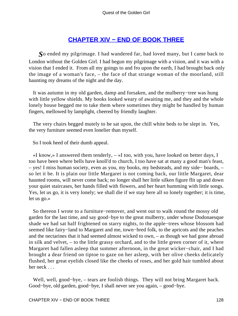## **[CHAPTER XIV − END OF BOOK THREE](#page-140-0)**

<span id="page-128-0"></span>*S*o ended my pilgrimage. I had wandered far, had loved many, but I came back to London without the Golden Girl. I had begun my pilgrimage with a vision, and it was with a vision that I ended it. From all my goings to and fro upon the earth, I had brought back only the image of a woman's face, – the face of that strange woman of the moorland, still haunting my dreams of the night and the day.

 It was autumn in my old garden, damp and forsaken, and the mulberry−tree was hung with little yellow shields. My books looked weary of awaiting me, and they and the whole lonely house begged me to take them where sometimes they might be handled by human fingers, mellowed by lamplight, cheered by friendly laughter.

 The very chairs begged mutely to be sat upon, the chill white beds to be slept in. Yes, the very furniture seemed even lonelier than myself.

So I took heed of their dumb appeal.

 «I know,» I answered them tenderly, – «I too, with you, have looked on better days, I too have been where bells have knoll'd to church, I too have sat at many a good man's feast, – yes! I miss human society, even as you, my books, my bedsteads, and my side− boards, – so let it be. It is plain our little Margaret is not coming back, our little Margaret, dear haunted rooms, will never come back; no longer shall her little silken figure flit up and down your quiet staircases, her hands filled with flowers, and her heart humming with little songs. Yes, let us go, it is very lonely; we shall die if we stay here all so lonely together; it is time, let us go.»

 So thereon I wrote to a furniture−remover, and went out to walk round the mossy old garden for the last time, and say good−bye to the great mulberry, under whose Dodonaesque shade we had sat half frightened on starry nights, to the apple−trees whose blossom had seemed like fairy−land to Margaret and me, town−bred folk, to the apricots and the peaches and the nectarines that it had seemed almost wicked to own, – as though we had gone abroad in silk and velvet, – to the little grassy orchard, and to the little green corner of it, where Margaret had fallen asleep that summer afternoon, in the great wicker−chair, and I had brought a dear friend on tiptoe to gaze on her asleep, with her olive cheeks delicately flushed, her great eyelids closed like the cheeks of roses, and her gold hair tumbled about her neck . . .

 Well, well, good−bye, – tears are foolish things. They will not bring Margaret back. Good−bye, old garden, good−bye, I shall never see you again, – good−bye.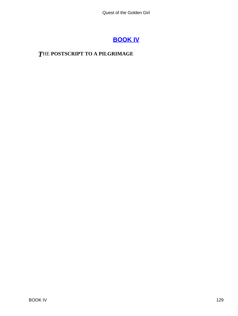## **[BOOK IV](#page-140-0)**

## <span id="page-129-0"></span>*T*HE **POSTSCRIPT TO A PILGRIMAGE**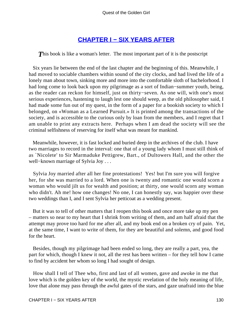## **[CHAPTER I − SIX YEARS AFTER](#page-140-0)**

<span id="page-130-0"></span>**This book is like a woman's letter.** The most important part of it is the postscript

 Six years lie between the end of the last chapter and the beginning of this. Meanwhile, I had moved to sociable chambers within sound of the city clocks, and had lived the life of a lonely man about town, sinking more and more into the comfortable sloth of bachelorhood. I had long come to look back upon my pilgrimage as a sort of Indian−summer youth, being, as the reader can reckon for himself, just on thirty−seven. As one will, with one's most serious experiences, hastening to laugh lest one should weep, as the old philosopher said, I had made some fun out of my quest, in the form of a paper for a bookish society to which I belonged, on «Woman as a Learned Pursuit.» It is printed among the transactions of the society, and is accessible to the curious only by loan from the members, and I regret that I am unable to print any extracts here. Perhaps when I am dead the society will see the criminal selfishness of reserving for itself what was meant for mankind.

 Meanwhile, however, it is fast locked and buried deep in the archives of the club. I have two marriages to record in the interval: one that of a young lady whom I must still think of as `Nicolete' to Sir Marmaduke Pettigrew, Bart., of Dultowers Hall, and the other the well−known marriage of Sylvia Joy . . .

 Sylvia Joy married after all her fine protestations! Yes! but I'm sure you will forgive her, for she was married to a lord. When one is twenty and romantic one would scorn a woman who would jilt us for wealth and position; at thirty, one would scorn any woman who didn't. Ah me! how one changes! No one, I can honestly say, was happier over these two weddings than I, and I sent Sylvia her petticoat as a wedding present.

 But it was to tell of other matters that I reopen this book and once more take up my pen – matters so near to my heart that I shrink from writing of them, and am half afraid that the attempt may prove too hard for me after all, and my book end on a broken cry of pain. Yet, at the same time, I want to write of them, for they are beautiful and solemn, and good food for the heart.

 Besides, though my pilgrimage had been ended so long, they are really a part, yea, the part for which, though I knew it not, all the rest has been written – for they tell how I came to find by accident her whom so long I had sought of design.

 How shall I tell of Thee who, first and last of all women, gave and awoke in me that love which is the golden key of the world, the mystic revelation of the holy meaning of life, love that alone may pass through the awful gates of the stars, and gaze unafraid into the blue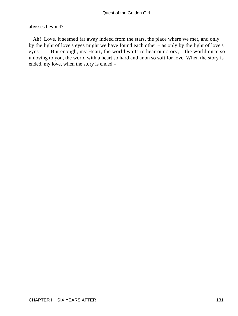#### abysses beyond?

 Ah! Love, it seemed far away indeed from the stars, the place where we met, and only by the light of love's eyes might we have found each other – as only by the light of love's eyes . . . But enough, my Heart, the world waits to hear our story, – the world once so unloving to you, the world with a heart so hard and anon so soft for love. When the story is ended, my love, when the story is ended –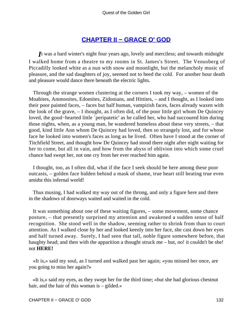## **[CHAPTER II − GRACE O' GOD](#page-140-0)**

<span id="page-132-0"></span>*I*t was a hard winter's night four years ago, lovely and merciless; and towards midnight I walked home from a theatre to my rooms in St. James's Street. The Venusberg of Piccadilly looked white as a nun with snow and moonlight, but the melancholy music of pleasure, and the sad daughters of joy, seemed not to heed the cold. For another hour death and pleasure would dance there beneath the electric lights.

 Through the strange women clustering at the corners I took my way, – women of the Moabites, Ammonites, Edomites, Zidonians, and Hittites, – and I thought, as I looked into their poor painted faces, – faces but half human, vampirish faces, faces already waxen with the look of the grave, – I thought, as I often did, of the poor little girl whom De Quincey loved, the good−hearted little `peripatetic' as he called her, who had succoured him during those nights, when, as a young man, he wandered homeless about these very streets, – that good, kind little Ann whom De Quincey had loved, then so strangely lost, and for whose face he looked into women's faces as long as he lived. Often have I stood at the corner of Titchfield Street, and thought how De Quincey had stood there night after night waiting for her to come, but all in vain, and how from the abyss of oblivion into which some cruel chance had swept her, not one cry from her ever reached him again.

 I thought, too, as I often did, what if the face I seek should be here among these poor outcasts, – golden face hidden behind a mask of shame, true heart still beating true even amidst this infernal world!

 Thus musing, I had walked my way out of the throng, and only a figure here and there in the shadows of doorways waited and waited in the cold.

 It was something about one of these waiting figures, – some movement, some chance posture, – that presently surprised my attention and awakened a sudden sense of half recognition. She stood well in the shadow, seeming rather to shrink from than to court attention. As I walked close by her and looked keenly into her face, she cast down her eyes and half turned away. Surely, I had seen that tall, noble figure somewhere before, that haughty head; and then with the apparition a thought struck me – but, no! it couldn't be she! not **HERE!**

 «It is,» said my soul, as I turned and walked past her again; «you missed her once, are you going to miss her again?»

 «It is,» said my eyes, as they swept her for the third time; «but she had glorious chestnut hair, and the hair of this woman is – gilded.»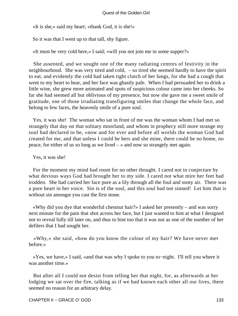«It is she,» said my heart; «thank God, it is she!»

So it was that I went up to that tall, shy figure.

«It must be very cold here,» I said; «will you not join me in some supper?»

 She assented, and we sought one of the many radiating centres of festivity in the neighbourhood. She was very tired and cold, – so tired she seemed hardly to have the spirit to eat, and evidently the cold had taken tight clutch of her lungs, for she had a cough that went to my heart to hear, and her face was ghastly pale. When I had persuaded her to drink a little wine, she grew more animated and spots of suspicious colour came into her cheeks. So far she had seemed all but oblivious of my presence, but now she gave me a sweet smile of gratitude, one of those irradiating transfiguring smiles that change the whole face, and belong to few faces, the heavenly smile of a pure soul.

 Yes, it was she! The woman who sat in front of me was the woman whom I had met so strangely that day on that solitary moorland, and whom in prophecy still more strange my soul had declared to be, «now and for ever and before all worlds the woman God had created for me, and that unless I could be hers and she mine, there could be no home, no peace, for either of us so long as we lived – » and now so strangely met again.

Yes, it was she!

 For the moment my mind had room for no other thought. I cared not to conjecture by what devious ways God had brought her to my side. I cared not what mire her feet had trodden. She had carried her face pure as a lily through all the foul and sooty air. There was a pure heart in her voice. Sin is of the soul, and this soul had not sinned! Let him that is without sin amongst you cast the first stone.

 «Why did you dye that wonderful chestnut hair?» I asked her presently – and was sorry next minute for the pain that shot across her face, but I just wanted to hint at what I designed not to reveal fully till later on, and thus to hint too that it was not as one of the number of her defilers that I had sought her.

 «Why,» she said, «how do you know the colour of my hair? We have never met before.»

 «Yes, we have,» I said, «and that was why I spoke to you to−night. I'll tell you where it was another time.»

 But after all I could not desist from telling her that night, for, as afterwards at her lodging we sat over the fire, talking as if we had known each other all our lives, there seemed no reason for an arbitrary delay.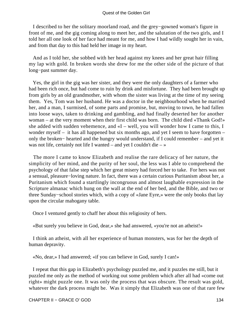I described to her the solitary moorland road, and the grey−gowned woman's figure in front of me, and the gig coming along to meet her, and the salutation of the two girls, and I told her all one look of her face had meant for me, and how I had wildly sought her in vain, and from that day to this had held her image in my heart.

 And as I told her, she sobbed with her head against my knees and her great hair filling my lap with gold. In broken words she drew for me the other side of the picture of that long−past summer day.

 Yes, the girl in the gig was her sister, and they were the only daughters of a farmer who had been rich once, but had come to ruin by drink and misfortune. They had been brought up from girls by an old grandmother, with whom the sister was living at the time of my seeing them. Yes, Tom was her husband. He was a doctor in the neighbourhood when he married her, and a man, I surmised, of some parts and promise, but, moving to town, he had fallen into loose ways, taken to drinking and gambling, and had finally deserted her for another woman – at the very moment when their first child was born. The child died «Thank God!» she added with sudden vehemence, and  $\alpha I$  – well, you will wonder how I came to this, I wonder myself – it has all happened but six months ago, and yet I seem to have forgotten – only the broken− hearted and the hungry would understand, if I could remember – and yet it was not life, certainly not life I wanted – and yet I couldn't die – »

 The more I came to know Elizabeth and realise the rare delicacy of her nature, the simplicity of her mind, and the purity of her soul, the less was I able to comprehend the psychology of that false step which her great misery had forced her to take. For hers was not a sensual, pleasure−loving nature. In fact, there was a certain curious Puritanism about her, a Puritanism which found a startlingly incongruous and almost laughable expression in the Scripture almanac which hung on the wall at the end of her bed, and the Bible, and two or three Sunday−school stories which, with a copy of «Jane Eyre,» were the only books that lay upon the circular mahogany table.

Once I ventured gently to chaff her about this religiosity of hers.

«But surely you believe in God, dear,» she had answered, «you're not an atheist!»

 I think an atheist, with all her experience of human monsters, was for her the depth of human depravity.

«No, dear,» I had answered; «if you can believe in God, surely I can!»

 I repeat that this gap in Elizabeth's psychology puzzled me, and it puzzles me still, but it puzzled me only as the method of working out some problem which after all had «come out right» might puzzle one. It was only the process that was obscure. The result was gold, whatever the dark process might be. Was it simply that Elizabeth was one of that rare few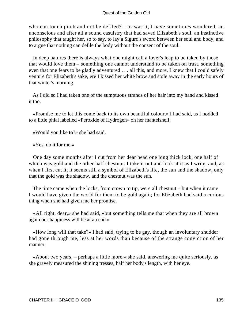who can touch pitch and not be defiled? – or was it, I have sometimes wondered, an unconscious and after all a sound casuistry that had saved Elizabeth's soul, an instinctive philosophy that taught her, so to say, to lay a Sigurd's sword between her soul and body, and to argue that nothing can defile the body without the consent of the soul.

 In deep natures there is always what one might call a lover's leap to be taken by those that would love them – something one cannot understand to be taken on trust, something even that one fears to be gladly adventured . . . all this, and more, I knew that I could safely venture for Elizabeth's sake, ere I kissed her white brow and stole away in the early hours of that winter's morning.

 As I did so I had taken one of the sumptuous strands of her hair into my hand and kissed it too.

 «Promise me to let this come back to its own beautiful colour,» I had said, as I nodded to a little phial labelled «Peroxide of Hydrogen» on her mantelshelf.

«Would you like to?» she had said.

«Yes, do it for me.»

 One day some months after I cut from her dear head one long thick lock, one half of which was gold and the other half chestnut. I take it out and look at it as I write, and, as when I first cut it, it seems still a symbol of Elizabeth's life, the sun and the shadow, only that the gold was the shadow, and the chestnut was the sun.

 The time came when the locks, from crown to tip, were all chestnut – but when it came I would have given the world for them to be gold again; for Elizabeth had said a curious thing when she had given me her promise.

 «All right, dear,» she had said, «but something tells me that when they are all brown again our happiness will be at an end.»

 «How long will that take?» I had said, trying to be gay, though an involuntary shudder had gone through me, less at her words than because of the strange conviction of her manner.

 «About two years, – perhaps a little more,» she said, answering me quite seriously, as she gravely measured the shining tresses, half her body's length, with her eye.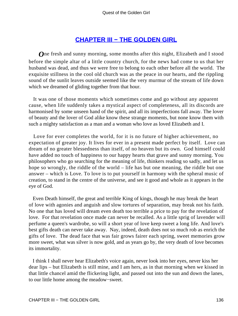## **[CHAPTER III − THE GOLDEN GIRL](#page-140-0)**

<span id="page-136-0"></span>*O*ne fresh and sunny morning, some months after this night, Elizabeth and I stood before the simple altar of a little country church, for the news had come to us that her husband was dead, and thus we were free to belong to each other before all the world. The exquisite stillness in the cool old church was as the peace in our hearts, and the rippling sound of the sunlit leaves outside seemed like the very murmur of the stream of life down which we dreamed of gliding together from that hour.

 It was one of those moments which sometimes come and go without any apparent cause, when life suddenly takes a mystical aspect of completeness, all its discords are harmonised by some unseen hand of the spirit, and all its imperfections fall away. The lover of beauty and the lover of God alike know these strange moments, but none know them with such a mighty satisfaction as a man and a woman who love as loved Elizabeth and I.

 Love for ever completes the world, for it is no future of higher achievement, no expectation of greater joy. It lives for ever in a present made perfect by itself. Love can dream of no greater blessedness than itself, of no heaven but its own. God himself could have added no touch of happiness to our happy hearts that grave and sunny morning. You philosophers who go searching for the meaning of life, thinkers reading so sadly, and let us hope so wrongly, the riddle of the world – life has but one meaning, the riddle but one answer – which is Love. To love is to put yourself in harmony with the spheral music of creation, to stand in the centre of the universe, and see it good and whole as it appears in the eye of God.

 Even Death himself, the great and terrible King of kings, though he may break the heart of love with agonies and anguish and slow tortures of separation, may break not his faith. No one that has loved will dream even death too terrible a price to pay for the revelation of love. For that revelation once made can never be recalled. As a little sprig of lavender will perfume a queen's wardrobe, so will a short year of love keep sweet a long life. And love's best gifts death can never take away. Nay, indeed, death does not so much rob as enrich the gifts of love. The dead face that was fair grows fairer each spring, sweet memories grow more sweet, what was silver is now gold, and as years go by, the very death of love becomes its immortality.

 I think I shall never hear Elizabeth's voice again, never look into her eyes, never kiss her dear lips – but Elizabeth is still mine, and I am hers, as in that morning when we kissed in that little chancel amid the flickering light, and passed out into the sun and down the lanes, to our little home among the meadow−sweet.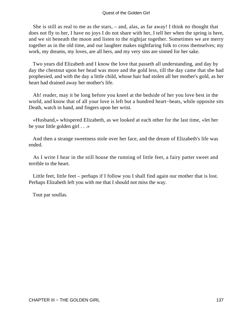She is still as real to me as the stars, – and, alas, as far away! I think no thought that does not fly to her, I have no joys I do not share with her, I tell her when the spring is here, and we sit beneath the moon and listen to the nightjar together. Sometimes we are merry together as in the old time, and our laughter makes nightfaring folk to cross themselves; my work, my dreams, my loves, are all hers, and my very sins are sinned for her sake.

 Two years did Elizabeth and I know the love that passeth all understanding, and day by day the chestnut upon her head was more and the gold less, till the day came that she had prophesied, and with the day a little child, whose hair had stolen all her mother's gold, as her heart had drained away her mother's life.

 Ah! reader, may it be long before you kneel at the bedside of her you love best in the world, and know that of all your love is left but a hundred heart−beats, while opposite sits Death, watch in hand, and fingers upon her wrist.

 «Husband,» whispered Elizabeth, as we looked at each other for the last time, «let her be your little golden girl . . .»

 And then a strange sweetness stole over her face, and the dream of Elizabeth's life was ended.

 As I write I hear in the still house the running of little feet, a fairy patter sweet and terrible to the heart.

 Little feet, little feet – perhaps if I follow you I shall find again our mother that is lost. Perhaps Elizabeth left you with me that I should not miss the way.

Tout par soullas.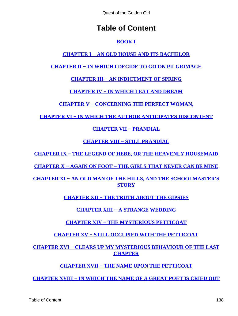# **Table of Content**

### **[BOOK I](#page-3-0)**

## **[CHAPTER I − AN OLD HOUSE AND ITS BACHELOR](#page-4-0)**

### **[CHAPTER II − IN WHICH I DECIDE TO GO ON PILGRIMAGE](#page-5-0)**

**[CHAPTER III − AN INDICTMENT OF SPRING](#page-6-0)**

**[CHAPTER IV − IN WHICH I EAT AND DREAM](#page-8-0)**

**[CHAPTER V − CONCERNING THE PERFECT WOMAN,](#page-10-0)**

**[CHAPTER VI − IN WHICH THE AUTHOR ANTICIPATES DISCONTENT](#page-13-0)**

**[CHAPTER VII − PRANDIAL](#page-14-0)**

**[CHAPTER VIII − STILL PRANDIAL](#page-16-0)**

**[CHAPTER IX − THE LEGEND OF HEBE, OR THE HEAVENLY HOUSEMAID](#page-17-0)**

**[CHAPTER X − AGAIN ON FOOT – THE GIRLS THAT NEVER CAN BE MINE](#page-20-0)**

**[CHAPTER XI − AN OLD MAN OF THE HILLS, AND THE SCHOOLMASTER'S](#page-21-0) [STORY](#page-21-0)**

**[CHAPTER XII − THE TRUTH ABOUT THE GIPSIES](#page-25-0)**

**[CHAPTER XIII − A STRANGE WEDDING](#page-27-0)**

**[CHAPTER XIV − THE MYSTERIOUS PETTICOAT](#page-31-0)**

**[CHAPTER XV − STILL OCCUPIED WITH THE PETTICOAT](#page-34-0)**

**[CHAPTER XVI − CLEARS UP MY MYSTERIOUS BEHAVIOUR OF THE LAST](#page-37-0) [CHAPTER](#page-37-0)**

**[CHAPTER XVII − THE NAME UPON THE PETTICOAT](#page-38-0)**

**[CHAPTER XVIII − IN WHICH THE NAME OF A GREAT POET IS CRIED OUT](#page-40-0)**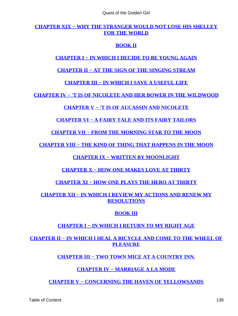#### **[CHAPTER XIX − WHY THE STRANGER WOULD NOT LOSE HIS SHELLEY](#page-43-0) [FOR THE WORLD](#page-43-0)**

### **[BOOK II](#page-47-0)**

### **[CHAPTER I − IN WHICH I DECIDE TO BE YOUNG AGAIN](#page-48-0)**

#### **[CHAPTER II − AT THE SIGN OF THE SINGING STREAM](#page-50-0)**

**[CHAPTER III − IN WHICH I SAVE A USEFUL LIFE](#page-52-0)**

**[CHAPTER IV − 'T IS OF NICOLETE AND HER BOWER IN THE WILDWOOD](#page-56-0)**

### **[CHAPTER V − 'T IS OF AUCASSIN AND NICOLETE](#page-58-0)**

### **[CHAPTER VI − A FAIRY TALE AND ITS FAIRY TAILORS](#page-60-0)**

**[CHAPTER VII − FROM THE MORNING STAR TO THE MOON](#page-64-0)**

**[CHAPTER VIII − THE KIND OF THING THAT HAPPENS IN THE MOON](#page-67-0)**

**[CHAPTER IX − WRITTEN BY MOONLIGHT](#page-69-0)**

**[CHAPTER X − HOW ONE MAKES LOVE AT THIRTY](#page-71-0)**

**[CHAPTER XI − HOW ONE PLAYS THE HERO AT THIRTY](#page-74-0)**

**[CHAPTER XII − IN WHICH I REVIEW MY ACTIONS AND RENEW MY](#page-76-0) [RESOLUTIONS](#page-76-0)**

#### **[BOOK III](#page-78-0)**

### **[CHAPTER I − IN WHICH I RETURN TO MY RIGHT AGE](#page-79-0)**

**[CHAPTER II − IN WHICH I HEAL A BICYCLE AND COME TO THE WHEEL OF](#page-81-0) [PLEASURE](#page-81-0)**

**[CHAPTER III − TWO TOWN MICE AT A COUNTRY INN.](#page-84-0)**

### **[CHAPTER IV − MARRIAGE A LA MODE](#page-88-0)**

**[CHAPTER V − CONCERNING THE HAVEN OF YELLOWSANDS](#page-92-0)**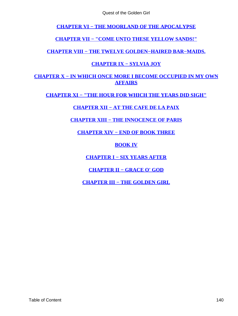<span id="page-140-0"></span>**[CHAPTER VI − THE MOORLAND OF THE APOCALYPSE](#page-93-0)**

**[CHAPTER VII − "COME UNTO THESE YELLOW SANDS!"](#page-98-0)**

**[CHAPTER VIII − THE TWELVE GOLDEN−HAIRED BAR−MAIDS.](#page-101-0)**

### **[CHAPTER IX − SYLVIA JOY](#page-105-0)**

### **[CHAPTER X − IN WHICH ONCE MORE I BECOME OCCUPIED IN MY OWN](#page-111-0) [AFFAIRS](#page-111-0)**

**[CHAPTER XI − "THE HOUR FOR WHICH THE YEARS DID SIGH"](#page-116-0)**

**[CHAPTER XII − AT THE CAFE DE LA PAIX](#page-119-0)**

**[CHAPTER XIII − THE INNOCENCE OF PARIS](#page-123-0)**

**[CHAPTER XIV − END OF BOOK THREE](#page-128-0)**

**[BOOK IV](#page-129-0)**

**[CHAPTER I − SIX YEARS AFTER](#page-130-0)**

**[CHAPTER II − GRACE O' GOD](#page-132-0)**

**[CHAPTER III − THE GOLDEN GIRL](#page-136-0)**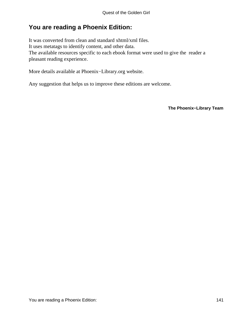## **You are reading a Phoenix Edition:**

It was converted from clean and standard xhtml/xml files. It uses metatags to identify content, and other data. The available resources specific to each ebook format were used to give the reader a pleasant reading experience.

More details available at Phoenix−Library.org website.

Any suggestion that helps us to improve these editions are welcome.

**The Phoenix−Library Team**